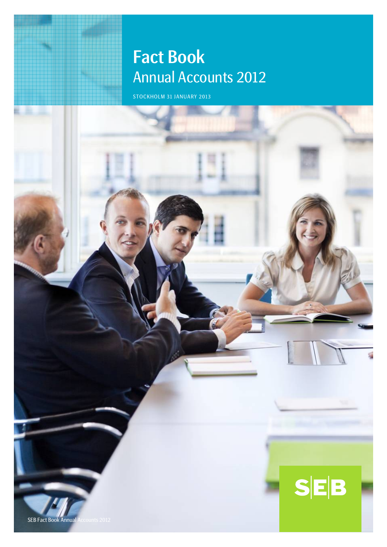# Fact Book Entertainment and Annual Accounts 2012

STOCKHOLM 31 JANUARY 2013

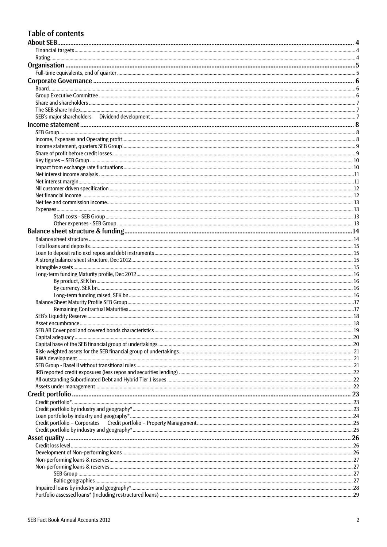# **Table of contents**

| . 19 |
|------|
|      |
|      |
|      |
|      |
|      |
|      |
|      |
|      |
|      |
|      |
|      |
|      |
|      |
|      |
|      |
|      |
|      |
|      |
|      |
|      |
|      |
|      |
|      |
|      |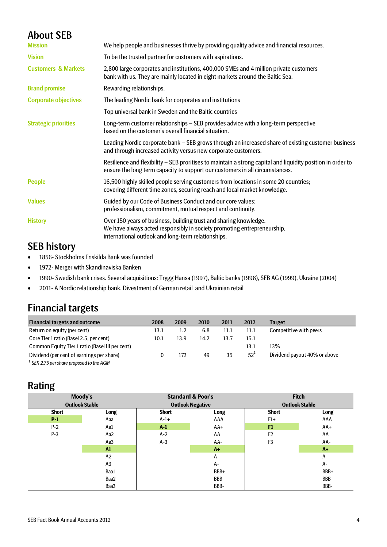# About SEB

| We help people and businesses thrive by providing quality advice and financial resources.                                                                                                          |
|----------------------------------------------------------------------------------------------------------------------------------------------------------------------------------------------------|
| To be the trusted partner for customers with aspirations.                                                                                                                                          |
| 2,800 large corporates and institutions, 400,000 SMEs and 4 million private customers<br>bank with us. They are mainly located in eight markets around the Baltic Sea.                             |
| Rewarding relationships.                                                                                                                                                                           |
| The leading Nordic bank for corporates and institutions                                                                                                                                            |
| Top universal bank in Sweden and the Baltic countries                                                                                                                                              |
| Long-term customer relationships - SEB provides advice with a long-term perspective<br>based on the customer's overall financial situation.                                                        |
| Leading Nordic corporate bank - SEB grows through an increased share of existing customer business<br>and through increased activity versus new corporate customers.                               |
| Resilience and flexibility – SEB proritises to maintain a strong capital and liquidity position in order to<br>ensure the long term capacity to support our customers in all circumstances.        |
| 16,500 highly skilled people serving customers from locations in some 20 countries;<br>covering different time zones, securing reach and local market knowledge.                                   |
| Guided by our Code of Business Conduct and our core values:<br>professionalism, commitment, mutual respect and continuity.                                                                         |
| Over 150 years of business, building trust and sharing knowledge.<br>We have always acted responsibly in society promoting entrepreneurship,<br>international outlook and long-term relationships. |
|                                                                                                                                                                                                    |

# SEB history

- 1856- Stockholms Enskilda Bank was founded
- 1972- Merger with Skandinaviska Banken
- 1990- Swedish bank crises. Several acquisitions: Trygg Hansa (1997), Baltic banks (1998), SEB AG (1999), Ukraine (2004)
- 2011- A Nordic relationship bank. Divestment of German retail and Ukrainian retail

# Financial targets

| <b>Financial targets and outcome</b>            | 2008 | 2009 | 2010 | 2011 | 2012         | Target                       |
|-------------------------------------------------|------|------|------|------|--------------|------------------------------|
| Return on equity (per cent)                     | 13.1 | 1.2  | 6.8  | 11.1 | 11.1         | Competitive with peers       |
| Core Tier 1 ratio (Basel 2.5, per cent)         | 10.1 | 13.9 | 14.2 | 13.7 | 15.1         |                              |
| Common Equity Tier 1 ratio (Basel III per cent) |      |      |      |      | 13.1         | 13%                          |
| Dividend (per cent of earnings per share)       |      | 172  | 49   | 35   | $52^{\circ}$ | Dividend payout 40% or above |
| $1$ SEK 2.75 per share proposed to the AGM      |      |      |      |      |              |                              |

# Rating

|              | Moody's               | <b>Standard &amp; Poor's</b> |            | <b>Fitch</b>          |            |
|--------------|-----------------------|------------------------------|------------|-----------------------|------------|
|              | <b>Outlook Stable</b> | <b>Outlook Negative</b>      |            | <b>Outlook Stable</b> |            |
| <b>Short</b> | Long                  | <b>Short</b>                 | Long       | <b>Short</b>          | Long       |
| $P-1$        | Aaa                   | $A-1+$                       | AAA        | $F1+$                 | AAA        |
| $P-2$        | Aa1                   | $A-1$                        | $AA+$      | F1                    | $AA+$      |
| $P-3$        | Aa2                   | $A-2$                        | AA         | F <sub>2</sub>        | AA         |
|              | Aa3                   | $A-3$                        | AA-        | F <sub>3</sub>        | AA-        |
|              | $\mathbf{M}$          |                              | $A+$       |                       | A+         |
|              | A2                    |                              | Α          |                       | Α          |
|              | A <sub>3</sub>        |                              | А-         |                       | А-         |
|              | Baa1                  |                              | BBB+       |                       | BBB+       |
|              | Baa2                  |                              | <b>BBB</b> |                       | <b>BBB</b> |
|              | Baa3                  |                              | BBB-       |                       | BBB-       |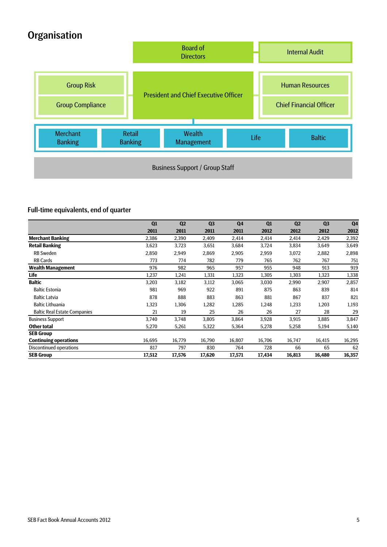# **Organisation**



## Full-time equivalents, end of quarter

|                                     | Q1     | Q <sub>2</sub> | Q <sub>3</sub> | Q <sub>4</sub> | Q1     | Q <sub>2</sub> | Q <sub>3</sub> | Q <sub>4</sub> |
|-------------------------------------|--------|----------------|----------------|----------------|--------|----------------|----------------|----------------|
|                                     | 2011   | 2011           | 2011           | 2011           | 2012   | 2012           | 2012           | 2012           |
| <b>Merchant Banking</b>             | 2,386  | 2,390          | 2,409          | 2,414          | 2,414  | 2,414          | 2,429          | 2,392          |
| <b>Retail Banking</b>               | 3,623  | 3,723          | 3,651          | 3,684          | 3,724  | 3,834          | 3,649          | 3,649          |
| <b>RB</b> Sweden                    | 2,850  | 2,949          | 2,869          | 2,905          | 2,959  | 3,072          | 2,882          | 2,898          |
| <b>RB Cards</b>                     | 773    | 774            | 782            | 779            | 765    | 762            | 767            | 751            |
| <b>Wealth Management</b>            | 976    | 982            | 965            | 957            | 955    | 948            | 913            | 919            |
| Life                                | 1,237  | 1,241          | 1,331          | 1,323          | 1,305  | 1,303          | 1,323          | 1,338          |
| <b>Baltic</b>                       | 3,203  | 3,182          | 3,112          | 3,065          | 3,030  | 2,990          | 2,907          | 2,857          |
| <b>Baltic Estonia</b>               | 981    | 969            | 922            | 891            | 875    | 863            | 839            | 814            |
| <b>Baltic Latvia</b>                | 878    | 888            | 883            | 863            | 881    | 867            | 837            | 821            |
| <b>Baltic Lithuania</b>             | 1,323  | 1,306          | 1,282          | 1,285          | 1,248  | 1,233          | 1,203          | 1,193          |
| <b>Baltic Real Estate Companies</b> | 21     | 19             | 25             | 26             | 26     | 27             | 28             | 29             |
| <b>Business Support</b>             | 3,740  | 3,748          | 3,805          | 3,864          | 3,928  | 3,915          | 3,885          | 3,847          |
| Other total                         | 5,270  | 5,261          | 5,322          | 5,364          | 5,278  | 5,258          | 5,194          | 5,140          |
| <b>SEB Group</b>                    |        |                |                |                |        |                |                |                |
| <b>Continuing operations</b>        | 16,695 | 16,779         | 16,790         | 16,807         | 16,706 | 16,747         | 16,415         | 16,295         |
| Discontinued operations             | 817    | 797            | 830            | 764            | 728    | 66             | 65             | 62             |
| <b>SEB Group</b>                    | 17,512 | 17,576         | 17,620         | 17,571         | 17,434 | 16,813         | 16,480         | 16,357         |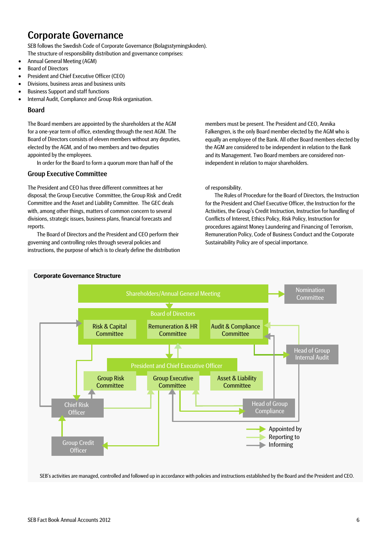# Corporate Governance

SEB follows the Swedish Code of Corporate Governance (Bolagsstyrningskoden). The structure of responsibility distribution and governance comprises:

- Annual General Meeting (AGM)
- Board of Directors
- President and Chief Executive Officer (CEO)
- Divisions, business areas and business units
- Business Support and staff functions
- Internal Audit, Compliance and Group Risk organisation.

#### Board

The Board members are appointed by the shareholders at the AGM for a one-year term of office, extending through the next AGM. The Board of Directors consists of eleven members without any deputies, elected by the AGM, and of two members and two deputies appointed by the employees.

In order for the Board to form a quorum more than half of the

#### Group Executive Committee

The President and CEO has three different committees at her disposal; the Group Executive Committee, the Group Risk and Credit Committee and the Asset and Liability Committee. The GEC deals with, among other things, matters of common concern to several divisions, strategic issues, business plans, financial forecasts and reports.

The Board of Directors and the President and CEO perform their governing and controlling roles through several policies and instructions, the purpose of which is to clearly define the distribution members must be present. The President and CEO, Annika Falkengren, is the only Board member elected by the AGM who is equally an employee of the Bank. All other Board members elected by the AGM are considered to be independent in relation to the Bank and its Management. Two Board members are considered nonindependent in relation to major shareholders.

#### of responsibility.

The Rules of Procedure for the Board of Directors, the Instruction for the President and Chief Executive Officer, the Instruction for the Activities, the Group's Credit Instruction, Instruction for handling of Conflicts of Interest, Ethics Policy, Risk Policy, Instruction for procedures against Money Laundering and Financing of Terrorism, Remuneration Policy, Code of Business Conduct and the Corporate Sustainability Policy are of special importance.



## **Corporate Governance Structure**

SEB's activities are managed, controlled and followed up in accordance with policies and instructions established by the Board and the President and CEO.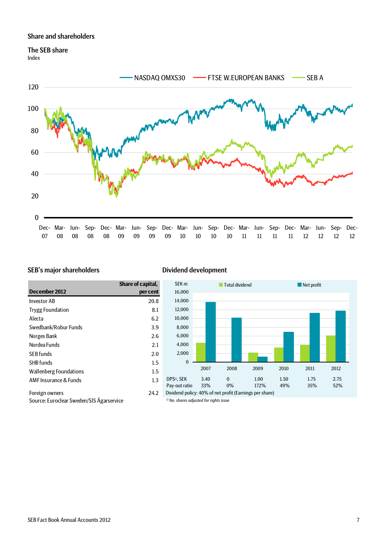#### Share and shareholders

# The SEB share

Index



#### SEB's major shareholders Dividend development

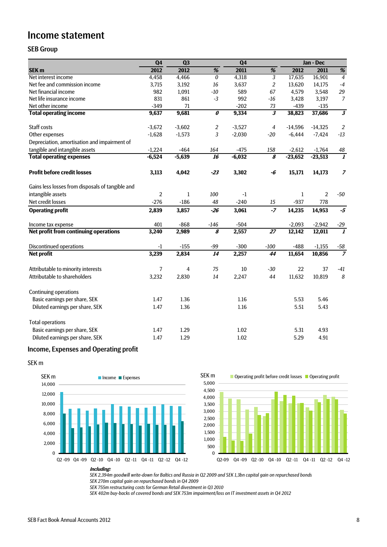# Income statement

## SEB Group

|                                                  | Q4             | Q <sub>3</sub> |                                  | Q <sub>4</sub> |                             |              | Jan - Dec      |                         |
|--------------------------------------------------|----------------|----------------|----------------------------------|----------------|-----------------------------|--------------|----------------|-------------------------|
| SEK <sub>m</sub>                                 | 2012           | 2012           | %                                | 2011           | $\%$                        | 2012         | 2011           | $\%$                    |
| Net interest income                              | 4,458          | 4,466          | $\boldsymbol{0}$                 | 4,318          | $\overline{3}$              | 17,635       | 16,901         | $\overline{4}$          |
| Net fee and commission income                    | 3,715          | 3,192          | 16                               | 3,637          | $\overline{2}$              | 13,620       | 14,175         | $-4$                    |
| Net financial income                             | 982            | 1,091          | $-10$                            | 589            | 67                          | 4,579        | 3,548          | 29                      |
| Net life insurance income                        | 831            | 861            | $-3$                             | 992            | $-16$                       | 3,428        | 3,197          | $\overline{7}$          |
| Net other income                                 | $-349$         | 71             |                                  | $-202$         | 73                          | $-439$       | $-135$         |                         |
| <b>Total operating income</b>                    | 9,637          | 9,681          | $\overline{\boldsymbol{\theta}}$ | 9,334          | $\overline{\boldsymbol{3}}$ | 38,823       | 37,686         | $\overline{\mathbf{3}}$ |
| Staff costs                                      | $-3,672$       | $-3,602$       | $\overline{c}$                   | $-3,527$       | 4                           | $-14,596$    | $-14,325$      | $\overline{2}$          |
| Other expenses                                   | $-1,628$       | $-1,573$       | $\sqrt{3}$                       | $-2,030$       | $-20$                       | $-6,444$     | $-7,424$       | $-13$                   |
| Depreciation, amortisation and impairment of     |                |                |                                  |                |                             |              |                |                         |
| tangible and intangible assets                   | $-1,224$       | $-464$         | 164                              | $-475$         | 158                         | $-2,612$     | $-1,764$       | 48                      |
| <b>Total operating expenses</b>                  | $-6,524$       | $-5,639$       | $\overline{16}$                  | $-6,032$       | $\overline{\boldsymbol{s}}$ | $-23,652$    | $-23,513$      | $\overline{\mathbf{1}}$ |
| <b>Profit before credit losses</b>               | 3,113          | 4,042          | $-23$                            | 3,302          | -6                          | 15,171       | 14,173         | $\overline{z}$          |
| Gains less losses from disposals of tangible and |                |                |                                  |                |                             |              |                |                         |
| intangible assets                                | $\overline{2}$ | $\mathbf{1}$   | 100                              | $-1$           |                             | $\mathbf{1}$ | $\overline{2}$ | $-50$                   |
| Net credit losses                                | $-276$         | $-186$         | 48                               | $-240$         | 15                          | $-937$       | 778            |                         |
| <b>Operating profit</b>                          | 2,839          | 3,857          | $-26$                            | 3,061          | $-7$                        | 14,235       | 14,953         | $-5$                    |
| Income tax expense                               | 401            | $-868$         | $-146$                           | $-504$         |                             | $-2,093$     | $-2,942$       | $-29$                   |
| Net profit from continuing operations            | 3,240          | 2,989          | $\overline{s}$                   | 2,557          | $\overline{27}$             | 12,142       | 12,011         | $\overline{\mathbf{1}}$ |
| <b>Discontinued operations</b>                   | -1             | $-155$         | $-99$                            | $-300$         | $-100$                      | $-488$       | $-1,155$       | $-58$                   |
| Net profit                                       | 3,239          | 2,834          | 14                               | 2,257          | 44                          | 11,654       | 10,856         | $\overline{z}$          |
| Attributable to minority interests               | 7              | 4              | 75                               | 10             | $-30$                       | 22           | 37             | $-41$                   |
| Attributable to shareholders                     | 3,232          | 2,830          | 14                               | 2,247          | 44                          | 11,632       | 10,819         | 8                       |
| <b>Continuing operations</b>                     |                |                |                                  |                |                             |              |                |                         |
| Basic earnings per share, SEK                    | 1.47           | 1.36           |                                  | 1.16           |                             | 5.53         | 5.46           |                         |
| Diluted earnings per share, SEK                  | 1.47           | 1.36           |                                  | 1.16           |                             | 5.51         | 5.43           |                         |
| <b>Total operations</b>                          |                |                |                                  |                |                             |              |                |                         |
| Basic earnings per share, SEK                    | 1.47           | 1.29           |                                  | 1.02           |                             | 5.31         | 4.93           |                         |
| Diluted earnings per share, SEK                  | 1.47           | 1.29           |                                  | 1.02           |                             | 5.29         | 4.91           |                         |

## Income, Expenses and Operating profit

SEK m





**Including:**

*SEK 2,394m goodwill write-down for Baltics and Russia in Q2 2009 and SEK 1,3bn capital gain on repurchased bonds*

*SEK 270m capital gain on repurchased bonds in Q4 2009*

*SEK 755m restructuring costs for German Retail divestment in Q3 2010*

*SEK 402m buy-backs of covered bonds and SEK 753m impairment/loss on IT investment assets in Q4 2012*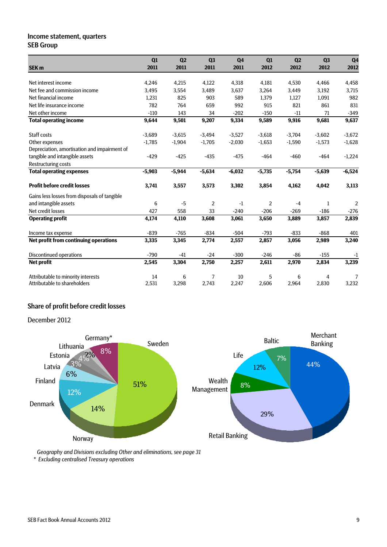### Income statement, quarters SEB Group

|                                              | Q1       | Q <sub>2</sub> | Q3             | Q <sub>4</sub> | Q1             | Q <sub>2</sub> | Q <sub>3</sub> | Q <sub>4</sub> |
|----------------------------------------------|----------|----------------|----------------|----------------|----------------|----------------|----------------|----------------|
| <b>SEK m</b>                                 | 2011     | 2011           | 2011           | 2011           | 2012           | 2012           | 2012           | 2012           |
| Net interest income                          | 4,246    | 4,215          | 4,122          | 4,318          | 4,181          | 4,530          | 4,466          | 4,458          |
| Net fee and commission income                | 3,495    | 3,554          | 3,489          | 3,637          | 3,264          | 3,449          | 3,192          | 3,715          |
| Net financial income                         | 1,231    | 825            | 903            | 589            | 1,379          | 1,127          | 1,091          | 982            |
| Net life insurance income                    | 782      | 764            | 659            | 992            | 915            | 821            | 861            | 831            |
| Net other income                             | $-110$   | 143            | 34             | $-202$         | $-150$         | $-11$          | 71             | $-349$         |
| <b>Total operating income</b>                | 9,644    | 9,501          | 9,207          | 9,334          | 9,589          | 9,916          | 9,681          | 9,637          |
| Staff costs                                  | $-3,689$ | $-3,615$       | $-3,494$       | $-3,527$       | $-3,618$       | $-3,704$       | $-3,602$       | $-3,672$       |
| Other expenses                               | $-1,785$ | $-1,904$       | $-1,705$       | $-2,030$       | $-1,653$       | $-1,590$       | $-1,573$       | $-1,628$       |
| Depreciation, amortisation and impairment of |          |                |                |                |                |                |                |                |
| tangible and intangible assets               | $-429$   | $-425$         | $-435$         | $-475$         | $-464$         | $-460$         | $-464$         | $-1,224$       |
| <b>Restructuring costs</b>                   |          |                |                |                |                |                |                |                |
| <b>Total operating expenses</b>              | $-5,903$ | $-5,944$       | $-5,634$       | $-6,032$       | $-5,735$       | $-5,754$       | $-5,639$       | $-6,524$       |
| <b>Profit before credit losses</b>           | 3,741    | 3,557          | 3,573          | 3,302          | 3,854          | 4,162          | 4,042          | 3,113          |
| Gains less losses from disposals of tangible |          |                |                |                |                |                |                |                |
| and intangible assets                        | 6        | $-5$           | $\overline{2}$ | $-1$           | $\overline{2}$ | $-4$           | 1              | 2              |
| Net credit losses                            | 427      | 558            | 33             | $-240$         | $-206$         | $-269$         | $-186$         | $-276$         |
| <b>Operating profit</b>                      | 4,174    | 4,110          | 3,608          | 3,061          | 3,650          | 3,889          | 3,857          | 2,839          |
| Income tax expense                           | $-839$   | $-765$         | $-834$         | $-504$         | $-793$         | $-833$         | $-868$         | 401            |
| Net profit from continuing operations        | 3,335    | 3,345          | 2,774          | 2,557          | 2,857          | 3,056          | 2,989          | 3,240          |
| <b>Discontinued operations</b>               | $-790$   | -41            | $-24$          | $-300$         | $-246$         | $-86$          | $-155$         | $-1$           |
| Net profit                                   | 2,545    | 3,304          | 2,750          | 2,257          | 2,611          | 2,970          | 2,834          | 3,239          |
| Attributable to minority interests           | 14       | 6              | 7              | 10             | 5              | 6              | 4              | 7              |
| Attributable to shareholders                 | 2,531    | 3,298          | 2,743          | 2,247          | 2,606          | 2,964          | 2,830          | 3,232          |

# Share of profit before credit losses

December 2012



*Geography and Divisions excluding Other and eliminations, see page 31*

*\* Excluding centralised Treasury operations*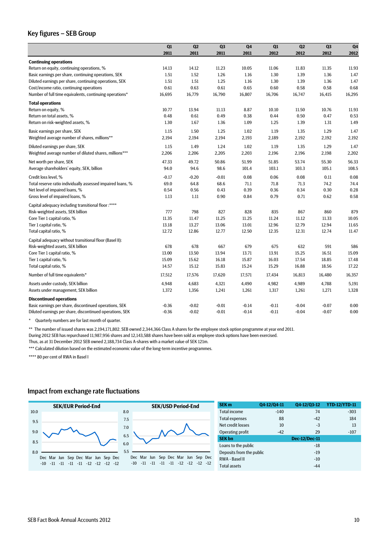### Key figures – SEB Group

|                                                             | Q1      | Q2       | Q <sub>3</sub> | Q <sub>4</sub> | Q1      | Q2      | Q <sub>3</sub> | Q <sub>4</sub> |
|-------------------------------------------------------------|---------|----------|----------------|----------------|---------|---------|----------------|----------------|
|                                                             | 2011    | 2011     | 2011           | 2011           | 2012    | 2012    | 2012           | 2012           |
| <b>Continuing operations</b>                                |         |          |                |                |         |         |                |                |
| Return on equity, continuing operations, %                  | 14.13   | 14.12    | 11.23          | 10.05          | 11.06   | 11.83   | 11.35          | 11.93          |
| Basic earnings per share, continuing operations, SEK        | 1.51    | 1.52     | 1.26           | 1.16           | 1.30    | 1.39    | 1.36           | 1.47           |
| Diluted earnings per share, continuing operations, SEK      | 1.51    | 1.51     | 1.25           | 1.16           | 1.30    | 1.39    | 1.36           | 1.47           |
| Cost/income ratio, continuing operations                    | 0.61    | 0.63     | 0.61           | 0.65           | 0.60    | 0.58    | 0.58           | 0.68           |
| Number of full time equivalents, continuing operations*     | 16,695  | 16,779   | 16,790         | 16,807         | 16,706  | 16,747  | 16,415         | 16,295         |
| <b>Total operations</b>                                     |         |          |                |                |         |         |                |                |
| Return on equity, %                                         | 10.77   | 13.94    | 11.13          | 8.87           | 10.10   | 11.50   | 10.76          | 11.93          |
| Return on total assets, %                                   | 0.48    | 0.61     | 0.49           | 0.38           | 0.44    | 0.50    | 0.47           | 0.53           |
| Return on risk-weighted assets, %                           | 1.30    | 1.67     | 1.36           | 1.09           | 1.25    | 1.39    | 1.31           | 1.49           |
| Basic earnings per share, SEK                               | 1.15    | 1.50     | 1.25           | 1.02           | 1.19    | 1.35    | 1.29           | 1.47           |
| Weighted average number of shares, millions**               | 2,194   | 2,194    | 2,194          | 2,193          | 2,189   | 2,192   | 2,192          | 2,192          |
| Diluted earnings per share, SEK                             | 1.15    | 1.49     | 1.24           | 1.02           | 1.19    | 1.35    | 1.29           | 1.47           |
| Weighted average number of diluted shares, millions***      | 2,206   | 2,206    | 2,205          | 2,203          | 2,196   | 2,196   | 2,198          | 2,202          |
| Net worth per share, SEK                                    | 47.33   | 49.72    | 50.86          | 51.99          | 51.85   | 53.74   | 55.30          | 56.33          |
| Average shareholders' equity, SEK, billion                  | 94.0    | 94.6     | 98.6           | 101.4          | 103.1   | 103.3   | 105.1          | 108.5          |
| Credit loss level, %                                        | $-0.17$ | $-0.20$  | $-0.01$        | 0.08           | 0.06    | 0.08    | 0.11           | 0.08           |
| Total reserve ratio individually assessed impaired loans, % | 69.0    | 64.8     | 68.6           | 71.1           | 71.8    | 71.3    | 74.2           | 74.4           |
| Net level of impaired loans, %                              | 0.54    | 0.56     | 0.43           | 0.39           | 0.36    | 0.34    | 0.30           | 0.28           |
| Gross level of impaired loans, %                            | 1.13    | $1.11\,$ | 0.90           | 0.84           | 0.79    | 0.71    | 0.62           | 0.58           |
| Capital adequacy including transitional floor :****         |         |          |                |                |         |         |                |                |
| Risk-weighted assets, SEK billion                           | 777     | 798      | 827            | 828            | 835     | 867     | 860            | 879            |
| Core Tier 1 capital ratio, %                                | 11.35   | 11.47    | 11.25          | 11.25          | 11.24   | 11.12   | 11.33          | 10.05          |
| Tier 1 capital ratio, %                                     | 13.18   | 13.27    | 13.06          | 13.01          | 12.96   | 12.79   | 12.94          | 11.65          |
| Total capital ratio, %                                      | 12.72   | 12.86    | 12.77          | 12.50          | 12.35   | 12.31   | 12.74          | 11.47          |
| Capital adequacy without transitional floor (Basel II):     |         |          |                |                |         |         |                |                |
| Risk-weighted assets, SEK billion                           | 678     | 678      | 667            | 679            | 675     | 632     | 591            | 586            |
| Core Tier 1 capital ratio, %                                | 13.00   | 13.50    | 13.94          | 13.71          | 13.91   | 15.25   | 16.51          | 15.09          |
| Tier 1 capital ratio, %                                     | 15.09   | 15.62    | 16.18          | 15.87          | 16.03   | 17.54   | 18.85          | 17.48          |
| Total capital ratio, %                                      | 14.57   | 15.12    | 15.83          | 15.24          | 15.29   | 16.88   | 18.56          | 17.22          |
| Number of full time equivalents*                            | 17,512  | 17,576   | 17,620         | 17,571         | 17,434  | 16,813  | 16,480         | 16,357         |
| Assets under custody, SEK billion                           | 4,948   | 4,683    | 4,321          | 4,490          | 4,982   | 4,989   | 4,788          | 5,191          |
| Assets under management, SEK billion                        | 1,372   | 1,356    | 1,241          | 1,261          | 1,317   | 1,261   | 1,271          | 1,328          |
| <b>Discontinued operations</b>                              |         |          |                |                |         |         |                |                |
| Basic earnings per share, discontinued operations, SEK      | $-0.36$ | $-0.02$  | $-0.01$        | $-0.14$        | $-0.11$ | $-0.04$ | $-0.07$        | 0.00           |
| Diluted earnings per share, discontinued operations, SEK    | $-0.36$ | $-0.02$  | $-0.01$        | $-0.14$        | $-0.11$ | $-0.04$ | $-0.07$        | 0.00           |

\* Quarterly numbers are for last month of quarter.

\*\* The number of issued shares was 2,194,171,802. SEB owned 2,344,366 Class A shares for the employee stock option programme at year end 2011.

During 2012 SEB has repurchased 11,987,956 shares and 12,143,588 shares have been sold as employee stock options have been exercised.

Thus, as at 31 December 2012 SEB owned 2,188,734 Class A-shares with a market value of SEK 121m.

\*\*\* Calculated dilution based on the estimated economic value of the long-term incentive programmes.

\*\*\*\* 80 per cent of RWA in Basel I

#### Impact from exchange rate fluctuations

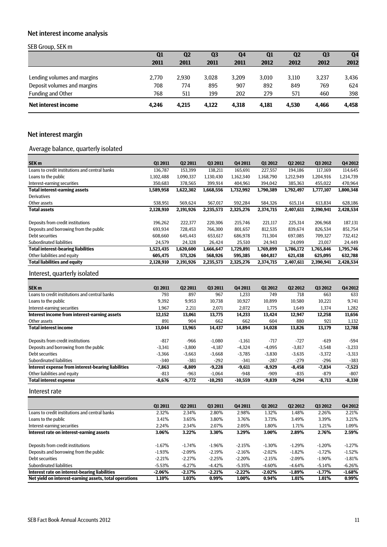# Net interest income analysis

#### SEB Group, SEK m

| . .                         | Q <sub>1</sub> | Q <sub>2</sub> | Q <sub>3</sub> | Q4    | $\mathbf{Q}$ 1 | Q <sub>2</sub> | Q <sub>3</sub> | Q <sub>4</sub> |
|-----------------------------|----------------|----------------|----------------|-------|----------------|----------------|----------------|----------------|
|                             | 2011           | 2011           | 2011           | 2011  | 2012           | 2012           | 2012           | 2012           |
|                             |                |                |                |       |                |                |                |                |
| Lending volumes and margins | 2.770          | 2.930          | 3.028          | 3.209 | 3.010          | 3.110          | 3.237          | 3,436          |
| Deposit volumes and margins | 708            | 774            | 895            | 907   | 892            | 849            | 769            | 624            |
| Funding and Other           | 768            | 511            | 199            | 202   | 279            | 571            | 460            | 398            |
| Net interest income         | 4.246          | 4.215          | 4.122          | 4,318 | 4,181          | 4.530          | 4.466          | 4,458          |

# Net interest margin

# Average balance, quarterly isolated

|           |           |                |                |                |           |                | Q4 2012        |
|-----------|-----------|----------------|----------------|----------------|-----------|----------------|----------------|
| 136.787   | 153,399   | 138,211        | 165,691        | 227,557        | 194,186   | 117,169        | 114,645        |
| 1,102,488 | 1,090,337 | 1,130,430      | 1,162,340      | 1,168,790      | 1,212,949 | 1,204,916      | 1,214,739      |
| 350,683   | 378,565   | 399,914        | 404,961        | 394,042        | 385.363   | 455,022        | 470,964        |
| 1,589,958 | 1,622,302 | 1,668,556      | 1,732,992      | 1,790,389      | 1,792,497 | 1,777,107      | 1,800,348      |
|           |           |                |                |                |           |                |                |
| 538,951   | 569,624   | 567,017        | 592,284        | 584,326        | 615,114   | 613,834        | 628,186        |
| 2,128,910 | 2,191,926 | 2,235,573      | 2,325,276      | 2,374,715      | 2,407,611 | 2,390,941      | 2,428,534      |
| 196.262   | 222.377   | 220.306        | 215.746        | 221,117        | 225.314   | 206.968        | 187.131        |
| 693,934   | 728,453   | 766,300        | 801,657        | 812,535        | 839,674   | 826,534        | 851,754        |
| 608.660   | 645,443   | 653,617        | 686,978        | 711,304        | 697,085   | 709,327        | 732,412        |
| 24.579    | 24,328    | 26.424         | 25,510         | 24,943         | 24.099    | 23.017         | 24,449         |
| 1,523,435 | 1,620,600 | 1,666,647      | 1,729,891      | 1,769,899      | 1,786,172 | 1,765,846      | 1,795,746      |
| 605,475   | 571,326   | 568,926        | 595,385        | 604,817        | 621,438   | 625,095        | 632,788        |
| 2,128,910 | 2,191,926 | 2,235,573      | 2,325,276      | 2,374,715      | 2,407,611 | 2,390,941      | 2,428,534      |
|           | Q1 2011   | <b>Q2 2011</b> | <b>Q3 2011</b> | <b>Q4 2011</b> | Q1 2012   | <b>Q2 2012</b> | <b>Q3 2012</b> |

## Interest, quarterly isolated

| SEK <sub>m</sub>                                   | <b>Q1 2011</b> | <b>Q2 2011</b> | <b>Q3 2011</b> | <b>Q4 2011</b> | 01 2012  | <b>Q2 2012</b> | <b>Q3 2012</b> | <b>Q4 2012</b> |
|----------------------------------------------------|----------------|----------------|----------------|----------------|----------|----------------|----------------|----------------|
| Loans to credit institutions and central banks     | 793            | 897            | 967            | 1.233          | 749      | 718            | 663            | 633            |
| Loans to the public                                | 9,392          | 9,953          | 10,738         | 10,927         | 10,899   | 10,580         | 10,221         | 9,741          |
| Interest-earning securities                        | 1,967          | 2,211          | 2,071          | 2,072          | 1,775    | 1,649          | 1,374          | 1,282          |
| Interest income from interest-earning assets       | 12,152         | 13,061         | 13,775         | 14,233         | 13,424   | 12,947         | 12,258         | 11,656         |
| Other assets                                       | 891            | 904            | 662            | 662            | 604      | 880            | 921            | 1,132          |
| <b>Total interest income</b>                       | 13,044         | 13,965         | 14,437         | 14,894         | 14,028   | 13,826         | 13,179         | 12,788         |
| Deposits from credit institutions                  | $-817$         | $-966$         | $-1.080$       | $-1,161$       | $-717$   | $-727$         | $-619$         | -594           |
| Deposits and borrowing from the public             | $-3.341$       | $-3,800$       | $-4,187$       | $-4,324$       | $-4.095$ | $-3,817$       | $-3,548$       | $-3,233$       |
| Debt securities                                    | $-3,366$       | $-3,663$       | $-3,668$       | $-3,785$       | $-3,830$ | $-3,635$       | $-3,372$       | $-3,313$       |
| Subordinated liabilities                           | $-340$         | $-381$         | $-292$         | $-341$         | $-287$   | $-279$         | $-296$         | $-383$         |
| Interest expense from interest-bearing liabilities | $-7,863$       | $-8,809$       | $-9,228$       | $-9,611$       | $-8,929$ | $-8,458$       | $-7,834$       | $-7,523$       |
| Other liabilities and equity                       | -813           | $-963$         | $-1,064$       | -948           | $-909$   | -835           | -879           | $-807$         |
| <b>Total interest expense</b>                      | $-8,676$       | $-9,772$       | $-10,293$      | $-10,559$      | $-9,839$ | $-9,294$       | $-8,713$       | $-8,330$       |

Interest rate

|                                                        | <b>Q1 2011</b> | <b>Q2 2011</b> | <b>Q3 2011</b> | <b>Q4 2011</b> | <b>Q1 2012</b> | <b>Q2 2012</b> | <b>Q3 2012</b> | Q4 2012  |
|--------------------------------------------------------|----------------|----------------|----------------|----------------|----------------|----------------|----------------|----------|
| Loans to credit institutions and central banks         | 2.32%          | 2.34%          | 2.80%          | 2.98%          | 1.32%          | 1.48%          | 2.26%          | 2.21%    |
| Loans to the public                                    | 3.41%          | 3.65%          | 3.80%          | 3.76%          | 3.73%          | 3.49%          | 3.39%          | 3.21%    |
| Interest-earning securities                            | 2.24%          | 2.34%          | 2.07%          | 2.05%          | 1.80%          | 1.71%          | 1.21%          | 1.09%    |
| Interest rate on interest-earning assets               | 3.06%          | 3.22%          | 3.30%          | 3.29%          | 3.00%          | 2.89%          | 2.76%          | 2.59%    |
| Deposits from credit institutions                      | $-1.67%$       | $-1.74%$       | $-1.96%$       | $-2.15%$       | $-1.30%$       | $-1.29%$       | $-1.20%$       | $-1.27%$ |
| Deposits and borrowing from the public                 | $-1.93%$       | $-2.09\%$      | $-2.19%$       | $-2.16%$       | $-2.02\%$      | $-1.82%$       | $-1.72%$       | $-1.52%$ |
| Debt securities                                        | $-2.21%$       | $-2.27%$       | $-2.25%$       | $-2.20%$       | $-2.15%$       | $-2.09\%$      | $-1.90%$       | $-1.81%$ |
| Subordinated liabilities                               | $-5.53%$       | $-6.27%$       | $-4.42%$       | $-5.35%$       | $-4.60\%$      | $-4.64%$       | $-5.14%$       | $-6.26%$ |
| Interest rate on interest-bearing liabilities          | $-2.06%$       | $-2.17%$       | $-2.21%$       | $-2.22%$       | $-2.02%$       | $-1.89%$       | $-1.77\%$      | $-1.68%$ |
| Net yield on interest-earning assets, total operations | 1.10%          | 1.03%          | 0.99%          | 1.00%          | 0.94%          | 1.01%          | 1.01%          | 0.99%    |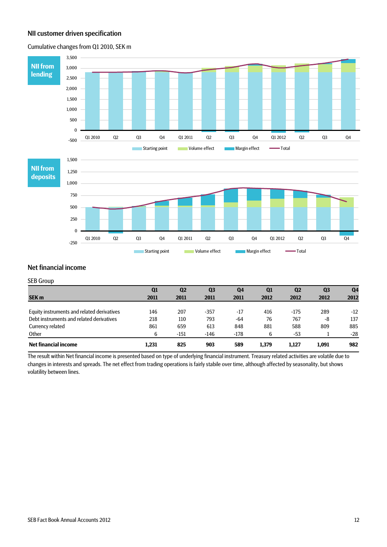## NII customer driven specification

Cumulative changes from Q1 2010, SEK m



#### Net financial income

#### SEB Group

|                                            | Q1    | $\mathbf{Q}$ | Q <sub>3</sub> | Q4     | Q <sub>1</sub> | Q <sub>2</sub> | Q <sub>3</sub> | Q <sub>4</sub> |
|--------------------------------------------|-------|--------------|----------------|--------|----------------|----------------|----------------|----------------|
| <b>SEK m</b>                               | 2011  | 2011         | 2011           | 2011   | 2012           | 2012           | 2012           | 2012           |
|                                            |       |              |                |        |                |                |                |                |
| Equity instruments and related derivatives | 146   | 207          | $-357$         | -17    | 416            | $-175$         | 289            | $-12$          |
| Debt instruments and related derivatives   | 218   | 110          | 793            | $-64$  | 76             | 767            | -8             | 137            |
| Currency related                           | 861   | 659          | 613            | 848    | 881            | 588            | 809            | 885            |
| Other                                      | 6     | $-151$       | $-146$         | $-178$ | b              | -53            |                | $-28$          |
| Net financial income                       | 1.231 | 825          | 903            | 589    | 1.379          | 1.127          | 1.091          | 982            |

The result within Net financial income is presented based on type of underlying financial instrument. Treasury related activities are volatile due to changes in interests and spreads. The net effect from trading operations is fairly stabile over time, although affected by seasonality, but shows volatility between lines.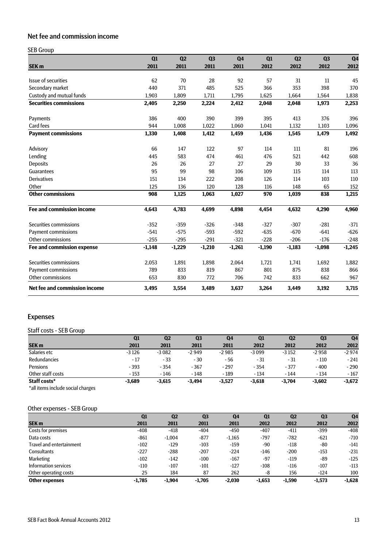# Net fee and commission income

### SEB Group

|                                      | Q1<br>2011 | Q <sub>2</sub><br>2011 | Q <sub>3</sub><br>2011 | Q <sub>4</sub><br>2011 | Q1<br>2012 | Q2       | Q <sub>3</sub> | Q <sub>4</sub> |
|--------------------------------------|------------|------------------------|------------------------|------------------------|------------|----------|----------------|----------------|
| SEK <sub>m</sub>                     |            |                        |                        |                        |            | 2012     | 2012           | 2012           |
| Issue of securities                  | 62         | 70                     | 28                     | 92                     | 57         | 31       | 11             | 45             |
| Secondary market                     | 440        | 371                    | 485                    | 525                    | 366        | 353      | 398            | 370            |
| Custody and mutual funds             | 1,903      | 1,809                  | 1,711                  | 1,795                  | 1,625      | 1,664    | 1,564          | 1,838          |
| <b>Securities commissions</b>        | 2,405      | 2,250                  | 2,224                  | 2,412                  | 2,048      | 2,048    | 1,973          | 2,253          |
| Payments                             | 386        | 400                    | 390                    | 399                    | 395        | 413      | 376            | 396            |
| Card fees                            | 944        | 1,008                  | 1.022                  | 1,060                  | 1,041      | 1,132    | 1,103          | 1,096          |
| <b>Payment commissions</b>           | 1,330      | 1,408                  | 1,412                  | 1,459                  | 1,436      | 1,545    | 1,479          | 1,492          |
| Advisory                             | 66         | 147                    | 122                    | 97                     | 114        | 111      | 81             | 196            |
| Lending                              | 445        | 583                    | 474                    | 461                    | 476        | 521      | 442            | 608            |
| <b>Deposits</b>                      | 26         | 26                     | 27                     | 27                     | 29         | 30       | 33             | 36             |
| Guarantees                           | 95         | 99                     | 98                     | 106                    | 109        | 115      | 114            | 113            |
| Derivatives                          | 151        | 134                    | 222                    | 208                    | 126        | 114      | 103            | 110            |
| Other                                | 125        | 136                    | 120                    | 128                    | 116        | 148      | 65             | 152            |
| <b>Other commissions</b>             | 908        | 1,125                  | 1,063                  | 1,027                  | 970        | 1,039    | 838            | 1,215          |
| <b>Fee and commission income</b>     | 4,643      | 4,783                  | 4,699                  | 4,898                  | 4,454      | 4,632    | 4,290          | 4,960          |
| Securities commissions               | $-352$     | $-359$                 | $-326$                 | $-348$                 | $-327$     | $-307$   | $-281$         | $-371$         |
| Payment commissions                  | $-541$     | $-575$                 | $-593$                 | $-592$                 | $-635$     | $-670$   | $-641$         | $-626$         |
| <b>Other commissions</b>             | $-255$     | $-295$                 | $-291$                 | $-321$                 | $-228$     | $-206$   | $-176$         | $-248$         |
| Fee and commission expense           | $-1,148$   | $-1,229$               | $-1,210$               | $-1,261$               | $-1,190$   | $-1,183$ | $-1,098$       | $-1,245$       |
| Securities commissions               | 2,053      | 1,891                  | 1,898                  | 2,064                  | 1,721      | 1,741    | 1,692          | 1,882          |
| Payment commissions                  | 789        | 833                    | 819                    | 867                    | 801        | 875      | 838            | 866            |
| Other commissions                    | 653        | 830                    | 772                    | 706                    | 742        | 833      | 662            | 967            |
| <b>Net fee and commission income</b> | 3,495      | 3,554                  | 3,489                  | 3,637                  | 3,264      | 3,449    | 3,192          | 3,715          |

# Expenses

#### Staff costs - SEB Group

|                     | Q1       | Q <sub>2</sub> | Q <sub>3</sub> | Q4       | Q1       | Q <sub>2</sub> | Q <sub>3</sub> | Q <sub>4</sub> |
|---------------------|----------|----------------|----------------|----------|----------|----------------|----------------|----------------|
| <b>SEK m</b>        | 2011     | 2011           | 2011           | 2011     | 2012     | 2012           | 2012           | 2012           |
| Salaries etc        | $-3126$  | $-3082$        | $-2949$        | $-2985$  | $-3099$  | $-3152$        | $-2958$        | $-2974$        |
| <b>Redundancies</b> | $-17$    | $-33$          | $-30$          | - 56     | $-31$    | - 31           | $-110$         | $-241$         |
| Pensions            | $-393$   | $-354$         | $-367$         | $-297$   | $-354$   | $-377$         | $-400$         | $-290$         |
| Other staff costs   | $-153$   | $-146$         | $-148$         | $-189$   | $-134$   | $-144$         | $-134$         | $-167$         |
| Staff costs*        | $-3,689$ | $-3,615$       | $-3.494$       | $-3,527$ | $-3,618$ | $-3.704$       | $-3,602$       | $-3,672$       |

\*all items include social charges

## Other expenses - SEB Group

|                          | Q1       | Q <sub>2</sub> | Q <sub>3</sub> | Q <sub>4</sub> | Q1       | Q <sub>2</sub> | Q <sub>3</sub> | Q <sub>4</sub> |
|--------------------------|----------|----------------|----------------|----------------|----------|----------------|----------------|----------------|
| <b>SEK m</b>             | 2011     | 2011           | 2011           | 2011           | 2012     | 2012           | 2012           | 2012           |
| Costs for premises       | $-408$   | $-418$         | $-404$         | $-450$         | $-407$   | $-411$         | $-399$         | $-408$         |
| Data costs               | $-861$   | $-1.004$       | $-877$         | $-1,165$       | $-797$   | -782           | $-621$         | $-710$         |
| Travel and entertainment | $-102$   | $-129$         | $-103$         | $-159$         | $-90$    | $-118$         | $-80$          | $-141$         |
| <b>Consultants</b>       | $-227$   | $-288$         | $-207$         | $-224$         | $-146$   | $-200$         | $-153$         | $-231$         |
| Marketing                | $-102$   | $-142$         | $-100$         | $-167$         | $-97$    | $-119$         | $-89$          | $-125$         |
| Information services     | $-110$   | $-107$         | $-101$         | $-127$         | $-108$   | $-116$         | $-107$         | $-113$         |
| Other operating costs    | 25       | 184            | 87             | 262            | -8       | 156            | $-124$         | 100            |
| <b>Other expenses</b>    | $-1.785$ | $-1.904$       | $-1,705$       | $-2.030$       | $-1,653$ | $-1,590$       | $-1.573$       | $-1,628$       |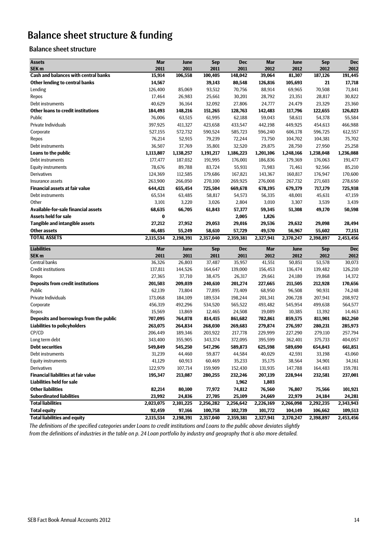# Balance sheet structure & funding

## Balance sheet structure

| <b>Assets</b>                                                   | <b>Mar</b>          | June                | <b>Sep</b>           | <b>Dec</b>           | Mar                  | June                 | <b>Sep</b>           | <b>Dec</b>           |
|-----------------------------------------------------------------|---------------------|---------------------|----------------------|----------------------|----------------------|----------------------|----------------------|----------------------|
| SEK <sub>m</sub><br><b>Cash and balances with central banks</b> | 2011                | 2011                | 2011                 | 2011                 | 2012                 | 2012                 | 2012                 | 2012                 |
|                                                                 | 15,914              | 106,558             | 100,405              | 148,042              | 39,064               | 81,307               | 187,126              | 191,445              |
| Other lending to central banks                                  | 14,567              |                     | 39,143               | 80,548               | 126,816              | 105,693              | 21                   | 17,718               |
| Lending                                                         | 126,400             | 85,069              | 93,512               | 70,756               | 88,914               | 69,965               | 70,508               | 71,841               |
| Repos                                                           | 17,464              | 26,983              | 25,661               | 30,201               | 28,792               | 23,351               | 28,817               | 30,822               |
| Debt instruments                                                | 40,629              | 36,164              | 32,092               | 27,806               | 24,777               | 24,479               | 23,329               | 23,360               |
| <b>Other loans to credit institutions</b>                       | 184,493             | 148,216             | 151,265              | 128,763              | 142,483              | 117,796              | 122,655              | 126,023              |
| Public                                                          | 76,006              | 63,515              | 61,995               | 62,188               | 59,043               | 58,611               | 54,378               | 55,584               |
| Private Individuals                                             | 397,925             | 411,327             | 423,658              | 433,547              | 442,198              | 449,925              | 454,613              | 466,988              |
| Corporate                                                       | 527,155             | 572,732             | 590,524              | 585,723              | 596,240              | 606,178              | 596,725              | 612,557              |
| Repos                                                           | 76,214              | 52,915              | 79,239               | 72,244               | 73,750               | 104,702              | 104,381              | 75,702               |
| Debt instruments                                                | 36,507              | 37,769              | 35,801               | 32,520               | 29,875               | 28,750               | 27,950               | 25,258               |
| Loans to the public                                             | 1,113,807           | 1,138,257           | 1,191,217            | 1,186,223            | 1,201,106            | 1,248,166            | 1,238,048            | 1,236,088            |
| Debt instruments                                                | 177,477             | 187,032             | 191,995              | 176,001              | 186,836              | 179,369              | 176,063              | 191,477              |
| <b>Equity instruments</b>                                       | 78,676              | 89,788              | 83,724               | 55,931               | 71,983               | 71,461               | 92,566               | 85,210               |
| Derivatives                                                     | 124,369             | 112,585             | 179,686              | 167,821              | 143,367              | 160,817              | 176,947              | 170,600              |
| Insurance assets                                                | 263,900             | 266,050             | 270,100              | 269,925              | 276,008              | 267,732              | 271,603              | 278,650              |
| <b>Financial assets at fair value</b>                           | 644,421             | 655,454             | 725,504              | 669,678              | 678,195              | 679,379              | 717,179              | 725,938              |
| Debt instruments                                                | 65,534              | 63,485              | 58,817               | 54,573               | 56,335               | 48,001               | 45,631               | 47,159               |
| Other                                                           | 3,101               | 3,220               | 3,026                | 2,804                | 3,010                | 3,307                | 3,539                | 3,439                |
| <b>Available-for-sale financial assets</b>                      | 68,635              | 66,705              | 61,843               | 57,377               | 59,345               | 51,308               | 49,170               | 50,598               |
| <b>Assets held for sale</b>                                     | $\bf{0}$            |                     |                      | 2,005                | 1,826                |                      |                      |                      |
| <b>Tangible and intangible assets</b>                           | 27,212              | 27,952              | 29,053               | 29,016               | 29,536               | 29,632               | 29,098               | 28,494               |
| <b>Other assets</b>                                             | 46,485              | 55,249              | 58,610               | 57,729               | 49,570               | 56,967               | 55,602               | 77,151               |
| <b>TOTAL ASSETS</b>                                             | 2,115,534           | 2,198,391           | 2,357,040            | 2,359,381            | 2,327,941            | 2,370,247            | 2,398,897            | 2,453,456            |
|                                                                 |                     |                     |                      |                      |                      |                      |                      |                      |
| <b>Liabilities</b>                                              | <b>Mar</b>          | June                | <b>Sep</b>           | <b>Dec</b>           | <b>Mar</b>           | June                 | <b>Sep</b>           | <b>Dec</b>           |
| SEK <sub>m</sub>                                                | 2011                | 2011                | 2011                 | 2011                 | 2012                 | 2012                 | 2012                 | 2012                 |
| Central banks                                                   | 36,326              | 26,803              | 37,487               | 35,957               | 41,551               | 50,851               | 53,578               | 30,073               |
| <b>Credit institutions</b>                                      | 137,811             | 144,526             | 164,647              | 139,000              | 156,453              | 136,474              | 139,482              | 126,210              |
| Repos                                                           | 27,365              | 37,710              | 38,475               | 26,317               | 29,661               | 24,180               | 19,868               | 14,372               |
| <b>Deposits from credit institutions</b>                        | 201,503             | 209,039             | 240,610              | 201,274              | 227,665              | 211,505              | 212,928              | 170,656              |
| Public                                                          | 62,139              | 73,804              | 77,895               | 73,409               | 68,950               | 96,508               | 90,931               | 74,248               |
| Private Individuals                                             | 173,068             | 184,109             | 189,534              | 198,244              | 201,341              | 206,728              | 207,941              | 208,972              |
| Corporate                                                       | 456,319             | 492,296             | 534,520              | 565,522              | 493,482              | 545,954              | 499,638              | 564,577              |
| Repos                                                           | 15,569              | 13,869              | 12,465               | 24,508               | 19,089               | 10,385               | 13,392               | 14,463               |
| Deposits and borrowings from the public                         | 707,095             | 764,078             | 814,415              | 861,682              | 782,861              | 859,575              | 811,901              | 862,260              |
| <b>Liabilities to policyholders</b>                             | 263,075             | 264,834             | 268,030              | 269,683              | 279,874              | 276,597              | 280,231              | 285,973              |
| CP/CD                                                           | 206,449             | 189,346             | 203,922              | 217,778              | 229,999              | 227,290              | 279,110              | 257,794              |
| Long term debt                                                  | 343,400             | 355,905             | 343,374              | 372,095              | 395.599              | 362,401              | 375,733              | 404,057              |
| <b>Debt securities</b>                                          | 549,849             | 545,250             | 547,296              | 589,873              | 625,598              | 589,690              | 654,843              | 661,851              |
| Debt instruments                                                | 31,239              | 44,460              | 59,877               | 44,584               | 40,029               | 42,591               | 33,198               | 43,060               |
| <b>Equity instruments</b>                                       | 41,129              | 60,913              | 60,469               | 35,233               | 35,175               | 38,564               | 34,901               | 34,161               |
| Derivatives                                                     | 122,979             | 107,714             | 159,909              | 152,430              | 131,935              | 147,788              | 164,483              | 159,781              |
| <b>Financial liabilities at fair value</b>                      | 195,347             | 213,087             | 280,255              | 232,246              | 207,139              | 228,944              | 232,581              | 237,001              |
| <b>Liabilities held for sale</b>                                |                     |                     |                      | 1,962                | 1,803                |                      |                      |                      |
| <b>Other liabilities</b>                                        | 82,214              | 80,100              | 77,972               | 74,812               | 76,560               | 76,807               | 75,566               | 101,921              |
| <b>Subordinated liabilities</b>                                 | 23,992              | 24,836              | 27,705               | 25,109               | 24,669               | 22,979               | 24,184               | 24,281               |
| <b>Total liabilities</b>                                        | 2,023,075           | 2,101,225           | 2,256,282            | 2,256,642            | 2,226,169            | 2,266,098            | 2,292,235            | 2,343,943            |
| <b>Total equity</b><br><b>Total liabilities and equity</b>      | 92,459<br>2,115,534 | 97,166<br>2,198,391 | 100,758<br>2,357,040 | 102,739<br>2,359,381 | 101,772<br>2,327,941 | 104,149<br>2,370,247 | 106,662<br>2,398,897 | 109,513<br>2,453,456 |

*The definitions of the specified categories under Loans to credit institutions and Loans to the public above deviates slightly from the definitions of industries in the table on p. 24 Loan portfolio by industry and geography that is also more detailed.*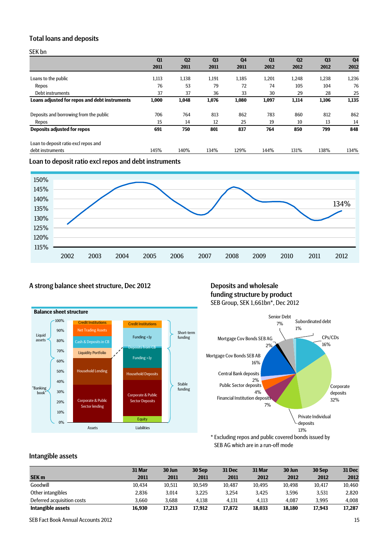## Total loans and deposits

SEK bn

|                                               | Q1    | Q <sub>2</sub> | Q <sub>3</sub> | Q <sub>4</sub> | Q1    | Q <sub>2</sub> | Q <sub>3</sub> | Q <sub>4</sub> |
|-----------------------------------------------|-------|----------------|----------------|----------------|-------|----------------|----------------|----------------|
|                                               | 2011  | 2011           | 2011           | 2011           | 2012  | 2012           | 2012           | 2012           |
| Loans to the public                           | 1,113 | 1,138          | 1,191          | 1,185          | 1,201 | 1,248          | 1,238          | 1,236          |
| Repos                                         | 76    | 53             | 79             | 72             | 74    | 105            | 104            | 76             |
| Debt instruments                              | 37    | 37             | 36             | 33             | 30    | 29             | 28             | 25             |
| Loans adjusted for repos and debt instruments | 1,000 | 1,048          | 1,076          | 1,080          | 1,097 | 1,114          | 1,106          | 1,135          |
| Deposits and borrowing from the public        | 706   | 764            | 813            | 862            | 783   | 860            | 812            | 862            |
| Repos                                         | 15    | 14             | 12             | 25             | 19    | 10             | 13             | 14             |
| <b>Deposits adjusted for repos</b>            | 691   | 750            | 801            | 837            | 764   | 850            | 799            | 848            |
| Loan to deposit ratio excl repos and          |       |                |                |                |       |                |                |                |
| debt instruments                              | 145%  | 140%           | 134%           | 129%           | 144%  | 131%           | 138%           | 134%           |
|                                               |       |                |                |                |       |                |                |                |

Loan to deposit ratio excl repos and debt instruments



## A strong balance sheet structure, Dec 2012 Deposits and wholesale



# funding structure by product SEB Group, SEK 1,661bn\*, Dec 2012



\* Excluding repos and public covered bonds issued by SEB AG which are in a run-off mode

## Intangible assets

|                            | 31 Mar | 30 Jun | 30 Sep | <b>31 Dec</b> | 31 Mar | 30 Jun | 30 Sep | <b>31 Dec</b> |
|----------------------------|--------|--------|--------|---------------|--------|--------|--------|---------------|
| <b>SEK m</b>               | 2011   | 2011   | 2011   | 2011          | 2012   | 2012   | 2012   | 2012          |
| Goodwill                   | 10,434 | 10,511 | 10,549 | 10,487        | 10.495 | 10,498 | 10,417 | 10,460        |
| Other intangibles          | 2,836  | 3.014  | 3,225  | 3.254         | 3.425  | 3.596  | 3,531  | 2,820         |
| Deferred acquisition costs | 3.660  | 3.688  | 4.138  | 4.131         | 4.113  | 4.087  | 3.995  | 4,008         |
| Intangible assets          | 16.930 | 17.213 | 17,912 | 17.872        | 18.033 | 18.180 | 17.943 | 17,287        |

SEB Fact Book Annual Accounts 2012 15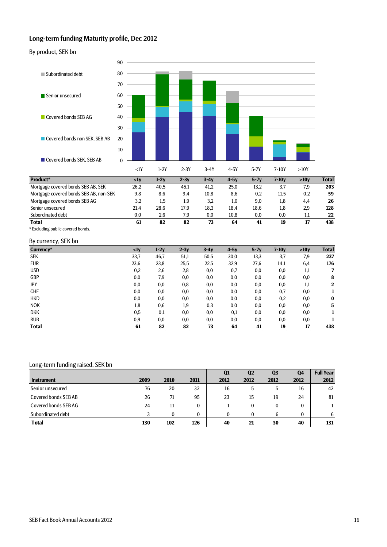### Long-term funding Maturity profile, Dec 2012

By product, SEK bn



| .                                      |          |      |      |          |      |          |         |     |     |
|----------------------------------------|----------|------|------|----------|------|----------|---------|-----|-----|
| <b>Total</b>                           | 61       | 82   | 82   | 73       | 64   | 41       | 19      | 17  | 438 |
| Subordinated debt                      | $_{0.0}$ | 2.6  | 7.9  | $_{0.0}$ | 10.8 | $_{0.0}$ | $0.0\,$ | . . | 22  |
| Senior unsecured                       | 21.4     | 28.6 | 17.9 | 18,3     | 18,4 | 18.6     | 1.8     | 2,9 | 128 |
| Mortgage covered bonds SEB AG          | 3,2      | 1.5  | 1,9  | 3.2      | 1.0  | 9,0      | 1.8     | 4.4 | 26  |
| Mortgage covered bonds SEB AB, non-SEK | 9,8      | 8.6  | 9.4  | 10.8     | 8.6  | 0.2      | 11.5    | 0,2 | 59  |

\* Excluding public covered bonds.

#### By currency, SEK bn

| Currency*    | $\langle$ 1y | $1-2y$   | $2-3y$ | $3-4y$ | $4-5y$ | $5-7y$ | $7-10y$  | >10y | <b>Total</b> |
|--------------|--------------|----------|--------|--------|--------|--------|----------|------|--------------|
| SEK          | 33,7         | 46,7     | 51,1   | 50,5   | 30,0   | 13,3   | 3,7      | 7,9  | 237          |
| <b>EUR</b>   | 23,6         | 23,8     | 25,5   | 22,5   | 32,9   | 27,6   | 14,1     | 6,4  | 176          |
| <b>USD</b>   | 0,2          | 2,6      | 2,8    | 0,0    | 0,7    | 0,0    | 0,0      | 1,1  | 7            |
| GBP          | 0,0          | 7,9      | 0,0    | 0,0    | 0,0    | 0,0    | 0,0      | 0,0  | 8            |
| JPY          | 0,0          | $_{0,0}$ | 0,8    | 0,0    | 0,0    | 0,0    | $_{0,0}$ | 1,1  | $\mathbf{2}$ |
| <b>CHF</b>   | $_{0,0}$     | $_{0,0}$ | 0,0    | 0,0    | 0,0    | 0,0    | 0,7      | 0,0  |              |
| <b>HKD</b>   | 0,0          | 0,0      | 0,0    | 0,0    | 0,0    | 0,0    | 0,2      | 0,0  | $\bf{0}$     |
| <b>NOK</b>   | 1,8          | 0,6      | 1,9    | 0,3    | 0,0    | 0,0    | 0,0      | 0,0  | 5            |
| <b>DKK</b>   | 0,5          | 0,1      | 0,0    | 0,0    | 0,1    | 0,0    | 0,0      | 0,0  |              |
| <b>RUB</b>   | 0,9          | $_{0,0}$ | 0,0    | 0,0    | 0,0    | 0,0    | 0,0      | 0,0  |              |
| <b>Total</b> | 61           | 82       | 82     | 73     | 64     | 41     | 19       | 17   | 438          |

#### Long-term funding raised, SEK bn

|                      |      |      |          | Q <sub>1</sub> | Q <sub>2</sub> | Q <sub>3</sub> | Q4       | <b>Full Year</b> |
|----------------------|------|------|----------|----------------|----------------|----------------|----------|------------------|
| <b>Instrument</b>    | 2009 | 2010 | 2011     | 2012           | 2012           | 2012           | 2012     | 2012             |
| Senior unsecured     | 76   | 20   | 32       | 16             | .5             | 5              | 16       | 42               |
| Covered bonds SEB AB | 26   | 71   | 95       | 23             | 15             | 19             | 24       | 81               |
| Covered bonds SEBAG  | 24   |      | 0        |                | 0              | 0              | 0        |                  |
| Subordinated debt    |      | 0    | $\theta$ | 0              | 0              | 6              | $\bf{0}$ | 6                |
| <b>Total</b>         | 130  | 102  | 126      | 40             | 21             | 30             | 40       | 131              |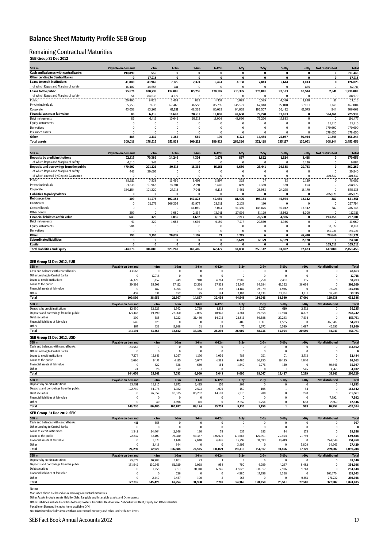## Balance Sheet Maturity Profile SEB Group

#### Remaining Contractual Maturities

#### **SEB Group 31 Dec 2012**

| SEK m                                                       | Payable on demand           | <1m               | $1-3m$               | $3-6m$                   | 6-12m                   | $1-2y$               | $2-5y$               | $5-10y$                 | >10y                  | <b>Not distributed</b>               | <b>Total</b>           |
|-------------------------------------------------------------|-----------------------------|-------------------|----------------------|--------------------------|-------------------------|----------------------|----------------------|-------------------------|-----------------------|--------------------------------------|------------------------|
| Cash and balances with central banks                        | 190,890                     | 555               | 0                    | 0                        | 0                       | 0                    | 0                    | $\bf{0}$                | $\bf{0}$              | 0                                    | 191,445                |
| <b>Other Lending to Central Banks</b>                       | $\bf{0}$                    | 17,718            | $\pmb{0}$            | 0                        | $\pmb{0}$               | $\bf{0}$             | $\bf{0}$             | $\bf{0}$                | 0                     | 0                                    | 17,718                 |
| <b>Loans to credit institutions</b>                         | 41,880                      | 49,962            | 7,725                | 2,374                    | 6,424                   | 4,158                | 7,843                | 2,614                   | 3,043                 | $\pmb{0}$                            | 126,023                |
| of which Repos and Margins of safety                        | 16,402                      | 44,653            | 781                  | $\Omega$                 | $\Omega$                | $\Omega$             | $\Omega$             | $\Omega$                | 875                   | $\Omega$                             | 62,711                 |
| Loans to the public<br>of which Repos and Margins of safety | 75,674                      | 100,733<br>84,635 | 132,085              | 85,756<br>$\overline{a}$ | 170,187<br>2            | 215,335<br>0         | 270,881<br>$\bf{0}$  | 92,583<br>$\bf{0}$      | 90,514<br>$\mathbf 0$ | 2,341                                | 1,236,088              |
| Public                                                      | 54<br>26,860                | 9,828             | 4,277<br>3,469       | 829                      | 4,353                   | 5,093                | 6,525                | 4,080                   | 1,928                 | $\bf{0}$<br>51                       | 88,970<br>63,016       |
| Private individuals                                         | 5,756                       | 7,638             | 67,465               | 36,558                   | 85,795                  | 145,577              | 67,848               | 22,010                  | 27,011                | 1,346                                | 467,004                |
| Corporate                                                   | 43,058                      | 83,267            | 61,151               | 48,369                   | 80,039                  | 64,665               | 196,507              | 66,492                  | 61,575                | 944                                  | 706,069                |
| Financial assets at fair value                              | 86                          | 6,415             | 10,642               | 20,513                   | 13,008                  | 43,660               | 79,270               | 17,883                  | $\bf{0}$              | 534,461                              | 725,938                |
| Debt instruments                                            | 86                          | 6,415             | 10,642               | 20,513                   | 13,008                  | 43,660               | 79,270               | 17,883                  | $\pmb{0}$             | $\pmb{0}$                            | 191,477                |
| <b>Equity instruments</b>                                   | 0                           | $\bf{0}$          | $\bf{0}$             | 0                        | $\mathbf 0$             | $\bf{0}$             | $\bf{0}$             | $\bf{0}$                | $\mathbf 0$           | 85,210                               | 85,210                 |
| Derivatives<br>Insurance assets                             | 0<br>$\Omega$               | 0<br>$\Omega$     | $\bf{0}$<br>$\Omega$ | $\bf{0}$<br>$\Omega$     | 0<br>$\Omega$           | $\bf{0}$<br>$\Omega$ | $\bf{0}$<br>$\Omega$ | $\bf{0}$<br>$\Omega$    | $\bf{0}$<br>$\Omega$  | 170,600<br>278,650                   | 170,600<br>278,650     |
| Other                                                       | 483                         | 3,132             | 1,385                | 569                      | 195                     | 6,173                | 14,434               | 22,037                  | 36,494                | 71,343                               | 156,244                |
| <b>Total assets</b>                                         | 309,013                     | 178,515           | 151,838              | 109,212                  | 189,813                 | 269,326              | 372,428              | 135,117                 | 130,051               | 608,144                              | 2,453,456              |
|                                                             |                             |                   |                      |                          |                         |                      |                      |                         |                       |                                      |                        |
| SEK m                                                       | Payable on demand           | $<$ lm            | $1-3m$               | $3-6m$                   | 6-12m                   | $1-2y$               | $2-5y$               | $5-10y$                 | >10                   | <b>Not distributed</b>               | <b>Total</b>           |
| <b>Deposits by credit institutions</b>                      | 72,315                      | 70,386            | 14,249               | 4,304                    | 1,671                   | 867                  | 1,822                | 1,624                   | 3,418                 | $\bf{0}$                             | 170,656                |
| of which Repos and Margins of safety                        | 4,810                       | 947               | $\Omega$             | 0                        | $\Omega$                | $\bf{0}$             | $\Omega$             | $\Omega$                | 1,126                 | $\Omega$                             | 6,884                  |
| Deposits and borrowings from the public                     | 470,607                     | 201,126           | 80,513               | 18,335                   | 16,161                  | 4,656                | 25,441               | 24,688                  | 20,733                | $\bf{0}$                             | 862,260                |
| of which Repos and Margins of safety                        | 443                         | 30,097            | 0                    | 0                        | $\bf{0}$                | $\bf{0}$             | $\pmb{0}$            | $\pmb{0}$               | $\bf{0}$              | $\bf{0}$                             | 30,540                 |
| of which covered by Deposit Guarantee<br>                   | $\bf{0}$                    | $\bf{0}$          | $\bf{0}$             | $\bf{0}$                 | $\mathbf 0$             | $\bf{0}$             | $\bf{0}$             | $\bf{0}$                | $\Omega$              | 310,332                              | 310,332                |
| Public                                                      | 38,921                      | 7,838             | 16,499               | 8,603                    | 3,597                   | 325                  | 77                   | 33                      | 2,159                 | $\bf{0}$                             | 78,052                 |
| Private individuals<br>Corporate                            | 71,533                      | 91,968            | 36,301               | 2,691                    | 3,446                   | 869                  | 1,380                | 380                     | 404                   | $\bf{0}$<br>$\Omega$                 | 208,972                |
| <b>Liabilities to policyholders</b>                         | 360,154<br>0                | 101,320<br>0      | 27,713<br>0          | 7,041<br>0               | 9,118<br>$\bf{0}$       | 3,461<br>$\bf{0}$    | 23,983<br>$\bf{0}$   | 24,275<br>$\bf{0}$      | 18,170<br>0           | 285,973                              | 575,235<br>285,973     |
| <b>Debt securities</b>                                      | 309                         | 31,773            | 107,384              | 140,878                  | 40,465                  | 81,405               | 195,134              | 45,974                  | 18,142                | 387                                  | 661,851                |
| Certificates                                                | 0                           | 31,773            | 106,304              | 93,974                   | 23,511                  | 2,103                | 130                  | $\bf{0}$                | $\mathbf 0$           | $\pmb{0}$                            | 257,794                |
| Covered bonds                                               | $\pmb{0}$                   | 0                 | 0                    | 44,069                   | 3,044                   | 51,386               | 143,876              | 30,042                  | 13,942                | 387                                  | 286,746                |
| Other bonds                                                 | 309                         | 0                 | 1,080                | 2,834                    | 13,911                  | 27,916               | 51,129               | 15,932                  | 4,200                 | $\bf{0}$                             | 117,311                |
| <b>Financial liabilities at fair value</b>                  | 645                         | 329               | 1,056                | 4,692                    | 4,159                   | 7,217                | 20,560               | 4,986                   | 0                     | 193,358                              | 237,001                |
| Debt instruments                                            | 61                          | 329               | 1,056                | 4,692                    | 4,159                   | 7,217                | 20,560               | 4,986                   | $\bf{0}$              | $\bf{0}$                             | 43,060                 |
| <b>Equity instruments</b>                                   | 584                         | 0                 | $\bf{0}$             | $\bf{0}$                 | $\bf{0}$                | 0                    | 0                    | $\bf{0}$                | $\bf{0}$              | 33,577                               | 34,161                 |
| Derivatives<br>Other                                        | $\bf{0}$<br>196             | 0<br>3,190        | $\bf{0}$<br>20,037   | $\bf{0}$<br>1,197        | $\pmb{0}$<br>21         | $\bf{0}$<br>1,215    | $\bf{0}$<br>6        | $\bf{0}$<br>$\mathbf 0$ | $\Omega$<br>47,410    | 159,781<br>28,649                    | 159,781<br>101,921     |
| <b>Subordinated liabilities</b>                             | 3                           | 0                 | 0                    | $\bf{0}$                 | $\bf{0}$                | 2,649                | 12,179               | 6,529                   | 2,920                 | $\bf{0}$                             | 24,281                 |
| <b>Equity</b>                                               | 0                           | 0                 | 0                    | 0                        | 0                       | 0                    | 0                    | $\bf{0}$                | 0                     | 109,513                              | 109,513                |
| <b>Total Liabilities and Equity</b>                         | 544,076                     | 306,803           | 223.240              | 169,405                  | 62,477                  | 98,008               | 255,142              | 83,802                  | 92,623                | 617,880                              | 2,453,456              |
|                                                             |                             |                   |                      |                          |                         |                      |                      |                         |                       |                                      |                        |
| SEB Group 31 Dec 2012, EUR                                  |                             |                   |                      |                          |                         |                      |                      |                         |                       |                                      |                        |
| SEK <sub>m</sub>                                            | Payable on demand           | < 1m              | $1-3m$               | $3-6m$                   | $6-12m$                 | $1-2y$               | $2-5y$               | $5-10y$                 | >10y                  | <b>Not distributed</b>               | <b>Total</b>           |
| Cash and balances with central banks                        | 43,663                      | $\mathbf 0$       | 0                    | 0                        | 0                       | $\bf{0}$             | $\bf{0}$             | $\bf{0}$                | $\bf{0}$              |                                      | 43,663                 |
| <b>Other Lending to Central Banks</b>                       | $^{\circ}$                  | 17,718            | $\pmb{0}$            | $\bf{0}$                 | $\Omega$                | 0                    | $\bf{0}$             | $\mathbf 0$             | $\pmb{0}$             | $\mathbf 0$                          | 17,718                 |
| Loans to credit institutions                                | 26,379                      | 5,157             | 749                  | 910                      | 4,784                   | 2,909                | 6,750                | 2,491                   | 155                   | $\mathbf 0$                          | 50,283                 |
| Loans to the public                                         | 39,399                      | 15,508            | 17,112               | 13,301                   | 27,332                  | 25,347               | 84,684               | 43,392                  | 36,034                | $\mathbf 0$                          | 302,109                |
| Financial assets at fair value<br>Other                     | $\mathbf 0$<br>459          | 182<br>391        | 3,054<br>452         | 551<br>95                | 188<br>194              | 14,182<br>2,104      | 28,179<br>14.434     | 1,936<br>21,161         | $\mathbf{0}$<br>1,411 | 97,226<br>32,413                     | 145,498<br>73,115      |
| <b>Total</b>                                                | 109,899                     | 38,956            | 21,367               | 14,857                   | 32,498                  | 44,543               | 134,046              | 68,980                  | 37,601                | 129,638                              | 632,386                |
|                                                             |                             |                   |                      |                          |                         |                      |                      |                         |                       |                                      |                        |
| SEK m<br>Deposits by credit institutions                    | Payable on demand<br>12,930 | $1m$<br>12,623    | $1-3m$<br>1,542      | $3-6m$<br>2,759          | $6-12m$<br>1,312        | $1 - 2$<br>219       | $2 - 5$<br>1,727     | $5 - 10$<br>610         | >10y<br>2,512         | <b>Not distributed</b><br>$^{\circ}$ | <b>Total</b><br>36,235 |
| Deposits and borrowings from the public                     | 127,143                     | 19,390            | 22,060               | 12,085                   | 10,947                  | 3,384                | 19,858               | 19,998                  | 8,877                 | $\mathbf 0$                          | 243,742                |
| <b>Debt securities</b>                                      | 309                         | 585               | 5,222                | 21,460                   | 14,015                  | 22,816               | 56,588               | 27,243                  | 7,514                 | $\mathbf 0$                          | 155,751                |
| Financial liabilities at fair value                         | 645                         | 329               | 0                    | $\bf{0}$                 | $\bf{0}$                | 405                  | 1,391                | 1,585                   | $\mathbf 0$           | 46,848                               | 51,203                 |
| Other                                                       | 167                         | 438               | 5,988                | 31                       | 19                      | 75                   | 8,672                | 6,529                   | 1,687                 | 46,193                               | 69,800                 |
| <b>Total</b>                                                | 141,194                     | 33,365            | 34,812               | 36,336                   | 26,293                  | 26,900               | 88,236               | 55,964                  | 20,591                | 93,041                               | 556,731                |
| SEB Group 31 Dec 2012, USD                                  |                             |                   |                      |                          |                         |                      |                      |                         |                       |                                      |                        |
| SEK <sub>m</sub>                                            | Payable on demand           | $\langle$ 1m      | $1-3m$               | $3-6m$                   | $6-12m$                 | $1-2y$               | $2-5y$               | $5-10y$                 | >10y                  | <b>Not distributed</b>               | <b>Total</b>           |
| Cash and balances with central banks                        | 133,562                     | $\mathbf 0$       | $\bf{0}$             | $\bf{0}$                 | $\mathbf 0$             | $\bf{0}$             | $\bf{0}$             | $\bf{0}$                | $\bf{0}$              | $\mathbf 0$                          | 133,562                |
| <b>Other Lending to Central Banks</b>                       | $\bf{0}$                    | $\pmb{0}$         | $\pmb{0}$            | $\pmb{0}$                | $\bf{0}$                | $\pmb{0}$            | $\bf{0}$             | $\pmb{0}$               | $\pmb{0}$             | $\pmb{0}$                            | $\bf{0}$               |
| Loans to credit institutions<br>Loans to the public         | 7,374<br>3,696              | 15,681<br>9,171   | 3,267                | 1,176<br>5,047           | 1,096<br>4,382          | 783                  | 321<br>36,950        | 71<br>19,195            | 2,713<br>4,040        | $^{\circ}$<br>$\pmb{0}$              | 32,484<br>93,063       |
| Financial assets at fair value                              | $\bf{0}$                    | 422               | 4,115<br>338         | 650                      | 164                     | 6,466<br>1,840       | 1,776                | 150                     | $\bf{0}$              | 30,646                               | 35,987                 |
| Other                                                       | 24                          | 28                | 72                   | 87                       | $\bf{0}$                | $\Omega$             | $\Omega$             | $11$                    | 545                   | 3,265                                | 4,032                  |
| Total                                                       | 144,656                     | 25,301            | 7,793                | 6,960                    | 5,643                   | 9,090                | 39,047               | 19,427                  | 7,299                 | 33,911                               | 299,129                |
| SEK m                                                       | Payable on demand           | $1m$              | $1-3m$               | $3-6m$                   | $6-12m$                 | $1-2y$               | $2-5y$               | $5-10y$                 | >10y                  | <b>Not distributed</b>               | <b>Total</b>           |
| Deposits by credit institutions                             | 23,491                      | 18,815            | 4,672                | 1,495                    | 155                     | 203                  | $\bf{0}$             | $\bf{0}$                | $\bf{0}$              | $\bf{0}$                             | 48,833                 |
| Deposits and borrowings from the public                     | 122,739                     | 34,978            | 1,922                | 2,523                    | 1,079                   | 159                  | 108                  | $\overline{1}$          | 34                    | $\bf{0}$                             | 163,542                |
| <b>Debt securities</b>                                      | $\pmb{0}$                   | 26,652            | 90,525               | 85,207                   | 14,518                  | 2,110                | 288                  | $\pmb{0}$               | 290                   | $\pmb{0}$                            | 219,591                |
| Financial liabilities at fair value                         | $\bf{0}$                    | $\bf{0}$          | 0                    | $\bf{0}$                 | $\bf{0}$                | 0                    | $\bf{0}$             | $\bf{0}$                | 0                     | 7,992                                | 7,992                  |
| Other<br><b>Total</b>                                       | $\Omega$<br>146,230         | 40<br>80,485      | 3,698<br>100,817     | $-101$<br>89,124         | $\mathbf 0$<br>15,753   | 2,657<br>5,130       | 2,754<br>3,150       | $\pmb{0}$<br>1          | 638<br>963            | 2,860<br>10,852                      | 12,546<br>452,504      |
|                                                             |                             |                   |                      |                          |                         |                      |                      |                         |                       |                                      |                        |
| SEB Group 31 Dec 2012, SEK                                  |                             |                   |                      |                          |                         |                      |                      |                         |                       |                                      |                        |
| SEK <sub>m</sub><br>Cash and balances with central banks    | Payable on demand           | $\langle$ lm      | $1-3m$               | $3-6m$                   | $6-12m$                 | $1-2y$               | $2-5y$               | $5-10y$                 | >10y                  | <b>Not distributed</b>               | <b>Total</b>           |
| Other Lending to Central Banks                              | 411<br>$\pmb{0}$            | 555<br>$\bf{0}$   | 0<br>0               | 0<br>0                   | $\bf{0}$<br>$\bf{0}$    | 0<br>0               | $\bf{0}$<br>$\bf{0}$ | $\bf{0}$<br>$\bf{0}$    | $\pmb{0}$<br>$\bf{0}$ | $\bf{0}$                             | 967<br>$\bf{0}$        |
| Loans to credit institutions                                | 1,342                       | 24,464            | 2,846                | 180                      | 78                      | 137                  | 393                  | 44                      | 173                   | $\bf{0}$                             | 29,656                 |
| Loans to the public                                         | 22,537                      | 42,109            | 99,080               | 63,367                   | 126,075                 | 171,586              | 122,991              | 20,404                  | 21,739                | $\mathbf 0$                          | 689,888                |
| Financial assets at fair value                              | $\pmb{0}$                   | 3,373             | 4,618                | 7,048                    | 4,876                   | 15,797               | 31,593               | 10,419                  | $\bf{0}$              | 274,044                              | 351,768                |
| Other                                                       | $\bf{0}$                    | 2,418             | 344                  | $\bf{0}$                 | $\bf{0}$                | 3,895                | $\bf{0}$             | $\mathbf 0$             | 5,809                 | 14,963                               | 27,429                 |
| <b>Total</b>                                                | 24,290                      | 72,920            | 106,888              | 70,595                   | 131,029                 | 191,415              | 154,977              | 30,866                  | 27,721                | 289,007                              | 1,099,708              |
| SEK <sub>m</sub>                                            | Payable on demand           | $1m$              | $1-3m$               | $3-6m$                   | $6-12m$                 | $1-2y$               | $2-5y$               | $5-10y$                 | >10y                  | Not distributed                      | <b>Total</b>           |
| Deposits by credit institutions                             | 25,673                      | 10,984            | 1,851                | 23                       | -1                      | 3                    | 6                    | $\mathbf 0$             | $\bf{0}$              | $^{\circ}$                           | 38,540                 |
| Deposits and borrowings from the public                     | 151,542                     | 130,041           | 51,929               | 1,028                    | 958                     | 790                  | 4,999                | 4,267                   | 8,482                 | $\pmb{0}$                            | 354,036                |
| Debt securities<br>Financial liabilities at fair value      | $\pmb{0}$<br>$\pmb{0}$      | 1,955<br>$\bf{0}$ | 3,791<br>726         | 30,718<br>0              | 6,745<br>$\bf{0}$       | 47,828<br>4,980      | 136,157<br>17,796    | 17,906<br>3,368         | 9,748<br>$\bf{0}$     | $\mathbf 0$<br>106,170               | 254,848<br>133,043     |
| Other                                                       | $\Omega$                    | 2,440             | 9,457                | 190                      | $\overline{\mathbf{2}}$ | 765                  | $\bf{0}$             | 0                       | 9,351                 | 271,732                              | 293,938                |
| <b>Total</b>                                                | 177,216                     | 145,420           | 67,754               | 31,960                   | 7,707                   | 54,366               | 158,958              | 25,541                  | 27,581                | 377,902                              | 1,074,405              |

Notes:<br>Maturities above are based on remaining contractual maturities.<br>Other Assets include assets Held for Sale, Tangible and Intangible assets and Other assets<br>Other Liabilities include Liabilities to Policyholders, Liab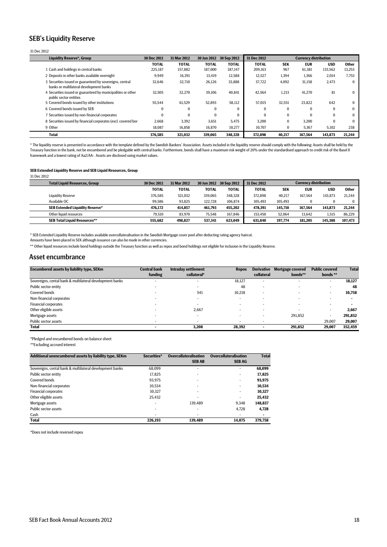#### SEB's Liquidity Reserve

#### 31 Dec 2012

| <b>Liquidity Reserve*, Group</b>                                                                    | 30 Dec 2011  | 31 Mar 2012  |              | 30 Jun 2012 30 Sep 2012 | 31 Dec 2012  | <b>Currency distribution</b> |            |              |              |
|-----------------------------------------------------------------------------------------------------|--------------|--------------|--------------|-------------------------|--------------|------------------------------|------------|--------------|--------------|
|                                                                                                     | <b>TOTAL</b> | <b>TOTAL</b> | <b>TOTAL</b> | <b>TOTAL</b>            | <b>TOTAL</b> | <b>SEK</b>                   | <b>EUR</b> | <b>USD</b>   | <b>Other</b> |
| 1 Cash and holdings in central banks                                                                | 225,187      | 157,882      | 187.000      | 187,147                 | 209,163      | 967                          | 61,381     | 133,562      | 13,253       |
| 2 Deposits in other banks available overnight                                                       | 9.949        | 16,391       | 13.419       | 12,588                  | 12.527       | 1.394                        | 1.366      | 2.014        | 7.753        |
| 3 Securities issued or guaranteed by sovereigns, central<br>banks or multilateral development banks | 32,646       | 32,710       | 26,126       | 33,888                  | 37,722       | 4,092                        | 31,158     | 2,473        | 0            |
| 4 Securities issued or guaranteed by municipalities or other<br>public sector entities              | 32.505       | 32,270       | 39.106       | 40.841                  | 42.564       | 1,213                        | 41.270     | 81           |              |
| 5 Covered bonds issued by other institutions                                                        | 55.544       | 61.529       | 52.893       | 58,112                  | 57.015       | 32.551                       | 23.822     | 642          |              |
| 6 Covered bonds issued by SEB                                                                       | 0            | $\bf{0}$     | $\bf{0}$     |                         | $\Omega$     | $\Omega$                     | $\Omega$   | $\Omega$     |              |
| 7 Securities issued by non-financial corporates                                                     | $\Omega$     | $\Omega$     | $\Omega$     |                         | $\Omega$     | $\Omega$                     | $\Omega$   | $\mathbf{0}$ |              |
| 8 Securities issued by financial corporates (excl. covered bor                                      | 2.668        | 3,392        | 3,651        | 5.475                   | 3.200        | $\bf{0}$                     | 3.200      | $\Omega$     |              |
| 9 Other                                                                                             | 18,087       | 16,858       | 16,870       | 10,277                  | 10,707       | $\bf{0}$                     | 5,367      | 5,102        | 238          |
| Total                                                                                               | 376,585      | 321.032      | 339.065      | 348,328                 | 372,898      | 40.217                       | 167.564    | 143,873      | 21,244       |

\* The liquidity reserve is presented in accordance with the template defined by the Swedish Bankers' Association. Assets included in the liquidity reserve should comply with the following: Assets shall be held by the<br>Treas framework and a lowest rating of Aa2/AA-. Assets are disclosed using market values.

**SEB Extended Liquidity Reserve and SEB Liquid Resources, Group**

31 Dec 2012

| <b>Total Liquid Resources, Group</b>   | 30 Dec 2011  | 31 Mar 2012  | 30 Jun 2012 30 Sep 2012 |              | 31 Dec 2012  |            | <b>Currency distribution</b> |            |         |
|----------------------------------------|--------------|--------------|-------------------------|--------------|--------------|------------|------------------------------|------------|---------|
|                                        | <b>TOTAL</b> | <b>TOTAL</b> | <b>TOTAL</b>            | <b>TOTAL</b> | <b>TOTAL</b> | <b>SEK</b> | <b>EUR</b>                   | <b>USD</b> | Other   |
| <b>Liquidity Reserve</b>               | 376.585      | 321.032      | 339.065                 | 348.328      | 372.898      | 40.217     | 167.564                      | 143.873    | 21.244  |
| Available OC                           | 99.586       | 93.825       | 122.728                 | 106,874      | 105.493      | 105.493    |                              |            |         |
| <b>SEB Extended Liquidity Reserve*</b> | 476.172      | 414.857      | 461.793                 | 455.202      | 478.391      | 145.710    | 167.564                      | 143.873    | 21,244  |
| Other liquid resources                 | 79.510       | 83.970       | 75.548                  | 167,846      | 153.450      | 52.064     | 13.642                       | 1.515      | 86,229  |
| <b>SEB Total Liquid Resources**</b>    | 555.682      | 498.827      | 537.341                 | 623.049      | 631.840      | 197.774    | 181.205                      | 145.388    | 107.473 |

\* SEB Extended Liquidity Reserve includes available overcollateralisation in the Swedish Mortgage cover pool after deducting rating agency haircut.

Amounts have been placed in SEK although issuance can also be made in other currencies.

\*\* Other liquid resources include bond holdings outside the Treasury function as well as repos and bond holdings not eligible for inclusion in the Liquidity Reserve.

#### Asset encumbrance

| <b>Central bank</b> | <b>Intraday settlement</b> | <b>Repos</b> | <b>Derivative</b>        | <b>Mortgage covered</b>  | <b>Public covered</b>    | <b>Total</b> |
|---------------------|----------------------------|--------------|--------------------------|--------------------------|--------------------------|--------------|
| funding             | collateral*                |              | collateral               | bonds**                  | bonds**                  |              |
|                     | -                          | 18.127       | $\overline{\phantom{0}}$ |                          | $\overline{\phantom{a}}$ | 18,127       |
|                     |                            | 48           |                          |                          | -                        | 48           |
|                     | 541                        | 10,218       | ۰                        |                          | -                        | 10,758       |
|                     | -                          | . .          | ۰                        |                          |                          |              |
|                     | -                          |              | ۰                        | $\overline{\phantom{0}}$ | -                        |              |
|                     | 2.667                      |              |                          |                          | -                        | 2,667        |
|                     | -                          |              |                          | 291.852                  | . .                      | 291,852      |
|                     |                            |              |                          |                          | 29,007                   | 29,007       |
|                     | 3,208                      | 28,392       |                          | 291,852                  | 29,007                   | 352,459      |
|                     |                            |              |                          |                          |                          |              |

\*Pledged and encumbered bonds on balance sheet

\*\*Excluding accrued interest

| Additional unencumbered assets by liability type, SEKm   | Securities* | <b>Overcollateralisation</b><br><b>SEB AB</b> | <b>Overcollateralisation</b><br><b>SEBAG</b> | <b>Total</b> |
|----------------------------------------------------------|-------------|-----------------------------------------------|----------------------------------------------|--------------|
| Sovereigns, cental bank & multilateral development banks | 68.099      |                                               | $\overline{\phantom{a}}$                     | 68,099       |
| Public sector entity                                     | 17.825      |                                               |                                              | 17.825       |
| Covered bonds                                            | 93.975      |                                               | $\overline{\phantom{a}}$                     | 93.975       |
| Non-financial corporates                                 | 10.534      |                                               | $\overline{\phantom{a}}$                     | 10.534       |
| <b>Financial corporates</b>                              | 10.327      |                                               | $\overline{\phantom{0}}$                     | 10.327       |
| Other eligible assets                                    | 25.432      |                                               |                                              | 25.432       |
| Mortgage assets                                          | ۰           | 139.489                                       | 9.348                                        | 148.837      |
| Public sector assets                                     | ۰           |                                               | 4.728                                        | 4,728        |
| Cash                                                     |             |                                               |                                              |              |
| <b>Total</b>                                             | 226.193     | 139.489                                       | 14.075                                       | 379.758      |

\*Does not include reversed repos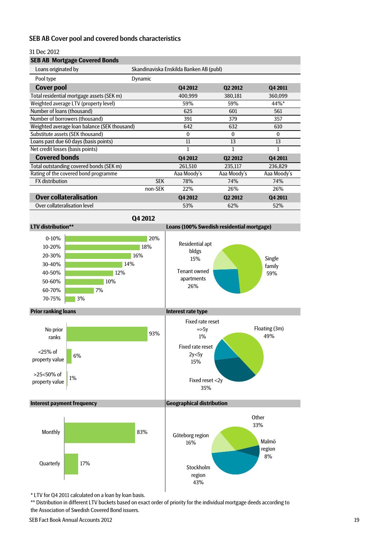#### SEB AB Cover pool and covered bonds characteristics

#### 31 Dec 2012

## **SEB AB Mortgage Covered Bonds**

| Dynamic                                      |              |                     |                                         |
|----------------------------------------------|--------------|---------------------|-----------------------------------------|
|                                              | Q4 2012      | Q <sub>2</sub> 2012 | Q4 2011                                 |
|                                              | 400,999      | 380,181             | 360,099                                 |
|                                              | 59%          | 59%                 | 44%*                                    |
|                                              | 625          | 601                 | 561                                     |
|                                              | 391          | 379                 | 357                                     |
| Weighted average loan balance (SEK thousand) | 642          | 632                 | 610                                     |
|                                              | $\mathbf{0}$ | $\mathbf{0}$        | $\mathbf{0}$                            |
|                                              | 11           | 13                  | 13                                      |
|                                              |              | 1                   |                                         |
|                                              | Q4 2012      | Q <sub>2</sub> 2012 | Q4 2011                                 |
|                                              | 261,510      | 235,117             | 236,829                                 |
|                                              | Aaa Moody's  | Aaa Moody's         | Aaa Moody's                             |
| <b>SEK</b>                                   | 78%          | 74%                 | 74%                                     |
| non-SEK                                      | 22%          | 26%                 | 26%                                     |
|                                              | Q4 2012      | Q <sub>2</sub> 2012 | Q4 2011                                 |
|                                              | 53%          | 62%                 | 52%                                     |
|                                              |              |                     | Skandinaviska Enskilda Banken AB (publ) |

**Q4 2012**

**LTV distribution\*\* Loans (100% Swedish residential mortgage) Prior ranking loans Interest rate type Interest payment frequency Geographical distribution** Single Family Tenant owned **1998 family** 59% apartments 26% Residential apt bldgs 15% Floating (3m) 49% Fixed reset <2y 35% Fixed rate reset 2y<5y 15% Fixed rate reset  $\Rightarrow$ 5y 1% **Other** 33% Malmö region 8% Stockholm region 43% Göteborg region 16% 20% 18% 16% 14% 12% 10% 7% 3% 0-10% 10-20% 20-30% 30-40% 40-50% 50-60% 60-70% 70-75% 93% 6% 1% No prior ranks <25% of property value >25<50% of property value 83% 17% Monthly **Quarterly** 

\* LTV for Q4 2011 calculated on a loan by loan basis.

\*\* Distribution in different LTV buckets based on exact order of priority for the individual mortgage deeds according to the Association of Swedish Covered Bond issuers.

SEB Fact Book Annual Accounts 2012 19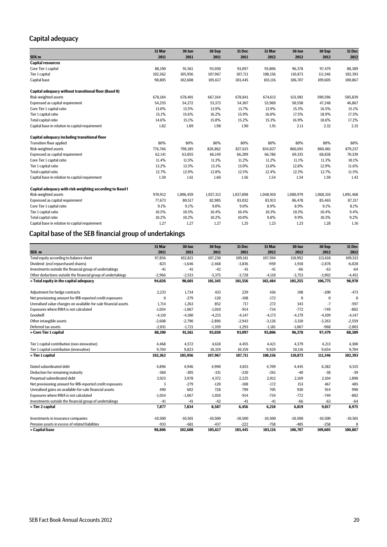# Capital adequacy

|                                                           | 31 Mar  | 30 Jun    | 30 Sep    | 31 Dec    | 31 Mar    | 30 Jun    | 30 Sep    | 31 Dec    |
|-----------------------------------------------------------|---------|-----------|-----------|-----------|-----------|-----------|-----------|-----------|
| SEK <sub>m</sub>                                          | 2011    | 2011      | 2011      | 2011      | 2012      | 2012      | 2012      | 2012      |
| <b>Capital resources</b>                                  |         |           |           |           |           |           |           |           |
| Core Tier 1 capital                                       | 88,190  | 91,561    | 93,030    | 93,097    | 93,806    | 96,378    | 97.479    | 88,389    |
| Tier 1 capital                                            | 102,362 | 105.956   | 107,967   | 107,711   | 108,156   | 110,873   | 111,346   | 102,393   |
| Capital base                                              | 98,805  | 102,608   | 105,617   | 103,445   | 103,116   | 106,707   | 109,605   | 100,867   |
| Capital adequacy without transitional floor (Basel II)    |         |           |           |           |           |           |           |           |
| Risk-weighted assets                                      | 678,184 | 678,401   | 667,164   | 678,841   | 674,613   | 631,981   | 590,596   | 585,839   |
| Expressed as capital requirement                          | 54,255  | 54,272    | 53,373    | 54,307    | 53,969    | 50,558    | 47,248    | 46,867    |
| Core Tier 1 capital ratio                                 | 13.0%   | 13.5%     | 13.9%     | 13.7%     | 13.9%     | 15.3%     | 16.5%     | 15.1%     |
| Tier 1 capital ratio                                      | 15.1%   | 15.6%     | 16.2%     | 15.9%     | 16.0%     | 17.5%     | 18.9%     | 17.5%     |
| Total capital ratio                                       | 14.6%   | 15.1%     | 15.8%     | 15.2%     | 15.3%     | 16.9%     | 18.6%     | 17.2%     |
| Capital base in relation to capital requirement           | 1.82    | 1.89      | 1.98      | 1.90      | 1.91      | 2.11      | 2.32      | 2.15      |
| Capital adequacy including transitional floor             |         |           |           |           |           |           |           |           |
| <b>Transition floor applied</b>                           | 80%     | 80%       | 80%       | 80%       | 80%       | 80%       | 80%       | 80%       |
| Risk-weighted assets                                      | 776,766 | 798,185   | 826,862   | 827,615   | 834,827   | 866,691   | 860,481   | 879,237   |
| Expressed as capital requirement                          | 62,141  | 63,855    | 66,149    | 66,209    | 66,786    | 69,335    | 68,838    | 70,339    |
| Core Tier 1 capital ratio                                 | 11.4%   | 11.5%     | 11.3%     | 11.2%     | 11.2%     | 11.1%     | 11.3%     | 10.1%     |
| Tier 1 capital ratio                                      | 13.2%   | 13.3%     | 13.1%     | 13.0%     | 13.0%     | 12.8%     | 12.9%     | 11.6%     |
| Total capital ratio                                       | 12.7%   | 12.9%     | 12.8%     | 12.5%     | 12.4%     | 12.3%     | 12.7%     | 11.5%     |
| Capital base in relation to capital requirement           | 1.59    | 1.61      | 1.60      | 1.56      | 1.54      | 1.54      | 1.59      | 1.43      |
| Capital adequacy with risk weighting according to Basel I |         |           |           |           |           |           |           |           |
| Risk-weighted assets                                      | 970.912 | 1,006,459 | 1,037,313 | 1,037,898 | 1,048,910 | 1.080.979 | 1.068.310 | 1,091,468 |
| Expressed as capital requirement                          | 77,673  | 80,517    | 82,985    | 83,032    | 83,913    | 86,478    | 85,465    | 87,317    |
| Core Tier 1 capital ratio                                 | 9.1%    | 9.1%      | 9.0%      | 9.0%      | 8.9%      | 8.9%      | 9.1%      | 8.1%      |
| Tier 1 capital ratio                                      | 10.5%   | 10.5%     | 10.4%     | 10.4%     | 10.3%     | 10.3%     | 10.4%     | 9.4%      |
| Total capital ratio                                       | 10.2%   | 10.2%     | 10.2%     | 10.0%     | 9.8%      | 9.9%      | 10.3%     | 9.2%      |
| Capital base in relation to capital requirement           | 1.27    | 1.27      | 1.27      | 1.25      | 1.23      | 1.23      | 1.28      | 1.16      |

# Capital base of the SEB financial group of undertakings

|                                                                 | 31 Mar       | 30 Jun    | 30 Sep    | 31 Dec    | 31 Mar    | 30 Jun    | 30 Sep    | 31 Dec    |
|-----------------------------------------------------------------|--------------|-----------|-----------|-----------|-----------|-----------|-----------|-----------|
| SEK <sub>m</sub>                                                | 2011         | 2011      | 2011      | 2011      | 2012      | 2012      | 2012      | 2012      |
| Total equity according to balance sheet                         | 97,856       | 102,821   | 107,230   | 109,161   | 107,594   | 110,992   | 113,618   | 109,513   |
| Dividend (excl repurchased shares)                              | $-823$       | $-1,646$  | $-2,468$  | $-3,836$  | $-959$    | $-1,918$  | $-2,878$  | $-6,028$  |
| Investments outside the financial group of undertakings         | $-41$        | $-41$     | $-42$     | $-41$     | $-41$     | $-66$     | $-63$     | $-64$     |
| Other deductions outside the financial group of undertakings    | $-2,966$     | $-2,533$  | $-3,375$  | $-3,728$  | $-4,110$  | $-3,753$  | $-3,902$  | $-4,451$  |
| $=$ Total equity in the capital adequacy                        | 94.026       | 98,601    | 101,345   | 101,556   | 102,484   | 105,255   | 106,775   | 98,970    |
|                                                                 |              |           |           |           |           |           |           |           |
| Adjustment for hedge contracts                                  | 2,233        | 1.734     | 433       | 229       | 436       | 108       | $-200$    | $-473$    |
| Net provisioning amount for IRB-reported credit exposures       | $\mathbf{0}$ | $-279$    | $-120$    | $-108$    | $-172$    | $\theta$  | 0         | $\Omega$  |
| Unrealised value changes on available-for-sale financial assets | 1.714        | 1,263     | 852       | 717       | 272       | 343       | $-7$      | $-597$    |
| Exposures where RWA is not calculated                           | $-1,034$     | $-1,067$  | $-1,010$  | $-914$    | $-734$    | $-772$    | $-749$    | $-802$    |
| Goodwill                                                        | $-4,110$     | $-4,180$  | $-4,215$  | $-4,147$  | $-4,173$  | $-4,179$  | $-4,109$  | $-4,147$  |
| Other intangible assets                                         | $-2,608$     | $-2,790$  | $-2,896$  | $-2,943$  | $-3,126$  | $-3,310$  | $-3,263$  | $-2,559$  |
| Deferred tax assets                                             | $-2,031$     | $-1,721$  | $-1,359$  | $-1,293$  | $-1,181$  | $-1,067$  | $-968$    | $-2,003$  |
| = Core Tier 1 capital                                           | 88,190       | 91,561    | 93,030    | 93,097    | 93,806    | 96,378    | 97,479    | 88,389    |
|                                                                 |              |           |           |           |           |           |           |           |
| Tier 1 capital contribution (non-innovative)                    | 4,468        | 4,572     | 4,618     | 4,455     | 4,421     | 4,379     | 4,213     | 4,300     |
| Tier 1 capital contribution (innovative)                        | 9,704        | 9,823     | 10,319    | 10,159    | 9,929     | 10,116    | 9,654     | 9,704     |
| = Tier 1 capital                                                | 102,362      | 105,956   | 107,967   | 107,711   | 108,156   | 110,873   | 111,346   | 102,393   |
|                                                                 |              |           |           |           |           |           |           |           |
| Dated subordinated debt                                         | 4,896        | 4,946     | 4,990     | 4,815     | 4,709     | 4,445     | 6,382     | 6,515     |
| Deduction for remaining maturity                                | $-360$       | $-305$    | $-331$    | $-320$    | $-261$    | $-40$     | $-38$     | $-39$     |
| Perpetual subordinated debt                                     | 3,923        | 3,978     | 4,372     | 2,225     | 2,012     | 2,169     | 2,104     | 1,890     |
| Net provisioning amount for IRB-reported credit exposures       | 3            | $-279$    | $-120$    | $-108$    | $-172$    | 153       | 467       | 485       |
| Unrealised gains on available-for-sale financial assets         | 490          | 602       | 728       | 799       | 705       | 930       | 914       | 990       |
| Exposures where RWA is not calculated                           | $-1,034$     | $-1,067$  | $-1,010$  | $-914$    | $-734$    | $-772$    | $-749$    | $-802$    |
| Investments outside the financial group of undertakings         | $-41$        | $-41$     | $-42$     | $-41$     | $-41$     | $-66$     | $-63$     | $-64$     |
| = Tier 2 capital                                                | 7,877        | 7,834     | 8,587     | 6,456     | 6,218     | 6,819     | 9,017     | 8,975     |
| Investments in insurance companies                              | $-10,500$    | $-10,501$ | $-10,500$ | $-10,500$ | $-10,500$ | $-10,500$ | $-10,500$ | $-10,501$ |
| Pension assets in excess of related liabilities                 | $-933$       | $-681$    | $-437$    | $-222$    | $-758$    | $-485$    | $-258$    | $\Omega$  |
| = Capital base                                                  | 98,806       | 102,608   | 105,617   | 103,445   | 103,116   | 106,707   | 109,605   | 100,867   |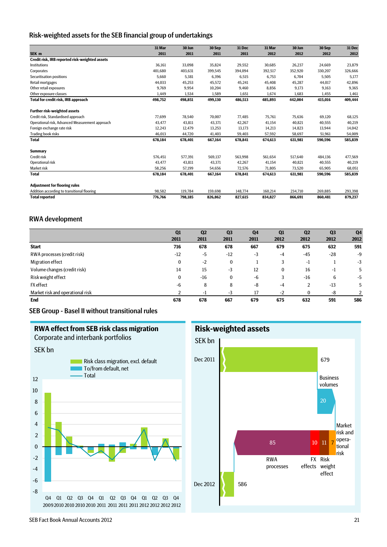### Risk-weighted assets for the SEB financial group of undertakings

|                                                 | 31 Mar  | 30 Jun  | 30 Sep  | 31 Dec  | 31 Mar  | 30 Jun  | 30 Sep  | 31 Dec  |
|-------------------------------------------------|---------|---------|---------|---------|---------|---------|---------|---------|
| SEK m                                           | 2011    | 2011    | 2011    | 2011    | 2012    | 2012    | 2012    | 2012    |
| Credit risk, IRB reported risk-weighted assets  |         |         |         |         |         |         |         |         |
| <b>Institutions</b>                             | 36,161  | 33,098  | 35,824  | 29,552  | 30,685  | 26,237  | 24,669  | 23,879  |
| Corporates                                      | 401,680 | 403,631 | 399,545 | 394,094 | 392,517 | 352,920 | 330,207 | 326,666 |
| Securitisation positions                        | 5,660   | 5.381   | 6,396   | 6,515   | 6,753   | 6,704   | 5,505   | 5,177   |
| Retail mortgages                                | 44,033  | 45,253  | 45,572  | 45,241  | 45,408  | 45,287  | 44,017  | 42,896  |
| Other retail exposures                          | 9.769   | 9,954   | 10,204  | 9,460   | 8,856   | 9,173   | 9,163   | 9,365   |
| Other exposure classes                          | 1.449   | 1.534   | 1.589   | 1,651   | 1.674   | 1.683   | 1,455   | 1,461   |
| Total for credit risk, IRB approach             | 498,752 | 498,851 | 499,130 | 486,513 | 485,893 | 442,004 | 415,016 | 409,444 |
| <b>Further risk-weighted assets</b>             |         |         |         |         |         |         |         |         |
| Credit risk, Standardised approach              | 77,699  | 78,540  | 70,007  | 77,485  | 75,761  | 75,636  | 69,120  | 68,125  |
| Operational risk, Advanced Measurement approach | 43,477  | 43,811  | 43,371  | 42,267  | 41,154  | 40,821  | 40,555  | 40,219  |
| Foreign exchange rate risk                      | 12,243  | 12,479  | 13,253  | 13,173  | 14,213  | 14,823  | 13,944  | 14,042  |
| Trading book risks                              | 46,013  | 44,720  | 41,403  | 59,403  | 57,592  | 58,697  | 51,961  | 54,009  |
| <b>Total</b>                                    | 678,184 | 678,401 | 667,164 | 678,841 | 674,613 | 631,981 | 590,596 | 585,839 |
| <b>Summary</b>                                  |         |         |         |         |         |         |         |         |
| <b>Credit risk</b>                              | 576,451 | 577,391 | 569,137 | 563,998 | 561,654 | 517,640 | 484,136 | 477,569 |
| Operational risk                                | 43.477  | 43.811  | 43,371  | 42,267  | 41,154  | 40,821  | 40,555  | 40,219  |
| Market risk                                     | 58,256  | 57,199  | 54,656  | 72,576  | 71,805  | 73,520  | 65,905  | 68,051  |
| <b>Total</b>                                    | 678,184 | 678,401 | 667.164 | 678,841 | 674,613 | 631,981 | 590,596 | 585,839 |
| <b>Adjustment for flooring rules</b>            |         |         |         |         |         |         |         |         |
| Addition according to transitional flooring     | 98,582  | 119.784 | 159,698 | 148,774 | 160,214 | 234,710 | 269,885 | 293,398 |
| <b>Total reported</b>                           | 776,766 | 798,185 | 826,862 | 827,615 | 834,827 | 866,691 | 860,481 | 879,237 |

#### RWA development

|                                  | Q1    | Q <sub>2</sub> | Q <sub>3</sub> | Q <sub>4</sub> | Q1           | Q <sub>2</sub> | Q <sub>3</sub> | Q <sub>4</sub> |
|----------------------------------|-------|----------------|----------------|----------------|--------------|----------------|----------------|----------------|
|                                  | 2011  | 2011           | 2011           | 2011           | 2012         | 2012           | 2012           | 2012           |
| <b>Start</b>                     | 716   | 678            | 678            | 667            | 679          | 675            | 632            | 591            |
| RWA processes (credit risk)      | $-12$ | -5             | $-12$          | $-3$           | $-4$         | $-45$          | $-28$          | -9             |
| Migration effect                 | 0     | $-2$           | 0              |                | 3            | $-1$           |                | $-3$           |
| Volume changes (credit risk)     | 14    | 15             | $-3$           | 12             | $\mathbf{0}$ | 16             | -1             | 5              |
| Risk weight effect               | 0     | -16            | 0              | -6             | 3            | $-16$          | 6              | -5             |
| <b>FX</b> effect                 | -6    | 8              | 8              | -8             | $-4$         | $\overline{2}$ | $-13$          | 5              |
| Market risk and operational risk |       | - 1            | $-3$           | 17             | $-2$         | $\Omega$       | -8             | 2              |
| End                              | 678   | 678            | 667            | 679            | 675          | 632            | 591            | 586            |

### SEB Group - Basel II without transitional rules





SEB Fact Book Annual Accounts 2012 21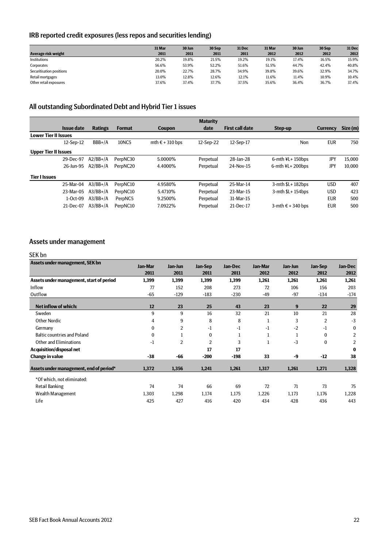# IRB reported credit exposures (less repos and securities lending)

|                          | 31 Mar | 30 Jun | 30 Sep | 31 Dec | 31 Mar | 30 Jun | 30 Sep | 31 Dec |
|--------------------------|--------|--------|--------|--------|--------|--------|--------|--------|
| Average risk weight      | 2011   | 2011   | 2011   | 2011   | 2012   | 2012   | 2012   | 2012   |
| Institutions             | 20.2%  | 19.8%  | 21.5%  | 19.2%  | 19.1%  | 17.4%  | 16.5%  | 15.9%  |
| Corporates               | 56.6%  | 53.9%  | 52.2%  | 51.6%  | 51.5%  | 44.7%  | 42.4%  | 40.8%  |
| Securitisation positions | 20.0%  | 22.7%  | 28.7%  | 34.9%  | 39.8%  | 39.6%  | 32.9%  | 34.7%  |
| Retail mortgages         | 13.0%  | 12.8%  | 12.6%  | 12.1%  | 11.6%  | 11.4%  | 10.9%  | 10.4%  |
| Other retail exposures   | 37.6%  | 37.4%  | 37.7%  | 37.5%  | 35.6%  | 36.4%  | 36.7%  | 37.4%  |

# All outstanding Subordinated Debt and Hybrid Tier 1 issues

|                             |                   |                |               |                          | <b>Maturity</b> |                        |                            |                 |          |
|-----------------------------|-------------------|----------------|---------------|--------------------------|-----------------|------------------------|----------------------------|-----------------|----------|
|                             | <b>Issue date</b> | <b>Ratings</b> | <b>Format</b> | Coupon                   | date            | <b>First call date</b> | Step-up                    | <b>Currency</b> | Size (m) |
| <b>Lower Tier II Issues</b> |                   |                |               |                          |                 |                        |                            |                 |          |
|                             | 12-Sep-12         | $BBB+/A$       | 10NC5         | mth $\epsilon$ + 310 bps | 12-Sep-22       | 12-Sep-17              | Non                        | <b>EUR</b>      | 750      |
| <b>Upper Tier II Issues</b> |                   |                |               |                          |                 |                        |                            |                 |          |
|                             | 29-Dec-97         | $A2/BB+/A$     | PerpNC30      | 5.0000%                  | Perpetual       | 28-Jan-28              | $6$ -mth $4L+150$ bps      | JPY             | 15.000   |
|                             | 26-Jun-95         | $A2/BB+/A$     | PerpNC20      | 4.4000%                  | Perpetual       | 24-Nov-15              | 6-mth $4L + 200b$ ps       | JPY             | 10.000   |
| <b>Tier I Issues</b>        |                   |                |               |                          |                 |                        |                            |                 |          |
|                             | 25-Mar-04         | $A3/BB+/A$     | PerpNC10      | 4.9580%                  | Perpetual       | 25-Mar-14              | $3$ -mth $$L+182bps$       | <b>USD</b>      | 407      |
|                             | 23-Mar-05         | $A3/BB+/A$     | PerpNC10      | 5.4710\%                 | Perpetual       | 23-Mar-15              | $3$ -mth $L+154$ bps       | <b>USD</b>      | 423      |
|                             | $1-0ct-09$        | $A3/BB+/A$     | PerpNC5       | 9.2500%                  | Perpetual       | 31-Mar-15              |                            | <b>EUR</b>      | 500      |
|                             | 21-Dec-07         | $A3/BB+/A$     | PerpNC10      | 7.0922%                  | Perpetual       | 21-Dec-17              | 3-mth $\epsilon$ + 340 bps | <b>EUR</b>      | 500      |

# Assets under management

#### SEK bn

|       |                |          |         |              | Jan-Jun |              | Jan-Dec        |
|-------|----------------|----------|---------|--------------|---------|--------------|----------------|
| 2011  | 2011           | 2011     | 2011    | 2012         | 2012    | 2012         | 2012           |
| 1,399 | 1,399          | 1,399    | 1,399   | 1,261        | 1,261   | 1,261        | 1,261          |
| 77    | 152            | 208      | 273     | 72           | 106     | 156          | 203            |
| $-65$ | $-129$         | $-183$   | $-230$  | -49          | $-97$   | $-134$       | $-174$         |
| 12    | 23             | 25       | 43      | 23           | 9       | 22           | 29             |
| 9     | 9              | 16       | 32      | 21           | 10      | 21           | 28             |
| 4     | 9              | 8        | 8       | 1            | 3       | 2            | $-3$           |
| 0     | $\overline{2}$ | -1       | -1      | $-1$         | $-2$    | -1           | 0              |
| 0     |                | $\Omega$ |         | 1            |         | $\mathbf{0}$ | $\overline{2}$ |
| $-1$  | $\overline{2}$ | 2        | 3       | $\mathbf{1}$ | $-3$    | 0            | 2              |
|       |                | 17       | 17      |              |         |              | $\bf{0}$       |
| $-38$ | -66            | $-200$   | $-198$  | 33           | -9      | $-12$        | 38             |
| 1,372 | 1,356          | 1,241    | 1,261   | 1,317        | 1,261   | 1,271        | 1,328          |
|       |                |          |         |              |         |              |                |
| 74    | 74             | 66       | 69      | 72           | 71      | 73           | 75             |
| 1,303 | 1,298          | 1,174    | 1,175   | 1,226        | 1,173   | 1,176        | 1,228          |
| 425   | 427            | 416      | 420     | 434          | 428     | 436          | 443            |
|       | Jan-Mar        | Jan-Jun  | Jan-Sep | Jan-Dec      | Jan-Mar |              | Jan-Sep        |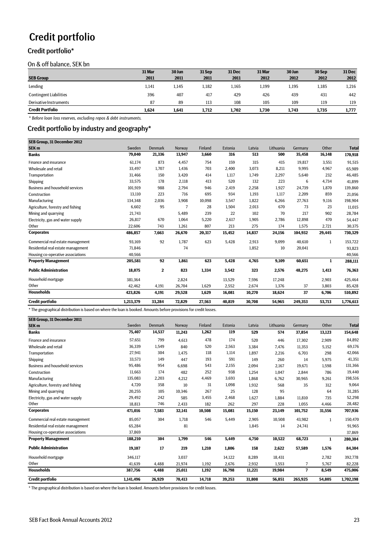# Credit portfolio

# Credit portfolio\*

On & off balance, SEK bn

|                               | 31 Mar | 30 Jun | 31 Sep | 31 Dec | 31 Mar | 30 Jun | 30 Sep | 31 Dec |
|-------------------------------|--------|--------|--------|--------|--------|--------|--------|--------|
| <b>SEB Group</b>              | 2011   | 2011   | 2011   | 2011   | 2012   | 2012   | 2012   | 2012   |
| Lending                       | 1,141  | 1,145  | 1,182  | 1,165  | 1,199  | 1,195  | 1,185  | 1,216  |
| <b>Contingent Liabilities</b> | 396    | 407    | 417    | 429    | 426    | 439    | 431    | 442    |
| Derivative Instruments        | 87     | 89     | 113    | 108    | 105    | 109    | 119    | 119    |
| <b>Credit Portfolio</b>       | 1,624  | 1.641  | 1.712  | 1.702  | 1.730  | 1.743  | 1,735  | 1,777  |

*\* Before loan loss reserves, excluding repos & debt instruments.*

## Credit portfolio by industry and geography\*

| SEB Group, 31 December 2012            |           |                |        |         |         |        |           |         |        |              |
|----------------------------------------|-----------|----------------|--------|---------|---------|--------|-----------|---------|--------|--------------|
| SEK <sub>m</sub>                       | Sweden    | <b>Denmark</b> | Norway | Finland | Estonia | Latvia | Lithuania | Germany | Other  | <b>Total</b> |
| <b>Banks</b>                           | 79,040    | 21,336         | 13,947 | 3,660   | 316     | 513    | 500       | 35,458  | 16,148 | 170,918      |
| Finance and insurance                  | 61,174    | 873            | 4,457  | 754     | 159     | 315    | 415       | 19,817  | 3,551  | 91,515       |
| Wholesale and retail                   | 33,497    | 1,707          | 1,436  | 703     | 2,400   | 3,073  | 8,211     | 9,995   | 4,967  | 65,989       |
| Transportation                         | 31,466    | 150            | 3,420  | 414     | 1,117   | 1,749  | 2,297     | 5,640   | 232    | 46,485       |
| Shipping                               | 33,575    | 178            | 2,118  | 413     | 520     | 132    | 223       | 6       | 4,734  | 41,899       |
| <b>Business and household services</b> | 101,919   | 988            | 2,794  | 946     | 2,419   | 2,258  | 1,927     | 24,739  | 1,870  | 139,860      |
| Construction                           | 13,110    | 223            | 716    | 695     | 934     | 1,193  | 1,117     | 2,209   | 859    | 21,056       |
| Manufacturing                          | 134,348   | 2,036          | 3,908  | 10,098  | 3,547   | 1,822  | 6,266     | 27,763  | 9,116  | 198,904      |
| Agriculture, forestry and fishing      | 6,602     | 95             | 7      | 28      | 1,504   | 2,013  | 670       | 73      | 23     | 11,015       |
| Mining and quarrying                   | 21,743    |                | 5,489  | 239     | 22      | 102    | 70        | 217     | 902    | 28,784       |
| Electricity, gas and water supply      | 26,817    | 670            | 1,064  | 5,220   | 2,617   | 1,905  | 2,786     | 12,898  | 470    | 54,447       |
| Other                                  | 22.606    | 743            | 1.261  | 807     | 213     | 275    | 174       | 1.575   | 2,721  | 30,375       |
| <b>Corporates</b>                      | 486,857   | 7,663          | 26,670 | 20,317  | 15,452  | 14,837 | 24,156    | 104,932 | 29,445 | 730,329      |
| Commercial real estate management      | 93,169    | 92             | 1,787  | 623     | 5,428   | 2,913  | 9,099     | 40,610  | 1      | 153,722      |
| Residential real estate management     | 71,846    |                | 74     |         |         | 1,852  | 10        | 20,041  |        | 93,823       |
| Housing co-operative associations      | 40,566    |                |        |         |         |        |           |         |        | 40,566       |
| <b>Property Management</b>             | 205,581   | 92             | 1,861  | 623     | 5,428   | 4,765  | 9,109     | 60,651  | 1      | 288,111      |
| <b>Public Administration</b>           | 18,075    | 2              | 823    | 1,334   | 3,542   | 323    | 2,576     | 48,275  | 1,413  | 76,363       |
| Household mortgage                     | 381,364   |                | 2,824  |         | 13,529  | 7,596  | 17,248    |         | 2,903  | 425,464      |
| Other                                  | 42,462    | 4,191          | 26,704 | 1,629   | 2,552   | 2,674  | 1,376     | 37      | 3,803  | 85,428       |
| <b>Households</b>                      | 423,826   | 4,191          | 29,528 | 1,629   | 16,081  | 10,270 | 18,624    | 37      | 6,706  | 510,892      |
| <b>Credit portfolio</b>                | 1,213,379 | 33,284         | 72,829 | 27,563  | 40,819  | 30,708 | 54,965    | 249,353 | 53,713 | 1,776,613    |

\* The geographical distribution is based on where the loan is booked. Amounts before provisions for credit losses.

| SEB Group, 31 December 2011            |           |                |        |         |         |        |           |                |        |              |
|----------------------------------------|-----------|----------------|--------|---------|---------|--------|-----------|----------------|--------|--------------|
| SEK <sub>m</sub>                       | Sweden    | <b>Denmark</b> | Norway | Finland | Estonia | Latvia | Lithuania | Germany        | Other  | <b>Total</b> |
| <b>Banks</b>                           | 75,407    | 14,537         | 11,243 | 1,262   | 119     | 529    | 574       | 37,854         | 13,123 | 154,648      |
| Finance and insurance                  | 57,651    | 799            | 4,613  | 478     | 174     | 520    | 446       | 17.302         | 2,909  | 84,892       |
| Wholesale and retail                   | 36,339    | 1,549          | 840    | 520     | 2,563   | 3.384  | 7.476     | 11,353         | 5,152  | 69,176       |
| Transportation                         | 27,941    | 304            | 1,475  | 118     | 1,114   | 1,897  | 2,216     | 6,703          | 298    | 42,066       |
| Shipping                               | 33,573    | 149            | 447    | 193     | 591     | 149    | 260       | 14             | 5,975  | 41,351       |
| <b>Business and household services</b> | 95,486    | 954            | 6,698  | 543     | 2,155   | 2,094  | 2,167     | 19,671         | 1,598  | 131,366      |
| Construction                           | 11,663    | 174            | 482    | 252     | 938     | 1,254  | 1,047     | 2,844          | 786    | 19,440       |
| Manufacturing                          | 135,083   | 2,203          | 4,212  | 4,469   | 3,693   | 1,868  | 6,762     | 30,965         | 9,261  | 198,516      |
| Agriculture, forestry and fishing      | 4,720     | 358            | 10     | 31      | 1,098   | 1,932  | 568       | 35             | 312    | 9,064        |
| Mining and quarrying                   | 20,255    | 105            | 10,346 | 267     | 25      | 128    | 95        |                | 64     | 31,285       |
| Electricity, gas and water supply      | 29,492    | 242            | 585    | 3,455   | 2,468   | 1,627  | 1,884     | 11,810         | 735    | 52,298       |
| Other                                  | 18,813    | 746            | 2,433  | 182     | 262     | 297    | 228       | 1,055          | 4,466  | 28,482       |
| <b>Corporates</b>                      | 471,016   | 7,583          | 32,141 | 10,508  | 15,081  | 15,150 | 23,149    | 101,752        | 31,556 | 707,936      |
| Commercial real estate management      | 85,057    | 304            | 1,718  | 546     | 5,449   | 2,905  | 10,508    | 43,982         | 1      | 150,470      |
| Residential real estate management     | 65,284    |                | 81     |         |         | 1,845  | 14        | 24,741         |        | 91,965       |
| Housing co-operative associations      | 37,869    |                |        |         |         |        |           |                |        | 37,869       |
| <b>Property Management</b>             | 188,210   | 304            | 1,799  | 546     | 5,449   | 4,750  | 10,522    | 68,723         | 1      | 280,304      |
| <b>Public Administration</b>           | 19,107    | 17             | 219    | 1,210   | 1,806   | 158    | 2,622     | 57,589         | 1,576  | 84,304       |
| Household mortgage                     | 346,117   |                | 3,037  |         | 14,122  | 8,289  | 18,431    |                | 2,782  | 392,778      |
| Other                                  | 41,639    | 4,488          | 21,974 | 1,192   | 2,676   | 2,932  | 1,553     | 7              | 5,767  | 82,228       |
| <b>Households</b>                      | 387,756   | 4,488          | 25,011 | 1,192   | 16,798  | 11,221 | 19,984    | $\overline{7}$ | 8,549  | 475,006      |
| Credit portfolio                       | 1,141,496 | 26,929         | 70,413 | 14,718  | 39,253  | 31,808 | 56,851    | 265,925        | 54,805 | 1,702,198    |

\* The geographical distribution is based on where the loan is booked. Amounts before provisions for credit losses.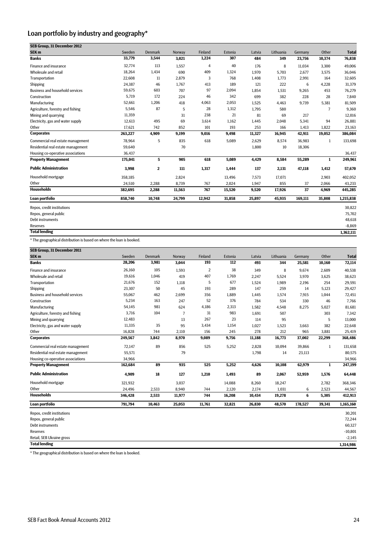# Loan portfolio by industry and geography\*

| SEB Group. 31 December 2012            |         |                |        |         |         |        |           |         |                |              |
|----------------------------------------|---------|----------------|--------|---------|---------|--------|-----------|---------|----------------|--------------|
| SEK <sub>m</sub>                       | Sweden  | <b>Denmark</b> | Norway | Finland | Estonia | Latvia | Lithuania | Germany | Other          | <b>Total</b> |
| <b>Banks</b>                           | 33,779  | 3,544          | 3,021  | 1,224   | 307     | 484    | 349       | 23,756  | 10,374         | 76,838       |
| Finance and insurance                  | 32,774  | 113            | 1.557  | 4       | 40      | 176    | 8         | 11.034  | 3.300          | 49,006       |
| Wholesale and retail                   | 18,264  | 1,434          | 690    | 409     | 1,324   | 1,970  | 5,703     | 2,677   | 3,575          | 36,046       |
| Transportation                         | 22,608  | 11             | 2,879  | 3       | 768     | 1,408  | 1,773     | 2,991   | 164            | 32,605       |
| Shipping                               | 24,387  | 46             | 1,767  | 413     | 189     | 121    | 222       | 6       | 4,228          | 31,379       |
| <b>Business and household services</b> | 59,675  | 603            | 707    | 97      | 2,094   | 1,854  | 1,531     | 9,265   | 453            | 76,279       |
| Construction                           | 5,719   | 172            | 224    | 46      | 342     | 699    | 382       | 228     | 28             | 7,840        |
| Manufacturing                          | 52,661  | 1,206          | 418    | 4,063   | 2,053   | 1,525  | 4,463     | 9,739   | 5,381          | 81,509       |
| Agriculture, forestry and fishing      | 5,546   | 87             | 5      | 28      | 1,312   | 1,795  | 580       |         | $\overline{7}$ | 9,360        |
| Mining and quarrying                   | 11,359  |                | 31     | 238     | 21      | 81     | 69        | 217     |                | 12,016       |
| Electricity, gas and water supply      | 12,613  | 495            | 69     | 3,614   | 1,162   | 1,445  | 2,048     | 5,341   | 94             | 26,881       |
| Other                                  | 17,621  | 742            | 852    | 101     | 193     | 253    | 166       | 1,413   | 1,822          | 23,163       |
| <b>Corporates</b>                      | 263,227 | 4,909          | 9,199  | 9,016   | 9,498   | 11,327 | 16,945    | 42,911  | 19,052         | 386,084      |
| Commercial real estate management      | 78,964  | 5              | 835    | 618     | 5,089   | 2,629  | 8,574     | 36,983  | 1              | 133,698      |
| Residential real estate management     | 59,640  |                | 70     |         |         | 1,800  | 10        | 18,306  |                |              |
| Housing co-operative associations      | 36,437  |                |        |         |         |        |           |         |                | 36,437       |
| <b>Property Management</b>             | 175,041 | 5              | 905    | 618     | 5,089   | 4,429  | 8,584     | 55,289  | 1              | 249,961      |
| <b>Public Administration</b>           | 3,998   | $\mathbf{2}$   | 111    | 1,317   | 1,444   | 137    | 2,131     | 47,118  | 1,412          | 57,670       |
| Household mortgage                     | 358,185 |                | 2,824  |         | 13,496  | 7,573  | 17,071    |         | 2,903          | 402,052      |
| Other                                  | 24,510  | 2,288          | 8,739  | 767     | 2,024   | 1,947  | 855       | 37      | 2,066          | 43,233       |
| <b>Households</b>                      | 382,695 | 2,288          | 11,563 | 767     | 15,520  | 9,520  | 17,926    | 37      | 4,969          | 445,285      |
| Loan portfolio                         | 858,740 | 10,748         | 24,799 | 12,942  | 31,858  | 25,897 | 45,935    | 169,111 | 35,808         | 1,215,838    |
| Repos, credit institutions             |         |                |        |         |         |        |           |         |                | 30,822       |
| Repos, general public                  |         |                |        |         |         |        |           |         |                | 75,702       |
| Debt instruments                       |         |                |        |         |         |        |           |         |                | 48,618       |
| <b>Reserves</b>                        |         |                |        |         |         |        |           |         |                | $-8,869$     |
| <b>Total lending</b>                   |         |                |        |         |         |        |           |         |                | 1,362,111    |

\* The geographical distribution is based on where the loan is booked.

| SEB Group, 31 December 2011            |         |                |                |                |         |        |           |         |              |              |
|----------------------------------------|---------|----------------|----------------|----------------|---------|--------|-----------|---------|--------------|--------------|
| SEK <sub>m</sub>                       | Sweden  | <b>Denmark</b> | Norway         | Finland        | Estonia | Latvia | Lithuania | Germany | Other        | <b>Total</b> |
| <b>Banks</b>                           | 28,206  | 3,981          | 3,044          | 193            | 112     | 493    | 344       | 25,581  | 10,160       | 72,114       |
| Finance and insurance                  | 26,160  | 105            | 1,593          | $\overline{2}$ | 38      | 349    | 8         | 9,674   | 2,609        | 40,538       |
| Wholesale and retail                   | 19,616  | 1,046          | 419            | 407            | 1,769   | 2,247  | 5,524     | 3,970   | 3,625        | 38,623       |
| Transportation                         | 21,676  | 152            | 1,118          | 5              | 677     | 1,524  | 1,989     | 2,196   | 254          | 29,591       |
| Shipping                               | 23,307  | 50             | 45             | 193            | 289     | 147    | 259       | 14      | 5,123        | 29,427       |
| <b>Business and household services</b> | 55,067  | 462            | 2,699          | 356            | 1,889   | 1,445  | 1,574     | 7,915   | 1,044        | 72,451       |
| Construction                           | 5,234   | 163            | 247            | 52             | 376     | 784    | 534       | 330     | 46           | 7,766        |
| Manufacturing                          | 54,145  | 981            | 624            | 4,186          | 2,313   | 1,582  | 4,548     | 8,275   | 5,027        | 81,681       |
| Agriculture, forestry and fishing      | 3,716   | 104            | $\overline{7}$ | 31             | 983     | 1,691  | 507       |         | 303          | 7,342        |
| Mining and quarrying                   | 12,483  |                | 13             | 267            | 23      | 114    | 95        |         | 5            | 13,000       |
| Electricity, gas and water supply      | 11,335  | 35             | 95             | 3,434          | 1,154   | 1,027  | 1,523     | 3,663   | 382          | 22,648       |
| Other                                  | 16,828  | 744            | 2,110          | 156            | 245     | 278    | 212       | 965     | 3,881        | 25,419       |
| <b>Corporates</b>                      | 249,567 | 3,842          | 8,970          | 9,089          | 9,756   | 11,188 | 16,773    | 37,002  | 22,299       | 368,486      |
| Commercial real estate management      | 72,147  | 89             | 856            | 525            | 5,252   | 2,828  | 10,094    | 39,866  | $\mathbf{1}$ | 131,658      |
| Residential real estate management     | 55,571  |                | 79             |                |         | 1,798  | 14        | 23,113  |              | 80,575       |
| Housing co-operative associations      | 34,966  |                |                |                |         |        |           |         |              | 34,966       |
| <b>Property Management</b>             | 162,684 | 89             | 935            | 525            | 5,252   | 4,626  | 10,108    | 62,979  | $\mathbf{1}$ | 247,199      |
| <b>Public Administration</b>           | 4,909   | 18             | 127            | 1,210          | 1,493   | 89     | 2,067     | 52,959  | 1,576        | 64,448       |
| Household mortgage                     | 321,932 |                | 3,037          |                | 14,088  | 8,260  | 18,247    |         | 2,782        | 368,346      |
| Other                                  | 24,496  | 2,533          | 8,940          | 744            | 2,120   | 2,174  | 1,031     | 6       | 2,523        | 44,567       |
| <b>Households</b>                      | 346,428 | 2,533          | 11,977         | 744            | 16,208  | 10,434 | 19,278    | 6       | 5,305        | 412,913      |
| Loan portfolio                         | 791,794 | 10,463         | 25,053         | 11,761         | 32,821  | 26,830 | 48,570    | 178,527 | 39,341       | 1,165,160    |
| Repos, credit institutions             |         |                |                |                |         |        |           |         |              | 30,201       |
| Repos, general public                  |         |                |                |                |         |        |           |         |              | 72,244       |
| <b>Debt instruments</b>                |         |                |                |                |         |        |           |         |              | 60,327       |
| Reserves                               |         |                |                |                |         |        |           |         |              | $-10,801$    |
| Retail, SEB Ukraine gross              |         |                |                |                |         |        |           |         |              | $-2,145$     |
| <b>Total lending</b>                   |         |                |                |                |         |        |           |         |              | 1,314,986    |

\* The geographical distribution is based on where the loan is booked.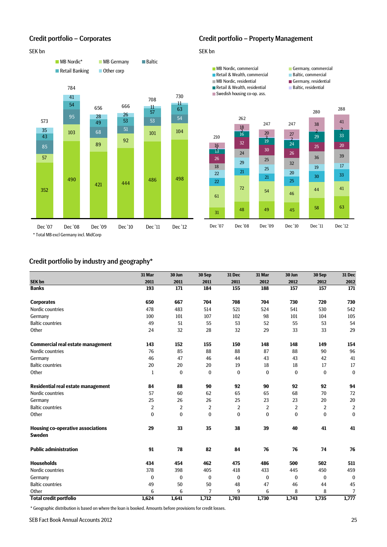#### SEK bn SEK bn SEK bn SEK bn SEK bn SEK bn SEK bn SEK bn SEK bn SEK bn SEK bn SEK bn SEK bn SEK bn SEK bn SEK bn



#### Credit portfolio – Corporates Credit portfolio – Property Management



## Credit portfolio by industry and geography\*

|                                                    | 31 Mar         | 30 Jun       | 30 Sep         | 31 Dec         | 31 Mar         | 30 Jun       | 30 Sep         | <b>31 Dec</b>    |
|----------------------------------------------------|----------------|--------------|----------------|----------------|----------------|--------------|----------------|------------------|
| <b>SEK bn</b>                                      | 2011           | 2011         | 2011           | 2011           | 2012           | 2012         | 2012           | 2012             |
| <b>Banks</b>                                       | 193            | 171          | 184            | 155            | 188            | 157          | 157            | $\overline{171}$ |
| <b>Corporates</b>                                  | 650            | 667          | 704            | 708            | 704            | 730          | 720            | 730              |
| Nordic countries                                   | 478            | 483          | 514            | 521            | 524            | 541          | 530            | 542              |
| Germany                                            | 100            | 101          | 107            | 102            | 98             | 101          | 104            | 105              |
| <b>Baltic countries</b>                            | 49             | 51           | 55             | 53             | 52             | 55           | 53             | 54               |
| Other                                              | 24             | 32           | 28             | 32             | 29             | 33           | 33             | 29               |
| <b>Commercial real estate management</b>           | 143            | 152          | 155            | 150            | 148            | 148          | 149            | 154              |
| Nordic countries                                   | 76             | 85           | 88             | 88             | 87             | 88           | 90             | 96               |
| Germany                                            | 46             | 47           | 46             | 44             | 43             | 43           | 42             | 41               |
| <b>Baltic countries</b>                            | 20             | 20           | 20             | 19             | 18             | 18           | 17             | 17               |
| Other                                              | $\mathbf{1}$   | $\bf{0}$     | $\bf{0}$       | $\mathbf{0}$   | $\mathbf{0}$   | $\mathbf{0}$ | $\bf{0}$       | $\bf{0}$         |
| Residential real estate management                 | 84             | 88           | 90             | 92             | 90             | 92           | 92             | 94               |
| Nordic countries                                   | 57             | 60           | 62             | 65             | 65             | 68           | 70             | 72               |
| Germany                                            | 25             | 26           | 26             | 25             | 23             | 23           | 20             | 20               |
| <b>Baltic countries</b>                            | $\overline{2}$ | 2            | $\overline{2}$ | $\overline{2}$ | $\overline{2}$ | 2            | $\overline{2}$ | $\overline{2}$   |
| Other                                              | $\bf{0}$       | $\mathbf{0}$ | $\bf{0}$       | $\mathbf{0}$   | $\bf{0}$       | $\mathbf{0}$ | $\mathbf{0}$   | $\mathbf{0}$     |
| Housing co-operative associations<br><b>Sweden</b> | 29             | 33           | 35             | 38             | 39             | 40           | 41             | 41               |
| <b>Public administration</b>                       | 91             | 78           | 82             | 84             | 76             | 76           | 74             | 76               |
| <b>Households</b>                                  | 434            | 454          | 462            | 475            | 486            | 500          | 502            | 511              |
| Nordic countries                                   | 378            | 398          | 405            | 418            | 433            | 445          | 450            | 459              |
| Germany                                            | $\bf{0}$       | $\bf{0}$     | $\bf{0}$       | $\bf{0}$       | $\bf{0}$       | $\bf{0}$     | $\bf{0}$       | $\mathbf{0}$     |
| <b>Baltic countries</b>                            | 49             | 50           | 50             | 48             | 47             | 46           | 44             | 45               |
| Other                                              | 6              | 6            | $\overline{7}$ | 9              | 6              | 8            | 8              | $\overline{7}$   |
| <b>Total credit portfolio</b>                      | 1,624          | 1,641        | 1,712          | 1,703          | 1,730          | 1,743        | 1,735          | 1,777            |

\* Geographic distribution is based on where the loan is booked. Amounts before provisions for credit losses.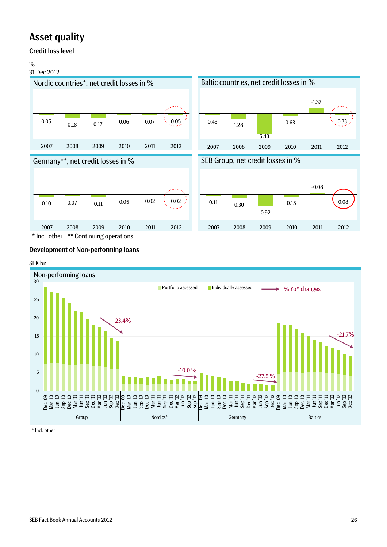# Asset quality

## Credit loss level

#### $\frac{9}{6}$

### 31 Dec 2012



## Development of Non-performing loans

#### SEK bn



\* Incl. other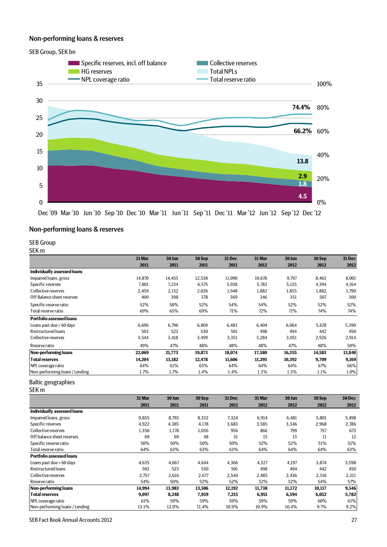## Non-performing loans & reserves



Dec '09 Mar '10 Jun '10 Sep '10 Dec '10 Mar '11 Jun '11 Sep '11 Dec '11 Mar '12 Jun '12 Sep '12 Dec '12

#### Non-performing loans & reserves

#### SEB Group

SEK m

|                                | 31 Mar | 30 Jun | 30 Sep | 31 Dec | 31 Mar | 30 Jun | 30 Sep | 31 Dec |
|--------------------------------|--------|--------|--------|--------|--------|--------|--------|--------|
|                                | 2011   | 2011   | 2011   | 2011   | 2012   | 2012   | 2012   | 2012   |
| Individually assessed loans    |        |        |        |        |        |        |        |        |
| Impaired loans, gross          | 14.870 | 14.455 | 12,538 | 11,090 | 10,678 | 9,797  | 8,463  | 8,001  |
| Specific reserves              | 7,801  | 7,234  | 6,575  | 5,938  | 5,783  | 5,135  | 4,394  | 4,164  |
| Collective reserves            | 2,459  | 2,132  | 2,026  | 1,948  | 1,882  | 1,855  | 1,882  | 1,790  |
| Off Balance sheet reserves     | 400    | 398    | 378    | 369    | 346    | 351    | 507    | 300    |
| Specific reserve ratio         | 52%    | 50%    | 52%    | 54%    | 54%    | 52%    | 52%    | 52%    |
| Total reserve ratio            | 69%    | 65%    | 69%    | 71%    | 72%    | 71%    | 74%    | 74%    |
| Portfolio assessed loans       |        |        |        |        |        |        |        |        |
| Loans past due > 60 days       | 6,696  | 6,796  | 6,804  | 6,483  | 6,404  | 6,064  | 5,678  | 5,390  |
| <b>Restructured loans</b>      | 503    | 523    | 530    | 501    | 498    | 494    | 442    | 450    |
| Collective reserves            | 3,544  | 3,418  | 3,499  | 3,351  | 3,284  | 3,051  | 2,926  | 2,914  |
| Reserve ratio                  | 49%    | 47%    | 48%    | 48%    | 48%    | 47%    | 48%    | 50%    |
| Non-performing loans           | 22,069 | 21,773 | 19,873 | 18,074 | 17,580 | 16,355 | 14,583 | 13,840 |
| <b>Total reserves</b>          | 14,204 | 13,182 | 12,478 | 11,606 | 11,295 | 10,392 | 9,709  | 9,169  |
| NPL coverage ratio             | 64%    | 61%    | 63%    | 64%    | 64%    | 64%    | 67%    | 66%    |
| Non-performing loans / Lending | 1.7%   | 1.7%   | 1.4%   | 1.4%   | 1.3%   | 1.3%   | 1.1%   | 1.0%   |

#### Baltic geographies

SEK m

|                                 | 31 Mar | 30 Jun | 30 Sep | 31 Dec | 31 Mar | 30 Jun | 30 Sep | 30 Dec |
|---------------------------------|--------|--------|--------|--------|--------|--------|--------|--------|
|                                 | 2011   | 2011   | 2011   | 2011   | 2012   | 2012   | 2012   | 2012   |
| Individually assessed loans     |        |        |        |        |        |        |        |        |
| Impaired loans, gross           | 9,855  | 8,793  | 8,332  | 7,324  | 6,914  | 6,481  | 5,801  | 5,498  |
| Specific reserves               | 4,922  | 4,385  | 4,178  | 3,683  | 3,585  | 3,346  | 2,968  | 2,786  |
| Collective reserves             | 1,350  | 1,178  | 1,036  | 956    | 866    | 799    | 757    | 673    |
| Off balance sheet reserves      | 69     | 69     | 48     | 31     | 15     | 13     | 11     | 12     |
| Specific reserve ratio          | 50%    | 50%    | 50%    | 50%    | 52%    | 52%    | 51%    | 51%    |
| Total reserve ratio             | 64%    | 63%    | 63%    | 63%    | 64%    | 64%    | 64%    | 63%    |
| <b>Portfolio assessed loans</b> |        |        |        |        |        |        |        |        |
| Loans past due > 60 days        | 4,635  | 4,667  | 4,644  | 4,366  | 4,327  | 4,197  | 3,874  | 3,598  |
| <b>Restructured loans</b>       | 503    | 523    | 530    | 501    | 498    | 494    | 442    | 450    |
| Collective reserves             | 2,757  | 2,616  | 2,677  | 2,544  | 2,485  | 2,436  | 2,316  | 2,311  |
| Reserve ratio                   | 54%    | 50%    | 52%    | 52%    | 52%    | 52%    | 54%    | 57%    |
| <b>Non-performing loans</b>     | 14,994 | 13,983 | 13,506 | 12,192 | 11,738 | 11,172 | 10,117 | 9,546  |
| <b>Total reserves</b>           | 9,097  | 8,248  | 7,939  | 7,215  | 6,951  | 6,594  | 6,052  | 5,782  |
| NPL coverage ratio              | 61%    | 59%    | 59%    | 59%    | 59%    | 59%    | 60%    | 61%    |
| Non-performing loans / Lending  | 13.1%  | 12.0%  | 11.4%  | 10.9%  | 10.9%  | 10.4%  | 9.7%   | 9.2%   |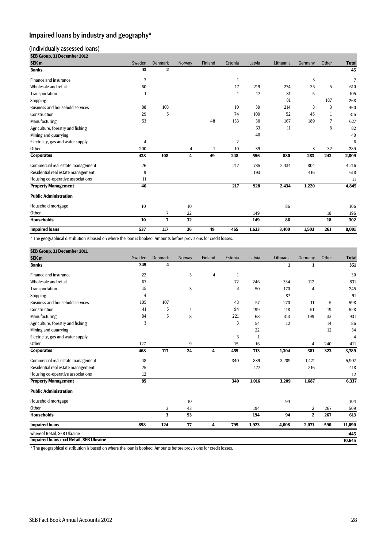# Impaired loans by industry and geography\*

#### (Individually assessed loans)

| SEB Group, 31 December 2012            |        |                |        |                |                |        |           |         |              |                |
|----------------------------------------|--------|----------------|--------|----------------|----------------|--------|-----------|---------|--------------|----------------|
| SEK <sub>m</sub>                       | Sweden | Denmark        | Norway | <b>Finland</b> | Estonia        | Latvia | Lithuania | Germany | Other        | <b>Total</b>   |
| <b>Banks</b>                           | 43     | $\mathbf{2}$   |        |                |                |        |           |         |              | 45             |
| <b>Finance and insurance</b>           | 3      |                |        |                | $\mathbf{1}$   |        |           | 3       |              | $\overline{7}$ |
| Wholesale and retail                   | 60     |                |        |                | 17             | 219    | 274       | 35      | 5            | 610            |
| Transportation                         | 1      |                |        |                | $\mathbf{1}$   | 17     | 81        | 5       |              | 105            |
| Shipping                               |        |                |        |                |                |        | 81        |         | 187          | 268            |
| <b>Business and household services</b> | 88     | 103            |        |                | 10             | 39     | 214       | 3       | 3            | 460            |
| Construction                           | 29     | 5              |        |                | 74             | 109    | 52        | 45      | $\mathbf{1}$ | 315            |
| Manufacturing                          | 53     |                |        | 48             | 133            | 30     | 167       | 189     | 7            | 627            |
| Agriculture, forestry and fishing      |        |                |        |                |                | 63     | 11        |         | 8            | 82             |
| Mining and quarrying                   |        |                |        |                |                | 40     |           |         |              | 40             |
| Electricity, gas and water supply      | 4      |                |        |                | $\overline{2}$ |        |           |         |              | 6              |
| Other                                  | 200    |                | 4      | 1              | 10             | 39     |           | 3       | 32           | 289            |
| <b>Corporates</b>                      | 438    | 108            | 4      | 49             | 248            | 556    | 880       | 283     | 243          | 2,809          |
| Commercial real estate management      | 26     |                |        |                | 217            | 735    | 2,434     | 804     |              | 4,216          |
| Residential real estate management     | 9      |                |        |                |                | 193    |           | 416     |              | 618            |
| Housing co-operative associations      | 11     |                |        |                |                |        |           |         |              | 11             |
| <b>Property Management</b>             | 46     |                |        |                | 217            | 928    | 2,434     | 1,220   |              | 4,845          |
| <b>Public Administration</b>           |        |                |        |                |                |        |           |         |              |                |
| Household mortgage                     | 10     |                | 10     |                |                |        | 86        |         |              | 106            |
| Other                                  |        | $\overline{7}$ | 22     |                |                | 149    |           |         | 18           | 196            |
| <b>Households</b>                      | 10     | $\overline{7}$ | 32     |                |                | 149    | 86        |         | 18           | 302            |
| <b>Impaired loans</b>                  | 537    | 117            | 36     | 49             | 465            | 1,633  | 3,400     | 1,503   | 261          | 8,001          |

\* The geographical distribution is based on where the loan is booked. Amounts before provisions for credit losses.

| SEB Group, 31 December 2011             |        |                         |              |         |              |        |           |                |       |                |
|-----------------------------------------|--------|-------------------------|--------------|---------|--------------|--------|-----------|----------------|-------|----------------|
| SEK <sub>m</sub>                        | Sweden | Denmark                 | Norway       | Finland | Estonia      | Latvia | Lithuania | Germany        | Other | <b>Total</b>   |
| <b>Banks</b>                            | 345    | $\overline{\mathbf{4}}$ |              |         |              |        | 1         | 1              |       | 351            |
| Finance and insurance                   | 22     |                         | 3            | 4       | $\mathbf{1}$ |        |           |                |       | 30             |
| Wholesale and retail                    | 67     |                         |              |         | 72           | 246    | 334       | 112            |       | 831            |
| Transportation                          | 15     |                         | 3            |         | 3            | 50     | 170       | $\overline{4}$ |       | 245            |
| Shipping                                | 4      |                         |              |         |              |        | 87        |                |       | 91             |
| <b>Business and household services</b>  | 105    | 107                     |              |         | 43           | 57     | 270       | 11             | 5     | 598            |
| Construction                            | 41     | 5                       | $\mathbf{1}$ |         | 94           | 199    | 118       | 51             | 19    | 528            |
| Manufacturing                           | 84     | 5                       | 8            |         | 221          | 68     | 313       | 199            | 33    | 931            |
| Agriculture, forestry and fishing       | 3      |                         |              |         | 3            | 54     | 12        |                | 14    | 86             |
| Mining and quarrying                    |        |                         |              |         |              | 22     |           |                | 12    | 34             |
| Electricity, gas and water supply       |        |                         |              |         | 3            | 1      |           |                |       | $\overline{4}$ |
| Other                                   | 127    |                         | 9            |         | 15           | 16     |           | $\overline{4}$ | 240   | 411            |
| <b>Corporates</b>                       | 468    | 117                     | 24           | 4       | 455          | 713    | 1,304     | 381            | 323   | 3,789          |
| Commercial real estate management       | 48     |                         |              |         | 340          | 839    | 3,209     | 1,471          |       | 5,907          |
| Residential real estate management      | 25     |                         |              |         |              | 177    |           | 216            |       | 418            |
| Housing co-operative associations       | 12     |                         |              |         |              |        |           |                |       | 12             |
| <b>Property Management</b>              | 85     |                         |              |         | 340          | 1,016  | 3,209     | 1,687          |       | 6,337          |
| <b>Public Administration</b>            |        |                         |              |         |              |        |           |                |       |                |
| Household mortgage                      |        |                         | 10           |         |              |        | 94        |                |       | 104            |
| Other                                   |        | 3                       | 43           |         |              | 194    |           | $\overline{2}$ | 267   | 509            |
| <b>Households</b>                       |        | 3                       | 53           |         |              | 194    | 94        | $\mathbf{2}$   | 267   | 613            |
| <b>Impaired loans</b>                   | 898    | 124                     | 77           | 4       | 795          | 1,923  | 4,608     | 2,071          | 590   | 11,090         |
| whereof Retail. SEB Ukraine             |        |                         |              |         |              |        |           |                |       | $-445$         |
| Impaired Ioans excl Retail, SEB Ukraine |        |                         |              |         |              |        |           |                |       | 10,645         |

\* The geographical distribution is based on where the loan is booked. Amounts before provisions for credit losses.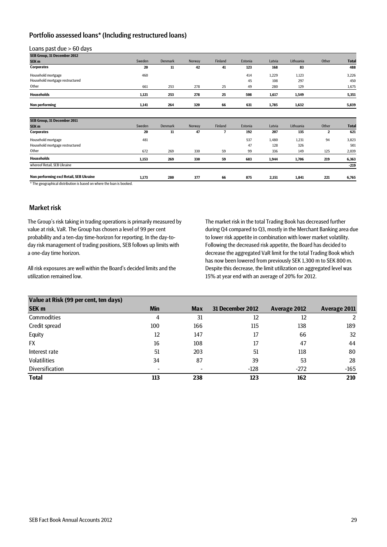### Portfolio assessed loans\* (Including restructured loans)

Loans past due > 60 days

| SEB Group, 31 December 2012             |        |                |        |         |         |        |           |              |              |
|-----------------------------------------|--------|----------------|--------|---------|---------|--------|-----------|--------------|--------------|
| SEK <sub>m</sub>                        | Sweden | <b>Denmark</b> | Norway | Finland | Estonia | Latvia | Lithuania | Other        | <b>Total</b> |
| <b>Corporates</b>                       | 20     | 11             | 42     | 41      | 123     | 168    | 83        |              | 488          |
| Household mortgage                      | 460    |                |        |         | 414     | 1,229  | 1,123     |              | 3,226        |
| Household mortgage restructured         |        |                |        |         | 45      | 108    | 297       |              | 450          |
| Other                                   | 661    | 253            | 278    | 25      | 49      | 280    | 129       |              | 1,675        |
| <b>Households</b>                       | 1,121  | 253            | 278    | 25      | 508     | 1,617  | 1,549     |              | 5,351        |
| Non performing                          | 1,141  | 264            | 320    | 66      | 631     | 1,785  | 1,632     |              | 5,839        |
|                                         |        |                |        |         |         |        |           |              |              |
| SEB Group, 31 December 2011             |        |                |        |         |         |        |           |              |              |
| SEK <sub>m</sub>                        | Sweden | Denmark        | Norway | Finland | Estonia | Latvia | Lithuania | Other        | <b>Total</b> |
| <b>Corporates</b>                       | 20     | 11             | 47     | 7       | 192     | 207    | 135       | $\mathbf{2}$ | 621          |
| Household mortgage                      | 481    |                |        |         | 537     | 1,480  | 1,231     | 94           | 3,823        |
| Household mortgage restructured         |        |                |        |         | 47      | 128    | 326       |              | 501          |
| Other                                   | 672    | 269            | 330    | 59      | 99      | 336    | 149       | 125          | 2,039        |
| <b>Households</b>                       | 1,153  | 269            | 330    | 59      | 683     | 1,944  | 1,706     | 219          | 6,363        |
| whereof Retail, SEB Ukraine             |        |                |        |         |         |        |           |              | $-219$       |
| Non performing excl Retail, SEB Ukraine | 1,173  | 280            | 377    | 66      | 875     | 2,151  | 1,841     | 221          | 6,765        |

\* The geographical distribution is based on where the loan is booked.

#### Market risk

The Group's risk taking in trading operations is primarily measured by value at risk, VaR. The Group has chosen a level of 99 per cent probability and a ten-day time-horizon for reporting. In the day-today risk management of trading positions, SEB follows up limits with a one-day time horizon.

All risk exposures are well within the Board's decided limits and the utilization remained low.

The market risk in the total Trading Book has decreased further during Q4 compared to Q3, mostly in the Merchant Banking area due to lower risk appetite in combination with lower market volatility. Following the decreased risk appetite, the Board has decided to decrease the aggregated VaR limit for the total Trading Book which has now been lowered from previously SEK 1,300 m to SEK 800 m. Despite this decrease, the limit utilization on aggregated level was 15% at year end with an average of 20% for 2012.

| Value at Risk (99 per cent, ten days) |            |            |                         |              |              |
|---------------------------------------|------------|------------|-------------------------|--------------|--------------|
| SEK <sub>m</sub>                      | <b>Min</b> | <b>Max</b> | <b>31 December 2012</b> | Average 2012 | Average 2011 |
| Commodities                           | 4          | 31         | 12                      | 12           |              |
| Credit spread                         | 100        | 166        | 115                     | 138          | 189          |
| Equity                                | 12         | 147        | 17                      | 66           | 32           |
| <b>FX</b>                             | 16         | 108        | 17                      | 47           | 44           |
| Interest rate                         | 51         | 203        | 51                      | 118          | 80           |
| <b>Volatilities</b>                   | 34         | 87         | 39                      | 53           | 28           |
| Diversification                       |            | -          | $-128$                  | $-272$       | $-165$       |
| <b>Total</b>                          | 113        | 238        | 123                     | 162          | 210          |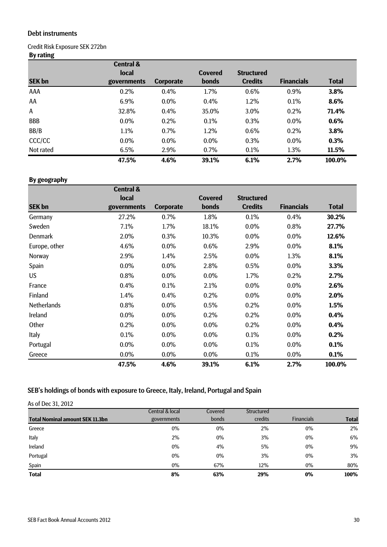### Debt instruments

## Credit Risk Exposure SEK 272bn

# **By rating**

|               | <b>Central &amp;</b> |                  |                |                   |                   |              |
|---------------|----------------------|------------------|----------------|-------------------|-------------------|--------------|
|               | <b>local</b>         |                  | <b>Covered</b> | <b>Structured</b> |                   |              |
| <b>SEK bn</b> | governments          | <b>Corporate</b> | <b>bonds</b>   | <b>Credits</b>    | <b>Financials</b> | <b>Total</b> |
| AAA           | 0.2%                 | 0.4%             | 1.7%           | 0.6%              | 0.9%              | 3.8%         |
| AA            | 6.9%                 | $0.0\%$          | 0.4%           | 1.2%              | 0.1%              | 8.6%         |
| A             | 32.8%                | 0.4%             | 35.0%          | 3.0%              | 0.2%              | 71.4%        |
| <b>BBB</b>    | $0.0\%$              | 0.2%             | 0.1%           | 0.3%              | 0.0%              | 0.6%         |
| BB/B          | 1.1%                 | 0.7%             | 1.2%           | 0.6%              | 0.2%              | 3.8%         |
| CCC/CC        | $0.0\%$              | $0.0\%$          | $0.0\%$        | 0.3%              | $0.0\%$           | 0.3%         |
| Not rated     | 6.5%                 | 2.9%             | $0.7\%$        | 0.1%              | 1.3%              | 11.5%        |
|               | 47.5%                | 4.6%             | 39.1%          | 6.1%              | 2.7%              | 100.0%       |

# **By geography**

|                    | <b>Central &amp;</b> |                  |                |                   |                   |              |
|--------------------|----------------------|------------------|----------------|-------------------|-------------------|--------------|
|                    | local                |                  | <b>Covered</b> | <b>Structured</b> |                   |              |
| <b>SEK bn</b>      | governments          | <b>Corporate</b> | bonds          | <b>Credits</b>    | <b>Financials</b> | <b>Total</b> |
| Germany            | 27.2%                | 0.7%             | 1.8%           | 0.1%              | 0.4%              | 30.2%        |
| Sweden             | 7.1%                 | 1.7%             | 18.1%          | $0.0\%$           | 0.8%              | 27.7%        |
| <b>Denmark</b>     | 2.0%                 | 0.3%             | 10.3%          | $0.0\%$           | 0.0%              | 12.6%        |
| Europe, other      | 4.6%                 | $0.0\%$          | 0.6%           | 2.9%              | $0.0\%$           | 8.1%         |
| Norway             | 2.9%                 | 1.4%             | 2.5%           | $0.0\%$           | 1.3%              | 8.1%         |
| Spain              | 0.0%                 | $0.0\%$          | 2.8%           | 0.5%              | $0.0\%$           | 3.3%         |
| <b>US</b>          | 0.8%                 | $0.0\%$          | 0.0%           | 1.7%              | 0.2%              | 2.7%         |
| France             | 0.4%                 | 0.1%             | 2.1%           | $0.0\%$           | $0.0\%$           | 2.6%         |
| Finland            | 1.4%                 | 0.4%             | 0.2%           | $0.0\%$           | 0.0%              | 2.0%         |
| <b>Netherlands</b> | 0.8%                 | 0.0%             | 0.5%           | 0.2%              | 0.0%              | 1.5%         |
| Ireland            | $0.0\%$              | $0.0\%$          | 0.2%           | 0.2%              | $0.0\%$           | 0.4%         |
| Other              | 0.2%                 | 0.0%             | 0.0%           | 0.2%              | 0.0%              | 0.4%         |
| Italy              | 0.1%                 | $0.0\%$          | $0.0\%$        | 0.1%              | $0.0\%$           | 0.2%         |
| Portugal           | $0.0\%$              | $0.0\%$          | $0.0\%$        | 0.1%              | 0.0%              | 0.1%         |
| Greece             | $0.0\%$              | $0.0\%$          | $0.0\%$        | 0.1%              | $0.0\%$           | 0.1%         |
|                    | 47.5%                | 4.6%             | 39.1%          | 6.1%              | 2.7%              | 100.0%       |

# SEB's holdings of bonds with exposure to Greece, Italy, Ireland, Portugal and Spain

| As of Dec 31, 2012                     |                            |         |            |                   |              |
|----------------------------------------|----------------------------|---------|------------|-------------------|--------------|
|                                        | <b>Central &amp; local</b> | Covered | Structured |                   |              |
| <b>Total Nominal amount SEK 11.3bn</b> | governments                | bonds   | credits    | <b>Financials</b> | <b>Total</b> |
| Greece                                 | 0%                         | $0\%$   | 2%         | $0\%$             | 2%           |
| Italy                                  | 2%                         | $0\%$   | 3%         | $0\%$             | 6%           |
| Ireland                                | 0%                         | 4%      | 5%         | $0\%$             | 9%           |
| Portugal                               | 0%                         | $0\%$   | 3%         | $0\%$             | 3%           |
| Spain                                  | $0\%$                      | 67%     | 12%        | 0%                | 80%          |
| <b>Total</b>                           | 8%                         | 63%     | 29%        | $0\%$             | 100%         |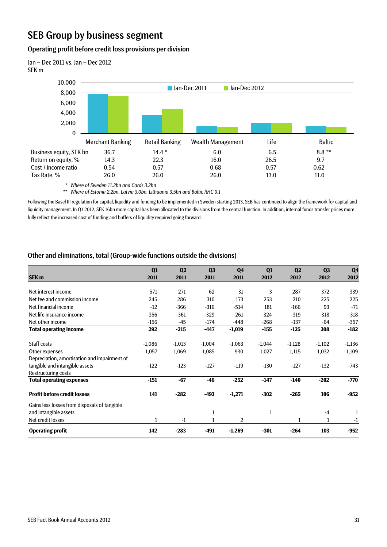# SEB Group by business segment

#### Operating profit before credit loss provisions per division



*\* Where of Sweden 11.2bn and Cards 3.2bn*

*\*\* Where of Estonia 2.2bn, Latvia 3.0bn, Lithuania 3.5bn and Baltic RHC 0.1*

Following the Basel III regulation for capital, liquidity and funding to be implemented in Sweden starting 2013, SEB has continued to align the framework for capital and liquidity management. In Q1 2012, SEK 16bn more capital has been allocated to the divisions from the central function. In addition, internal funds transfer prices more fully reflect the increased cost of funding and buffers of liquidity required going forward.

#### Other and eliminations, total (Group-wide functions outside the divisions)

|                                              | Q1       | Q <sub>2</sub> | Q3       | Q <sub>4</sub> | Q1       | Q <sub>2</sub> | Q <sub>3</sub> | Q <sub>4</sub> |
|----------------------------------------------|----------|----------------|----------|----------------|----------|----------------|----------------|----------------|
| SEK <sub>m</sub>                             | 2011     | 2011           | 2011     | 2011           | 2012     | 2012           | 2012           | 2012           |
|                                              |          |                |          |                |          |                |                |                |
| Net interest income                          | 571      | 271            | 62       | 31             | 3        | 287            | 372            | 339            |
| Net fee and commission income                | 245      | 286            | 310      | 173            | 253      | 210            | 225            | 225            |
| Net financial income                         | $-12$    | $-366$         | $-316$   | $-514$         | 181      | $-166$         | 93             | $-71$          |
| Net life insurance income                    | $-356$   | $-361$         | $-329$   | $-261$         | $-324$   | $-319$         | $-318$         | $-318$         |
| Net other income                             | $-156$   | $-45$          | $-174$   | $-448$         | $-268$   | $-137$         | $-64$          | $-357$         |
| <b>Total operating income</b>                | 292      | $-215$         | $-447$   | $-1,019$       | $-155$   | $-125$         | 308            | $-182$         |
| Staff costs                                  | $-1,086$ | $-1,013$       | $-1,004$ | $-1,063$       | $-1,044$ | $-1,128$       | $-1,102$       | $-1,136$       |
| Other expenses                               | 1,057    | 1,069          | 1,085    | 930            | 1,027    | 1,115          | 1,032          | 1,109          |
| Depreciation, amortisation and impairment of |          |                |          |                |          |                |                |                |
| tangible and intangible assets               | $-122$   | $-123$         | $-127$   | $-119$         | $-130$   | $-127$         | $-132$         | $-743$         |
| <b>Restructuring costs</b>                   |          |                |          |                |          |                |                |                |
| <b>Total operating expenses</b>              | $-151$   | $-67$          | $-46$    | $-252$         | $-147$   | $-140$         | $-202$         | $-770$         |
| <b>Profit before credit losses</b>           | 141      | $-282$         | $-493$   | $-1,271$       | $-302$   | $-265$         | 106            | $-952$         |
| Gains less losses from disposals of tangible |          |                |          |                |          |                |                |                |
| and intangible assets                        |          |                | 1        |                | 1        |                | $-4$           | 1              |
| Net credit losses                            | 1        | -1             |          | 2              |          |                | 1              | $-1$           |
| <b>Operating profit</b>                      | 142      | $-283$         | -491     | $-1,269$       | $-301$   | $-264$         | 103            | $-952$         |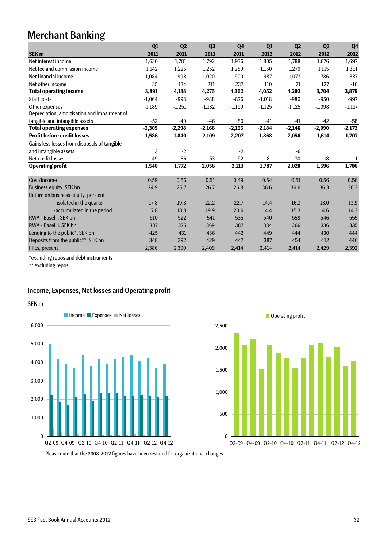# Merchant Banking

|                                              | Q1       | Q <sub>2</sub> | Q <sub>3</sub> | Q <sub>4</sub> | Q1       | Q <sub>2</sub> | Q3       | Q <sub>4</sub> |
|----------------------------------------------|----------|----------------|----------------|----------------|----------|----------------|----------|----------------|
| <b>SEK m</b>                                 | 2011     | 2011           | 2011           | 2011           | 2012     | 2012           | 2012     | 2012           |
| Net interest income                          | 1,630    | 1,781          | 1,792          | 1,936          | 1,805    | 1,788          | 1,676    | 1,697          |
| Net fee and commission income                | 1.142    | 1,225          | 1,252          | 1,289          | 1,150    | 1,270          | 1,115    | 1,361          |
| Net financial income                         | 1,084    | 998            | 1,020          | 900            | 987      | 1.073          | 786      | 837            |
| Net other income                             | 35       | 134            | 211            | 237            | 110      | 71             | 127      | $-16$          |
| <b>Total operating income</b>                | 3,891    | 4,138          | 4,275          | 4,362          | 4,052    | 4,202          | 3,704    | 3,879          |
| Staff costs                                  | $-1,064$ | $-998$         | $-988$         | $-876$         | $-1,018$ | $-980$         | $-950$   | $-997$         |
| Other expenses                               | $-1,189$ | $-1,251$       | $-1,132$       | $-1,199$       | $-1,125$ | $-1,125$       | $-1,098$ | $-1,117$       |
| Depreciation, amortisation and impairment of |          |                |                |                |          |                |          |                |
| tangible and intangible assets               | $-52$    | $-49$          | $-46$          | $-80$          | $-41$    | $-41$          | $-42$    | $-58$          |
| <b>Total operating expenses</b>              | $-2,305$ | $-2,298$       | $-2,166$       | $-2,155$       | $-2,184$ | $-2,146$       | $-2,090$ | $-2,172$       |
| <b>Profit before credit losses</b>           | 1,586    | 1,840          | 2,109          | 2,207          | 1,868    | 2,056          | 1,614    | 1,707          |
| Gains less losses from disposals of tangible |          |                |                |                |          |                |          |                |
| and intangible assets                        | 3        | $-2$           |                | $-2$           |          | $-6$           |          |                |
| Net credit losses                            | $-49$    | $-66$          | $-53$          | $-92$          | $-81$    | $-30$          | $-18$    | $-1$           |
| <b>Operating profit</b>                      | 1.540    | 1.772          | 2,056          | 2,113          | 1.787    | 2,020          | 1,596    | 1,706          |
|                                              |          |                |                |                |          |                |          |                |
| Cost/Income                                  | 0.59     | 0.56           | 0.51           | 0.49           | 0.54     | 0.51           | 0.56     | 0.56           |
| <b>Business equity, SEK bn</b>               | 24.9     | 25.7           | 26.7           | 26.8           | 36.6     | 36.6           | 36.3     | 36.3           |
| Return on business equity, per cent          |          |                |                |                |          |                |          |                |
| -isolated in the quarter                     | 17.8     | 19.8           | 22.2           | 22.7           | 14.4     | 16.3           | 13.0     | 13.9           |
| -accumulated in the period                   | 17.8     | 18.8           | 19.9           | 20.6           | 14.4     | 15.3           | 14.6     | 14.3           |
| RWA - Basel I, SEK bn                        | 510      | 522            | 541            | 535            | 540      | 559            | 546      | 555            |
| RWA - Basel II, SEK bn                       | 387      | 375            | 369            | 387            | 384      | 366            | 336      | 335            |
| Lending to the public*, SEK bn               | 425      | 431            | 436            | 442            | 449      | 444            | 430      | 444            |
| Deposits from the public**, SEK bn           | 348      | 392            | 429            | 447            | 387      | 454            | 412      | 446            |
| FTEs, present                                | 2,386    | 2,390          | 2,409          | 2,414          | 2,414    | 2,414          | 2,429    | 2,392          |

\*excluding repos and debt instruments

\*\* excluding repos

## Income, Expenses, Net losses and Operating profit





Please note that the 2008-2012 figures have been restated for organizational changes.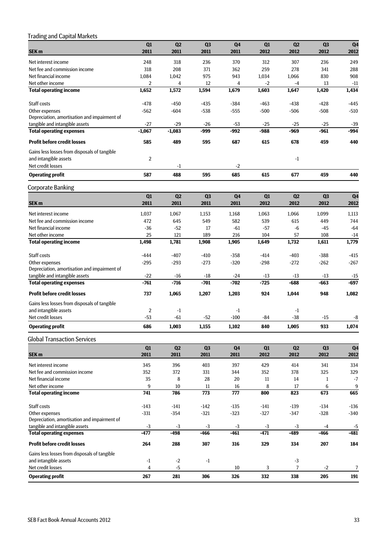# Trading and Capital Markets

|                                              | Q1             | Q2             | Q <sub>3</sub> | Q <sub>4</sub> | Q1     | Q2             | Q <sub>3</sub> | Q <sub>4</sub> |
|----------------------------------------------|----------------|----------------|----------------|----------------|--------|----------------|----------------|----------------|
| SEK <sub>m</sub>                             | 2011           | 2011           | 2011           | 2011           | 2012   | 2012           | 2012           | 2012           |
| Net interest income                          | 248            | 318            | 236            | 370            | 312    | 307            | 236            | 249            |
| Net fee and commission income                | 318            | 208            | 371            | 362            | 259    | 278            | 341            | 288            |
| Net financial income                         | 1,084          | 1,042          | 975            | 943            | 1,034  | 1,066          | 830            | 908            |
| Net other income                             | $\overline{2}$ | 4              | 12             | $\overline{4}$ | $-2$   | $-4$           | 13             | $-11$          |
| <b>Total operating income</b>                | 1,652          | 1,572          | 1,594          | 1,679          | 1,603  | 1,647          | 1,420          | 1,434          |
| Staff costs                                  | $-478$         | $-450$         | $-435$         | $-384$         | $-463$ | $-438$         | $-428$         | $-445$         |
| Other expenses                               | $-562$         | -604           | $-538$         | $-555$         | $-500$ | $-506$         | $-508$         | $-510$         |
| Depreciation, amortisation and impairment of |                |                |                |                |        |                |                |                |
| tangible and intangible assets               | $-27$          | $-29$          | $-26$          | $-53$          | $-25$  | $-25$          | $-25$          | $-39$          |
| <b>Total operating expenses</b>              | $-1,067$       | $-1,083$       | -999           | -992           | -988   | -969           | -961           | -994           |
| <b>Profit before credit losses</b>           | 585            | 489            | 595            | 687            | 615    | 678            | 459            | 440            |
| Gains less losses from disposals of tangible |                |                |                |                |        |                |                |                |
| and intangible assets                        | $\overline{2}$ |                |                |                |        | -1             |                |                |
| Net credit losses                            |                | -1             |                | $-2$           |        |                |                |                |
| <b>Operating profit</b>                      | 587            | 488            | 595            | 685            | 615    | 677            | 459            | 440            |
| <b>Corporate Banking</b>                     |                |                |                |                |        |                |                |                |
|                                              | Q1             | Q <sub>2</sub> | Q <sub>3</sub> | Q <sub>4</sub> | Q1     | Q2             | Q <sub>3</sub> | Q <sub>4</sub> |
| SEK <sub>m</sub>                             | 2011           | 2011           | 2011           | 2011           | 2012   | 2012           | 2012           | 2012           |
| Net interest income                          | 1,037          | 1,067          | 1,153          | 1,168          | 1,063  | 1,066          | 1,099          | 1,113          |
| Net fee and commission income                | 472            | 645            | 549            | 582            | 539    | 615            | 449            | 744            |
| Net financial income                         | $-36$          | $-52$          | 17             | $-61$          | $-57$  | $-6$           | $-45$          | $-64$          |
| Net other income                             | 25             | 121            | 189            | 216            | 104    | 57             | 108            | $-14$          |
| <b>Total operating income</b>                | 1,498          | 1,781          | 1,908          | 1,905          | 1,649  | 1,732          | 1,611          | 1,779          |
| Staff costs                                  | $-444$         | $-407$         | $-410$         | $-358$         | $-414$ | $-403$         | $-388$         | $-415$         |
| Other expenses                               | $-295$         | $-293$         | $-273$         | $-320$         | $-298$ | $-272$         | $-262$         | $-267$         |
| Depreciation, amortisation and impairment of |                |                |                |                |        |                |                |                |
| tangible and intangible assets               | $-22$          | -16            | $-18$          | $-24$          | $-13$  | $-13$          | -13            | $-15$          |
| <b>Total operating expenses</b>              | $-761$         | $-716$         | $-701$         | $-702$         | $-725$ | $-688$         | -663           | -697           |
| <b>Profit before credit losses</b>           | 737            | 1,065          | 1,207          | 1,203          | 924    | 1,044          | 948            | 1,082          |
| Gains less losses from disposals of tangible |                |                |                |                |        |                |                |                |
| and intangible assets                        | $\overline{2}$ | -1             |                | $-1$           |        | $-1$           |                |                |
| Net credit losses                            | -53            | -61            | $-52$          | $-100$         | -84    | $-38$          | -15            | -8             |
| <b>Operating profit</b>                      | 686            | 1,003          | 1,155          | 1,102          | 840    | 1,005          | 933            | 1,074          |
| <b>Global Transaction Services</b>           |                |                |                |                |        |                |                |                |
|                                              | Q1             | Q2             | Q3             | Q <sub>4</sub> | Q1     | Q2             | Q3             | Q <sub>4</sub> |
| SEK <sub>m</sub>                             | 2011           | 2011           | 2011           | 2011           | 2012   | 2012           | 2012           | 2012           |
| Net interest income                          | 345            | 396            | 403            | 397            | 429    | 414            | 341            | 334            |
| Net fee and commission income                | 352            | 372            | 331            | 344            | 352    | 378            | 325            | 329            |
| Net financial income                         | 35             | 8              | 28             | 20             | $11\,$ | 14             | 1              | $-7$           |
| Net other income                             | 9              | 10             | 11             | 16             | 8      | 17             | 6              | 9              |
| <b>Total operating income</b>                | 741            | 786            | 773            | 777            | 800    | 823            | 673            | 665            |
| Staff costs                                  | $-143$         | $-141$         | $-142$         | $-135$         | $-141$ | $-139$         | $-134$         | $-136$         |
| Other expenses                               | $-331$         | $-354$         | $-321$         | $-323$         | $-327$ | $-347$         | $-328$         | $-340$         |
| Depreciation, amortisation and impairment of |                |                |                |                |        |                |                |                |
| tangible and intangible assets               | $-3$           | $-3$           | $-3$           | $-3$           | $-3$   | $-3$           | -4             | $-5$           |
| <b>Total operating expenses</b>              | $-477$         | -498           | -466           | -461           | $-471$ | $-489$         | $-466$         | $-481$         |
| <b>Profit before credit losses</b>           | 264            | 288            | 307            | 316            | 329    | 334            | 207            | 184            |
| Gains less losses from disposals of tangible |                |                |                |                |        |                |                |                |
| and intangible assets                        | -1             | $-2$           | $-1$           |                |        | $-3$           |                |                |
| Net credit losses                            | $\overline{4}$ | $-5$           |                | $10\,$         | 3      | $\overline{7}$ | $-2$           | $\overline{7}$ |
| <b>Operating profit</b>                      | 267            | 281            | 306            | 326            | 332    | 338            | 205            | 191            |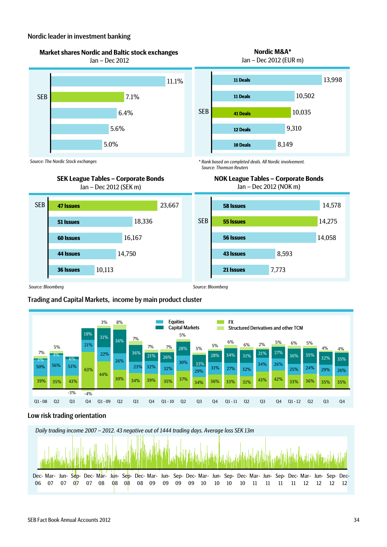#### Nordic leader in investment banking

*Source: The Nordic Stock exchanges*





**NOK League Tables – Corporate Bonds** Jan – Dec 2012 (NOK m)

*\* Rank based on completed deals. All Nordic involvement. Source: Thomson Reuters*





## Trading and Capital Markets, income by main product cluster



## Low risk trading orientation

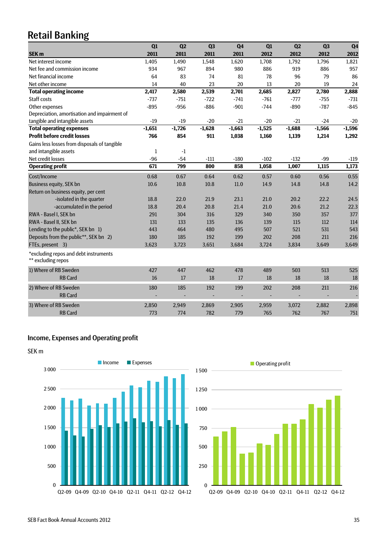# Retail Banking

|                                                             | Q1           | Q <sub>2</sub> | Q <sub>3</sub> | Q <sub>4</sub> | Q1       | Q <sub>2</sub> | Q <sub>3</sub> | Q <sub>4</sub> |
|-------------------------------------------------------------|--------------|----------------|----------------|----------------|----------|----------------|----------------|----------------|
| <b>SEK m</b>                                                | 2011         | 2011           | 2011           | 2011           | 2012     | 2012           | 2012           | 2012           |
| Net interest income                                         | 1,405        | 1,490          | 1,548          | 1,620          | 1,708    | 1,792          | 1,796          | 1,821          |
| Net fee and commission income                               | 934          | 967            | 894            | 980            | 886      | 919            | 886            | 957            |
| Net financial income                                        | 64           | 83             | 74             | 81             | 78       | 96             | 79             | 86             |
| Net other income                                            | 14           | 40             | 23             | 20             | 13       | 20             | 19             | 24             |
| <b>Total operating income</b>                               | 2,417        | 2,580          | 2,539          | 2,701          | 2,685    | 2,827          | 2,780          | 2,888          |
| Staff costs                                                 | $-737$       | $-751$         | $-722$         | $-741$         | $-761$   | $-777$         | -755           | $-731$         |
| Other expenses                                              | $-895$       | $-956$         | $-886$         | $-901$         | $-744$   | $-890$         | $-787$         | $-845$         |
| Depreciation, amortisation and impairment of                |              |                |                |                |          |                |                |                |
| tangible and intangible assets                              | $-19$        | $-19$          | $-20$          | $-21$          | $-20$    | $-21$          | $-24$          | $-20$          |
| <b>Total operating expenses</b>                             | $-1.651$     | $-1.726$       | $-1,628$       | $-1,663$       | $-1,525$ | $-1,688$       | $-1,566$       | $-1,596$       |
| <b>Profit before credit losses</b>                          | 766          | 854            | 911            | 1,038          | 1,160    | 1,139          | 1,214          | 1,292          |
| Gains less losses from disposals of tangible                |              |                |                |                |          |                |                |                |
| and intangible assets                                       | $\mathbf{1}$ | $-1$           |                |                |          |                |                |                |
| Net credit losses                                           | $-96$        | $-54$          | $-111$         | $-180$         | $-102$   | $-132$         | -99            | $-119$         |
| <b>Operating profit</b>                                     | 671          | 799            | 800            | 858            | 1,058    | 1,007          | 1,115          | 1,173          |
| Cost/Income                                                 | 0.68         | 0.67           | 0.64           | 0.62           | 0.57     | 0.60           | 0.56           | 0.55           |
| <b>Business equity, SEK bn</b>                              | 10.6         | 10.8           | 10.8           | 11.0           | 14.9     | 14.8           | 14.8           | 14.2           |
| Return on business equity, per cent                         |              |                |                |                |          |                |                |                |
| -isolated in the quarter                                    | 18.8         | 22.0           | 21.9           | 23.1           | 21.0     | 20.2           | 22.2           | 24.5           |
| -accumulated in the period                                  | 18.8         | 20.4           | 20.8           | 21.4           | 21.0     | 20.6           | 21.2           | 22.3           |
| RWA - Basel I, SEK bn                                       | 291          | 304            | 316            | 329            | 340      | 350            | 357            | 377            |
| RWA - Basel II, SEK bn                                      | 131          | 133            | 135            | 136            | 139      | 115            | 112            | 114            |
| Lending to the public*, SEK bn 1)                           | 443          | 464            | 480            | 495            | 507      | 521            | 531            | 543            |
| Deposits from the public**, SEK bn 2)                       | 180          | 185            | 192            | 199            | 202      | 208            | 211            | 216            |
| FTEs, present 3)                                            | 3,623        | 3,723          | 3,651          | 3,684          | 3,724    | 3,834          | 3,649          | 3,649          |
| *excluding repos and debt instruments<br>** excluding repos |              |                |                |                |          |                |                |                |
|                                                             |              |                |                |                |          |                |                |                |
| 1) Where of RB Sweden                                       | 427          | 447            | 462            | 478            | 489      | 503            | 513            | 525            |
| <b>RB Card</b>                                              | 16           | 17             | 18             | 17             | 18       | 18             | 18             | 18             |
| 2) Where of RB Sweden                                       | 180          | 185            | 192            | 199            | 202      | 208            | 211            | 216            |
| <b>RB Card</b>                                              |              |                |                |                |          |                |                |                |
| 3) Where of RB Sweden                                       | 2,850        | 2,949          | 2,869          | 2,905          | 2,959    | 3,072          | 2,882          | 2,898          |
| <b>RB Card</b>                                              | 773          | 774            | 782            | 779            | 765      | 762            | 767            | 751            |
|                                                             |              |                |                |                |          |                |                |                |

# Income, Expenses and Operating profit



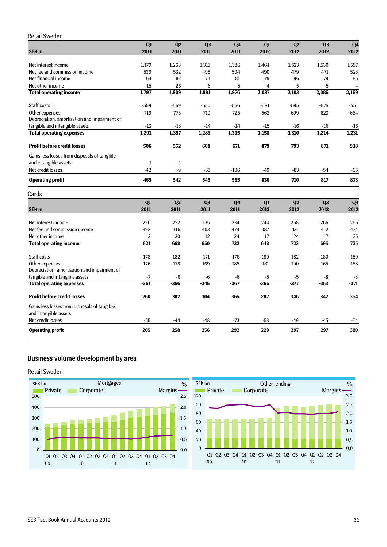### Retail Sweden

|                                                                       | Q1           | Q2             | Q <sub>3</sub> | Q <sub>4</sub> | Q1       | Q2               | Q <sub>3</sub> | Q <sub>4</sub> |
|-----------------------------------------------------------------------|--------------|----------------|----------------|----------------|----------|------------------|----------------|----------------|
| SEK <sub>m</sub>                                                      | 2011         | 2011           | 2011           | 2011           | 2012     | 2012             | 2012           | 2012           |
| Net interest income                                                   | 1,179        | 1,268          | 1,313          | 1,386          | 1,464    | 1,523            | 1,530          | 1,557          |
| Net fee and commission income                                         | 539          | 532            | 498            | 504            | 490      | 479              | 471            | 523            |
| Net financial income                                                  | 64           | 83             | 74             | 81             | 79       | 96               | 79             | 85             |
| Net other income                                                      | 15           | 26             | 6              | 5              | 4        | 5                | 5              | $\overline{4}$ |
| <b>Total operating income</b>                                         | 1,797        | 1,909          | 1,891          | 1,976          | 2,037    | 2,103            | 2,085          | 2,169          |
| Staff costs                                                           | $-559$       | -569           | $-550$         | $-566$         | $-581$   | $-595$           | $-575$         | $-551$         |
| Other expenses                                                        | $-719$       | $-775$         | $-719$         | $-725$         | $-562$   | $-699$           | $-623$         | $-664$         |
| Depreciation, amortisation and impairment of                          |              |                |                |                |          |                  |                |                |
| tangible and intangible assets                                        | $-13$        | $-13$          | $-14$          | $-14$          | $-15$    | $-16$            | $-16$          | $-16$          |
| <b>Total operating expenses</b>                                       | $-1,291$     | $-1,357$       | $-1,283$       | $-1,305$       | $-1,158$ | $-1,310$         | $-1,214$       | $-1,231$       |
| <b>Profit before credit losses</b>                                    | 506          | 552            | 608            | 671            | 879      | 793              | 871            | 938            |
| Gains less losses from disposals of tangible                          |              |                |                |                |          |                  |                |                |
| and intangible assets                                                 | $\mathbf{1}$ | $-1$           |                |                |          |                  |                |                |
| Net credit losses                                                     | $-42$        | $-9$           | $-63$          | $-106$         | $-49$    | $-83$            | $-54$          | $-65$          |
| <b>Operating profit</b>                                               | 465          | 542            | 545            | 565            | 830      | 710              | 817            | 873            |
| Cards                                                                 |              |                |                |                |          |                  |                |                |
|                                                                       | Q1           | Q <sub>2</sub> | Q <sub>3</sub> | Q <sub>4</sub> | Q1       | Q2               | Q <sub>3</sub> | Q <sub>4</sub> |
| SEK <sub>m</sub>                                                      | 2011         | 2011           | 2011           | 2011           | 2012     | 2012             | 2012           | 2012           |
| Net interest income                                                   | 226          | 222            | 235            | 234            | 244      | 268              | 266            | 266            |
| Net fee and commission income                                         | 392          | 416            | 403            | 474            | 387      | 431              | 412            | 434            |
| Net other income                                                      | 3            | 30             | 12             | 24             | 17       | 24               | 17             | 25             |
| <b>Total operating income</b>                                         | 621          | 668            | 650            | 732            | 648      | $\overline{723}$ | 695            | 725            |
| Staff costs                                                           | $-178$       | $-182$         | $-171$         | $-176$         | $-180$   | $-182$           | $-180$         | $-180$         |
| Other expenses                                                        | $-176$       | $-178$         | $-169$         | $-185$         | $-181$   | $-190$           | $-165$         | $-188$         |
| Depreciation, amortisation and impairment of                          |              |                |                |                |          |                  |                |                |
| tangible and intangible assets                                        | $-7$         | $-6$           | $-6$           | -6             | $-5$     | $-5$             | $-8$           | $-3$           |
| <b>Total operating expenses</b>                                       | $-361$       | $-366$         | $-346$         | $-367$         | $-366$   | $-377$           | $-353$         | $-371$         |
| <b>Profit before credit losses</b>                                    | 260          | 302            | 304            | 365            | 282      | 346              | 342            | 354            |
| Gains less losses from disposals of tangible<br>and intangible assets |              |                |                |                |          |                  |                |                |
| Net credit losses                                                     | $-55$        | $-44$          | $-48$          | $-73$          | $-53$    | $-49$            | $-45$          | $-54$          |

**Operating profit 205 258 256 292 229 297 297 300**

## Business volume development by area

#### Retail Sweden



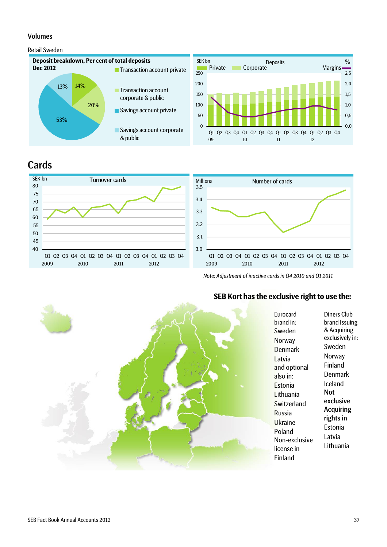#### Volumes

## Retail Sweden



# **Cards**





*Note: Adjustment of inactive cards in Q4 2010 and Q1 2011* 

## **SEB Kort has the exclusive right to use the:**



Diners Club brand Issuing & Acquiring exclusively in: Sweden Norway Finland Denmark Iceland Not exclusive Acquiring rights in Estonia Latvia Lithuania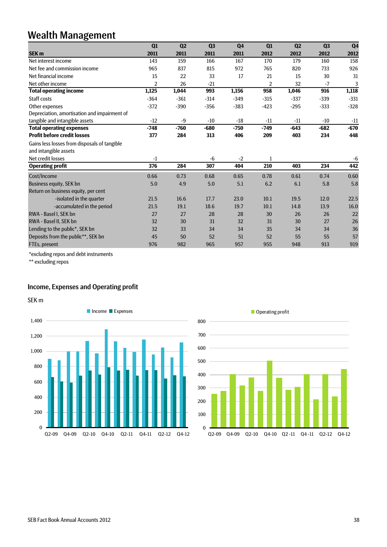# Wealth Management

|                                              | Q1     | Q <sub>2</sub> | Q3     | Q <sub>4</sub> | Q1     | Q <sub>2</sub> | Q <sub>3</sub> | Q <sub>4</sub> |
|----------------------------------------------|--------|----------------|--------|----------------|--------|----------------|----------------|----------------|
| SEK <sub>m</sub>                             | 2011   | 2011           | 2011   | 2011           | 2012   | 2012           | 2012           | 2012           |
| Net interest income                          | 143    | 159            | 166    | 167            | 170    | 179            | 160            | 158            |
| Net fee and commission income                | 965    | 837            | 815    | 972            | 765    | 820            | 733            | 926            |
| Net financial income                         | 15     | 22             | 33     | 17             | 21     | 15             | 30             | 31             |
| Net other income                             | 2      | 26             | $-21$  |                | 2      | 32             | $-7$           | 3              |
| <b>Total operating income</b>                | 1,125  | 1,044          | 993    | 1,156          | 958    | 1,046          | 916            | 1,118          |
| Staff costs                                  | $-364$ | $-361$         | $-314$ | $-349$         | $-315$ | $-337$         | $-339$         | $-331$         |
| Other expenses                               | $-372$ | $-390$         | $-356$ | $-383$         | $-423$ | $-295$         | $-333$         | $-328$         |
| Depreciation, amortisation and impairment of |        |                |        |                |        |                |                |                |
| tangible and intangible assets               | $-12$  | $-9$           | $-10$  | $-18$          | $-11$  | $-11$          | $-10$          | $-11$          |
| <b>Total operating expenses</b>              | $-748$ | $-760$         | $-680$ | $-750$         | $-749$ | $-643$         | $-682$         | $-670$         |
| <b>Profit before credit losses</b>           | 377    | 284            | 313    | 406            | 209    | 403            | 234            | 448            |
| Gains less losses from disposals of tangible |        |                |        |                |        |                |                |                |
| and intangible assets                        |        |                |        |                |        |                |                |                |
| Net credit losses                            | $-1$   |                | $-6$   | $-2$           | 1      |                |                | $-6$           |
| <b>Operating profit</b>                      | 376    | 284            | 307    | 404            | 210    | 403            | 234            | 442            |
| Cost/Income                                  | 0.66   | 0.73           | 0.68   | 0.65           | 0.78   | 0.61           | 0.74           | 0.60           |
| <b>Business equity, SEK bn</b>               | 5.0    | 4.9            | 5.0    | 5.1            | 6.2    | 6.1            | 5.8            | 5.8            |
| Return on business equity, per cent          |        |                |        |                |        |                |                |                |
| -isolated in the quarter                     | 21.5   | 16.6           | 17.7   | 23.0           | 10.1   | 19.5           | 12.0           | 22.5           |
| -accumulated in the period                   | 21.5   | 19.1           | 18.6   | 19.7           | 10.1   | 14.8           | 13.9           | 16.0           |
| RWA - Basel I. SEK bn                        | 27     | 27             | 28     | 28             | 30     | 26             | 26             | 22             |
| RWA - Basel II, SEK bn                       | 32     | 30             | 31     | 32             | 31     | 30             | 27             | 26             |
| Lending to the public*, SEK bn               | 32     | 33             | 34     | 34             | 35     | 34             | 34             | 36             |
| Deposits from the public**, SEK bn           | 45     | 50             | 52     | 51             | 52     | 55             | 55             | 57             |
| FTEs, present                                | 976    | 982            | 965    | 957            | 955    | 948            | 913            | 919            |

\*excluding repos and debt instruments

\*\* excluding repos

## Income, Expenses and Operating profit





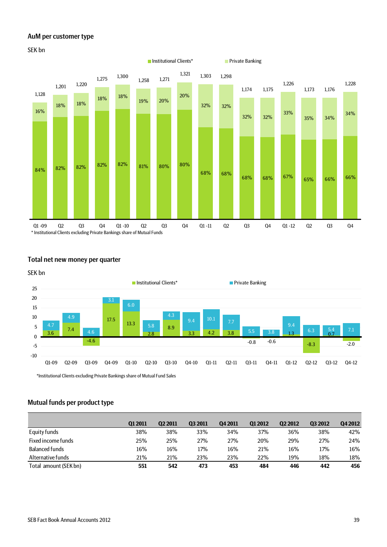#### AuM per customer type



## Total net new money per quarter



\*Institutional Clients excluding Private Bankings share of Mutual Fund Sales

## Mutual funds per product type

|                       | <b>Q12011</b> | <b>Q2 2011</b> | <b>Q3 2011</b> | Q4 2011 | <b>Q12012</b> | <b>Q2 2012</b> | 03 2012 | Q4 2012 |
|-----------------------|---------------|----------------|----------------|---------|---------------|----------------|---------|---------|
| Equity funds          | 38%           | 38%            | 33%            | 34%     | 37%           | 36%            | 38%     | 42%     |
| Fixed income funds    | 25%           | 25%            | 27%            | 27%     | 20%           | 29%            | 27%     | 24%     |
| Balanced funds        | 16%           | 16%            | 17%            | 16%     | 21%           | 16%            | 17%     | 16%     |
| Alternative funds     | 21%           | 21%            | 23%            | 23%     | 22%           | 19%            | 18%     | 18%     |
| Total amount (SEK bn) | 551           | 542            | 473            | 453     | 484           | 446            | 442     | 456     |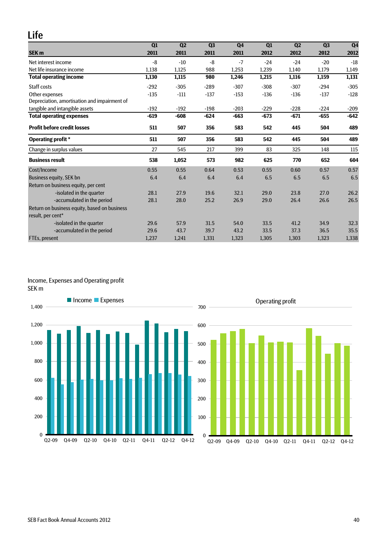# Life

|                                              | Q1     | Q <sub>2</sub> | Q3     | Q <sub>4</sub> | Q1     | Q <sub>2</sub> | Q3     | Q <sub>4</sub> |
|----------------------------------------------|--------|----------------|--------|----------------|--------|----------------|--------|----------------|
| <b>SEK m</b>                                 | 2011   | 2011           | 2011   | 2011           | 2012   | 2012           | 2012   | 2012           |
| Net interest income                          | -8     | $-10$          | -8     | $-7$           | $-24$  | $-24$          | $-20$  | $-18$          |
| Net life insurance income                    | 1,138  | 1,125          | 988    | 1,253          | 1,239  | 1,140          | 1,179  | 1,149          |
| <b>Total operating income</b>                | 1,130  | 1,115          | 980    | 1,246          | 1,215  | 1,116          | 1,159  | 1,131          |
| Staff costs                                  | $-292$ | $-305$         | $-289$ | $-307$         | $-308$ | $-307$         | $-294$ | $-305$         |
| Other expenses                               | $-135$ | $-111$         | $-137$ | $-153$         | $-136$ | $-136$         | $-137$ | $-128$         |
| Depreciation, amortisation and impairment of |        |                |        |                |        |                |        |                |
| tangible and intangible assets               | $-192$ | $-192$         | $-198$ | $-203$         | $-229$ | $-228$         | $-224$ | $-209$         |
| <b>Total operating expenses</b>              | $-619$ | $-608$         | $-624$ | $-663$         | $-673$ | $-671$         | $-655$ | $-642$         |
| <b>Profit before credit losses</b>           | 511    | 507            | 356    | 583            | 542    | 445            | 504    | 489            |
| <b>Operating profit</b> *                    | 511    | 507            | 356    | 583            | 542    | 445            | 504    | 489            |
| Change in surplus values                     | 27     | 545            | 217    | 399            | 83     | 325            | 148    | 115            |
| <b>Business result</b>                       | 538    | 1,052          | 573    | 982            | 625    | 770            | 652    | 604            |
| Cost/Income                                  | 0.55   | 0.55           | 0.64   | 0.53           | 0.55   | 0.60           | 0.57   | 0.57           |
| <b>Business equity, SEK bn</b>               | 6.4    | 6.4            | 6.4    | 6.4            | 6.5    | 6.5            | 6.5    | 6.5            |
| Return on business equity, per cent          |        |                |        |                |        |                |        |                |
| -isolated in the quarter                     | 28.1   | 27.9           | 19.6   | 32.1           | 29.0   | 23.8           | 27.0   | 26.2           |
| -accumulated in the period                   | 28.1   | 28.0           | 25.2   | 26.9           | 29.0   | 26.4           | 26.6   | 26.5           |
| Return on business equity, based on business |        |                |        |                |        |                |        |                |
| result, per cent*                            |        |                |        |                |        |                |        |                |
| -isolated in the quarter                     | 29.6   | 57.9           | 31.5   | 54.0           | 33.5   | 41.2           | 34.9   | 32.3           |
| -accumulated in the period                   | 29.6   | 43.7           | 39.7   | 43.2           | 33.5   | 37.3           | 36.5   | 35.5           |
| FTEs, present                                | 1,237  | 1,241          | 1,331  | 1,323          | 1,305  | 1,303          | 1,323  | 1,338          |

#### Income, Expenses and Operating profit SEK m



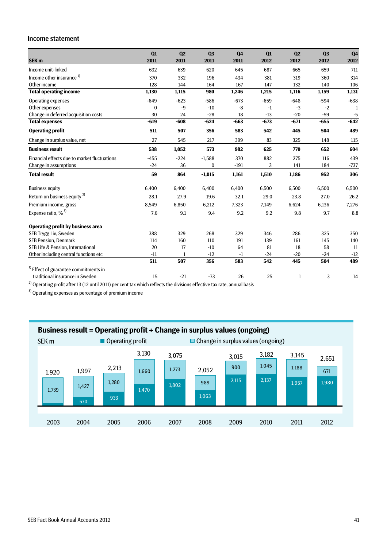#### Income statement

| SEK <sub>m</sub>                                 | Q1<br>2011   | Q <sub>2</sub><br>2011 | Q <sub>3</sub><br>2011 | Q <sub>4</sub><br>2011 | Q1<br>2012 | Q <sub>2</sub><br>2012 | Q <sub>3</sub><br>2012 | Q <sub>4</sub><br>2012 |
|--------------------------------------------------|--------------|------------------------|------------------------|------------------------|------------|------------------------|------------------------|------------------------|
|                                                  |              |                        |                        |                        |            |                        |                        |                        |
| Income unit-linked                               | 632          | 639                    | 620                    | 645                    | 687        | 665                    | 659                    | 711                    |
| Income other insurance <sup>1)</sup>             | 370          | 332                    | 196                    | 434                    | 381        | 319                    | 360                    | 314                    |
| Other income                                     | 128          | 144                    | 164                    | 167                    | 147        | 132                    | 140                    | 106                    |
| <b>Total operating income</b>                    | 1,130        | 1,115                  | 980                    | 1,246                  | 1,215      | 1,116                  | 1,159                  | 1,131                  |
| Operating expenses                               | $-649$       | $-623$                 | $-586$                 | $-673$                 | $-659$     | $-648$                 | $-594$                 | $-638$                 |
| Other expenses                                   | $\mathbf{0}$ | $-9$                   | $-10$                  | $-8$                   | $-1$       | $-3$                   | $-2$                   | -1                     |
| Change in deferred acquisition costs             | 30           | 24                     | $-28$                  | 18                     | $-13$      | $-20$                  | $-59$                  | $-5$                   |
| <b>Total expenses</b>                            | $-619$       | $-608$                 | $-624$                 | $-663$                 | $-673$     | $-671$                 | $-655$                 | $-642$                 |
| <b>Operating profit</b>                          | 511          | 507                    | 356                    | 583                    | 542        | 445                    | 504                    | 489                    |
| Change in surplus value, net                     | 27           | 545                    | 217                    | 399                    | 83         | 325                    | 148                    | 115                    |
| <b>Business result</b>                           | 538          | 1,052                  | 573                    | 982                    | 625        | 770                    | 652                    | 604                    |
| Financial effects due to market fluctuations     | $-455$       | $-224$                 | $-1,588$               | 370                    | 882        | 275                    | 116                    | 439                    |
| Change in assumptions                            | $-24$        | 36                     | $\bf{0}$               | $-191$                 | 3          | 141                    | 184                    | $-737$                 |
| <b>Total result</b>                              | 59           | 864                    | $-1,015$               | 1,161                  | 1,510      | 1,186                  | 952                    | 306                    |
| <b>Business equity</b>                           | 6,400        | 6,400                  | 6,400                  | 6,400                  | 6,500      | 6,500                  | 6,500                  | 6,500                  |
| Return on business equity <sup>2)</sup>          | 28.1         | 27.9                   | 19.6                   | 32.1                   | 29.0       | 23.8                   | 27.0                   | 26.2                   |
| Premium income, gross                            | 8,549        | 6,850                  | 6,212                  | 7,323                  | 7,149      | 6,624                  | 6,136                  | 7,276                  |
| Expense ratio, $%$ <sup>3)</sup>                 | 7.6          | 9.1                    | 9.4                    | 9.2                    | 9.2        | 9.8                    | 9.7                    | 8.8                    |
| <b>Operating profit by business area</b>         |              |                        |                        |                        |            |                        |                        |                        |
| SEB Trygg Liv, Sweden                            | 388          | 329                    | 268                    | 329                    | 346        | 286                    | 325                    | 350                    |
| <b>SEB Pension, Denmark</b>                      | 114          | 160                    | 110                    | 191                    | 139        | 161                    | 145                    | 140                    |
| SEB Life & Pension. International                | 20           | 17                     | $-10$                  | 64                     | 81         | 18                     | 58                     | 11                     |
| Other including central functions etc            | $-11$        | 1                      | $-12$                  | $-1$                   | $-24$      | $-20$                  | $-24$                  | $-12$                  |
|                                                  | 511          | 507                    | 356                    | 583                    | 542        | 445                    | 504                    | 489                    |
| <sup>1)</sup> Effect of guarantee commitments in |              |                        |                        |                        |            |                        |                        |                        |
| traditional insurance in Sweden                  | 15           | $-21$                  | $-73$                  | 26                     | 25         | 1                      | 3                      | 14                     |

 $2)$  Operating profit after 13 (12 until 2011) per cent tax which reflects the divisions effective tax rate, annual basis

3) Operating expenses as percentage of premium income

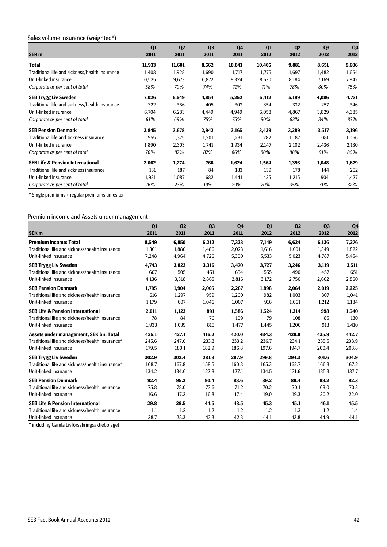# Sales volume insurance (weighted\*)

|                                                | Q1     | Q <sub>2</sub> | Q <sub>3</sub> | Q <sub>4</sub> | Q1     | Q <sub>2</sub> | Q <sub>3</sub> | Q <sub>4</sub> |
|------------------------------------------------|--------|----------------|----------------|----------------|--------|----------------|----------------|----------------|
| SEK <sub>m</sub>                               | 2011   | 2011           | 2011           | 2011           | 2012   | 2012           | 2012           | 2012           |
| <b>Total</b>                                   | 11,933 | 11,601         | 8,562          | 10,041         | 10,405 | 9,881          | 8,651          | 9,606          |
| Traditional life and sickness/health insurance | 1,408  | 1,928          | 1,690          | 1,717          | 1,775  | 1,697          | 1,482          | 1,664          |
| Unit-linked insurance                          | 10,525 | 9,673          | 6,872          | 8,324          | 8,630  | 8,184          | 7,169          | 7,942          |
| Corporate as per cent of total                 | 58%    | 70%            | 74%            | 71%            | 71%    | 78%            | 80%            | 75%            |
| <b>SEB Trygg Liv Sweden</b>                    | 7,026  | 6,649          | 4,854          | 5,252          | 5,412  | 5,199          | 4,086          | 4,731          |
| Traditional life and sickness/health insurance | 322    | 366            | 405            | 303            | 354    | 332            | 257            | 346            |
| Unit-linked insurance                          | 6.704  | 6,283          | 4,449          | 4,949          | 5,058  | 4,867          | 3,829          | 4,385          |
| Corporate as per cent of total                 | 61%    | 69%            | 75%            | 75%            | 80%    | 83%            | 84%            | 83%            |
| <b>SEB Pension Denmark</b>                     | 2,845  | 3,678          | 2,942          | 3,165          | 3,429  | 3,289          | 3,517          | 3,196          |
| Traditional life and sickness insurance        | 955    | 1,375          | 1,201          | 1,231          | 1,282  | 1,187          | 1,081          | 1,066          |
| Unit-linked insurance                          | 1,890  | 2,303          | 1,741          | 1,934          | 2,147  | 2,102          | 2,436          | 2,130          |
| Corporate as per cent of total                 | 76%    | 87%            | 87%            | 86%            | 80%    | 88%            | 91%            | 86%            |
| <b>SEB Life &amp; Pension International</b>    | 2,062  | 1,274          | 766            | 1,624          | 1,564  | 1,393          | 1,048          | 1,679          |
| Traditional life and sickness insurance        | 131    | 187            | 84             | 183            | 139    | 178            | 144            | 252            |
| Unit-linked insurance                          | 1,931  | 1,087          | 682            | 1,441          | 1,425  | 1,215          | 904            | 1,427          |
| Corporate as per cent of total                 | 26%    | 23%            | 19%            | 29%            | 20%    | 35%            | 31%            | 32%            |

\* Single premiums + regular premiums times ten

#### Premium income and Assets under management

| SEK <sub>m</sub>                                | Q1<br>2011 | Q <sub>2</sub><br>2011 | Q <sub>3</sub><br>2011 | Q <sub>4</sub><br>2011 | Q1<br>2012 | Q <sub>2</sub><br>2012 | Q <sub>3</sub><br>2012 | Q <sub>4</sub><br>2012 |
|-------------------------------------------------|------------|------------------------|------------------------|------------------------|------------|------------------------|------------------------|------------------------|
| <b>Premium income: Total</b>                    | 8,549      | 6,850                  | 6,212                  | 7,323                  | 7,149      | 6,624                  | 6,136                  | 7,276                  |
| Traditional life and sickness/health insurance  | 1,301      | 1,886                  | 1,486                  | 2,023                  | 1,616      | 1,601                  | 1,349                  | 1,822                  |
| Unit-linked insurance                           | 7,248      | 4,964                  | 4,726                  | 5,300                  | 5,533      | 5,023                  | 4,787                  | 5,454                  |
| <b>SEB Trygg Liv Sweden</b>                     | 4,743      | 3,823                  | 3,316                  | 3,470                  | 3,727      | 3,246                  | 3,119                  | 3,511                  |
| Traditional life and sickness/health insurance  | 607        | 505                    | 451                    | 654                    | 555        | 490                    | 457                    | 651                    |
| Unit-linked insurance                           | 4,136      | 3,318                  | 2,865                  | 2,816                  | 3,172      | 2,756                  | 2,662                  | 2,860                  |
| <b>SEB Pension Denmark</b>                      | 1,795      | 1,904                  | 2,005                  | 2,267                  | 1,898      | 2,064                  | 2,019                  | 2,225                  |
| Traditional life and sickness/health insurance  | 616        | 1,297                  | 959                    | 1,260                  | 982        | 1,003                  | 807                    | 1,041                  |
| Unit-linked insurance                           | 1,179      | 607                    | 1,046                  | 1,007                  | 916        | 1,061                  | 1,212                  | 1,184                  |
| <b>SEB Life &amp; Pension International</b>     | 2,011      | 1,123                  | 891                    | 1,586                  | 1,524      | 1,314                  | 998                    | 1,540                  |
| Traditional life and sickness/health insurance  | 78         | 84                     | 76                     | 109                    | 79         | 108                    | 85                     | 130                    |
| Unit-linked insurance                           | 1,933      | 1,039                  | 815                    | 1,477                  | 1,445      | 1,206                  | 913                    | 1,410                  |
| Assets under management. SEK bn: Total          | 425.1      | 427.1                  | 416.2                  | 420.0                  | 434.3      | 428.8                  | 435.9                  | 442.7                  |
| Traditional life and sickness/health insurance* | 245.6      | 247.0                  | 233.3                  | 233.2                  | 236.7      | 234.1                  | 235.5                  | 238.9                  |
| Unit-linked insurance                           | 179.5      | 180.1                  | 182.9                  | 186.8                  | 197.6      | 194.7                  | 200.4                  | 203.8                  |
| <b>SEB Trygg Liv Sweden</b>                     | 302.9      | 302.4                  | 281.3                  | 287.9                  | 299.8      | 294.3                  | 301.6                  | 304.9                  |
| Traditional life and sickness/health insurance* | 168.7      | 167.8                  | 158.5                  | 160.8                  | 165.3      | 162.7                  | 166.3                  | 167.2                  |
| Unit-linked insurance                           | 134.2      | 134.6                  | 122.8                  | 127.1                  | 134.5      | 131.6                  | 135.3                  | 137.7                  |
| <b>SEB Pension Denmark</b>                      | 92.4       | 95.2                   | 90.4                   | 88.6                   | 89.2       | 89.4                   | 88.2                   | 92.3                   |
| Traditional life and sickness/health insurance  | 75.8       | 78.0                   | 73.6                   | 71.2                   | 70.2       | 70.1                   | 68.0                   | 70.3                   |
| Unit-linked insurance                           | 16.6       | 17.2                   | 16.8                   | 17.4                   | 19.0       | 19.3                   | 20.2                   | 22.0                   |
| <b>SEB Life &amp; Pension International</b>     | 29.8       | 29.5                   | 44.5                   | 43.5                   | 45.3       | 45.1                   | 46.1                   | 45.5                   |
| Traditional life and sickness/health insurance  | 1.1        | 1.2                    | 1.2                    | 1.2                    | 1.2        | 1.3                    | 1.2                    | 1.4                    |
| Unit-linked insurance                           | 28.7       | 28.3                   | 43.3                   | 42.3                   | 44.1       | 43.8                   | 44.9                   | 44.1                   |

\* including Gamla Livförsäkringsaktiebolaget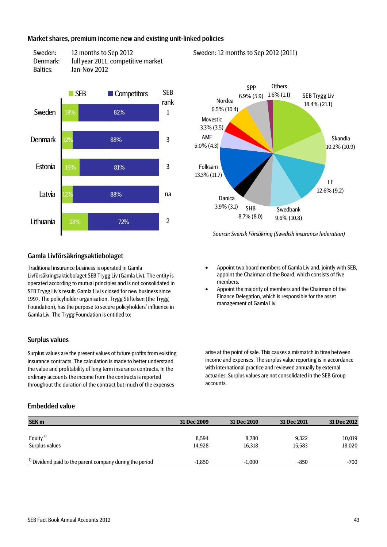### Market shares, premium income new and existing unit-linked policies





#### Sweden: 12 months to Sep 2012 (2011)



*Source: Svensk Försäkring (Swedish insurance federation)*

#### Gamla Livförsäkringsaktiebolaget

Traditional insurance business is operated in Gamla Livförsäkringsaktiebolaget SEB Trygg Liv (Gamla Liv). The entity is operated according to mutual principles and is not consolidated in SEB Trygg Liv's result. Gamla Liv is closed for new business since 1997. The policyholder organisation, Trygg Stiftelsen (the Trygg Foundation), has the purpose to secure policyholders' influence in Gamla Liv. The Trygg Foundation is entitled to:

#### Surplus values

Surplus values are the present values of future profits from existing insurance contracts. The calculation is made to better understand the value and profitability of long term insurance contracts. In the ordinary accounts the income from the contracts is reported throughout the duration of the contract but much of the expenses

#### Embedded value

- Appoint two board members of Gamla Liv and, jointly with SEB, appoint the Chairman of the Board, which consists of five members.
- Appoint the majority of members and the Chairman of the Finance Delegation, which is responsible for the asset management of Gamla Liv.

arise at the point of sale. This causes a mismatch in time between income and expenses. The surplus value reporting is in accordance with international practice and reviewed annually by external actuaries. Surplus values are not consolidated in the SEB Group accounts.

| <b>SEK m</b>                                                        | 31 Dec 2009 | 31 Dec 2010 | 31 Dec 2011 | 31 Dec 2012 |
|---------------------------------------------------------------------|-------------|-------------|-------------|-------------|
|                                                                     |             |             |             |             |
| Equity <sup>1)</sup>                                                | 8.594       | 8.780       | 9,322       | 10,019      |
| Surplus values                                                      | 14.928      | 16,318      | 15,583      | 18,020      |
|                                                                     |             |             |             |             |
| <sup>1)</sup> Dividend paid to the parent company during the period | $-1.850$    | $-1.000$    | $-850$      | $-700$      |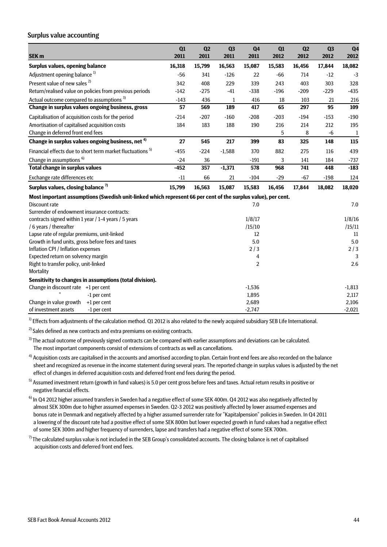#### Surplus value accounting

| SEK <sub>m</sub>                                                                                             | Q1<br>2011 | Q2<br>2011 | Q <sub>3</sub><br>2011 | Q <sub>4</sub><br>2011 | Q1<br>2012 | Q2<br>2012 | Q <sub>3</sub><br>2012 | Q <sub>4</sub><br>2012 |
|--------------------------------------------------------------------------------------------------------------|------------|------------|------------------------|------------------------|------------|------------|------------------------|------------------------|
| <b>Surplus values, opening balance</b>                                                                       | 16,318     | 15,799     | 16,563                 | 15,087                 | 15,583     | 16,456     | 17,844                 | 18,082                 |
| Adjustment opening balance <sup>1)</sup>                                                                     | $-56$      | 341        | $-126$                 | 22                     | $-66$      | 714        | $-12$                  | $-3$                   |
| Present value of new sales <sup>2)</sup>                                                                     | 342        | 408        | 229                    | 339                    | 243        | 403        | 303                    | 328                    |
| Return/realised value on policies from previous periods                                                      | $-142$     | $-275$     | $-41$                  | $-338$                 | $-196$     | $-209$     | $-229$                 | $-435$                 |
| Actual outcome compared to assumptions <sup>3)</sup>                                                         | $-143$     | 436        | 1                      | 416                    | 18         | 103        | 21                     | 216                    |
| Change in surplus values ongoing business, gross                                                             | 57         | 569        | 189                    | 417                    | 65         | 297        | 95                     | 109                    |
| Capitalisation of acquisition costs for the period                                                           | $-214$     | $-207$     | $-160$                 | $-208$                 | $-203$     | $-194$     | $-153$                 | $-190$                 |
| Amortisation of capitalised acquisition costs                                                                | 184        | 183        | 188                    | 190                    | 216        | 214        | 212                    | 195                    |
| Change in deferred front end fees                                                                            |            |            |                        |                        | 5          | 8          | $-6$                   | $\mathbf{1}$           |
| Change in surplus values ongoing business, net <sup>4)</sup>                                                 | 27         | 545        | 217                    | 399                    | 83         | 325        | 148                    | 115                    |
| Financial effects due to short term market fluctuations <sup>5)</sup>                                        | $-455$     | $-224$     | $-1,588$               | 370                    | 882        | 275        | 116                    | 439                    |
| Change in assumptions <sup>6)</sup>                                                                          | $-24$      | 36         |                        | $-191$                 | 3          | 141        | 184                    | $-737$                 |
| <b>Total change in surplus values</b>                                                                        | $-452$     | 357        | $-1,371$               | 578                    | 968        | 741        | 448                    | $-183$                 |
| Exchange rate differences etc                                                                                | $-11$      | 66         | 21                     | $-104$                 | $-29$      | $-67$      | $-198$                 | 124                    |
| Surplus values, closing balance <sup>7)</sup>                                                                | 15,799     | 16,563     | 15,087                 | 15,583                 | 16,456     | 17,844     | 18,082                 | 18,020                 |
| Most important assumptions (Swedish unit-linked which represent 66 per cent of the surplus value), per cent. |            |            |                        |                        |            |            |                        |                        |
| <b>Discount rate</b>                                                                                         |            |            |                        | 7.0                    |            |            |                        | 7.0                    |
| Surrender of endowment insurance contracts:                                                                  |            |            |                        |                        |            |            |                        |                        |
| contracts signed within 1 year / 1-4 years / 5 years                                                         |            |            |                        | 1/8/17                 |            |            |                        | 1/8/16                 |
| / 6 years / thereafter                                                                                       |            |            |                        | /15/10                 |            |            |                        | /15/11                 |
| Lapse rate of regular premiums, unit-linked                                                                  |            |            |                        | 12                     |            |            |                        | 11                     |
| Growth in fund units, gross before fees and taxes<br>Inflation CPI / Inflation expenses                      |            |            |                        | 5.0<br>2/3             |            |            |                        | 5.0<br>2/3             |
| Expected return on solvency margin                                                                           |            |            |                        | 4                      |            |            |                        | 3                      |
| Right to transfer policy, unit-linked                                                                        |            |            |                        | $\overline{2}$         |            |            |                        | 2.6                    |
| Mortality                                                                                                    |            |            |                        |                        |            |            |                        |                        |
| Sensitivity to changes in assumptions (total division).                                                      |            |            |                        |                        |            |            |                        |                        |
| Change in discount rate +1 per cent                                                                          |            |            |                        | $-1,536$               |            |            |                        | $-1,813$               |
| -1 per cent                                                                                                  |            |            |                        | 1,895                  |            |            |                        | 2,117                  |
| Change in value growth<br>$+1$ per cent                                                                      |            |            |                        | 2,689                  |            |            |                        | 2,106                  |
| of investment assets<br>-1 per cent                                                                          |            |            |                        | $-2,747$               |            |            |                        | $-2,021$               |

 $<sup>1</sup>$  Effects from adjustments of the calculation method. Q1 2012 is also related to the newly acquired subsidiary SEB Life International.</sup>

 $2)$  Sales defined as new contracts and extra premiums on existing contracts.

<sup>3)</sup> The actual outcome of previously signed contracts can be compared with earlier assumptions and deviations can be calculated. The most important components consist of extensions of contracts as well as cancellations.

<sup>4)</sup> Acquisition costs are capitalised in the accounts and amortised according to plan. Certain front end fees are also recorded on the balance sheet and recognized as revenue in the income statement during several years. The reported change in surplus values is adjusted by the net effect of changes in deferred acquisition costs and deferred front end fees during the period.

<sup>5)</sup> Assumed investment return (growth in fund values) is 5.0 per cent gross before fees and taxes. Actual return results in positive or negative financial effects.

 $6$ ) In Q4 2012 higher assumed transfers in Sweden had a negative effect of some SEK 400m. Q4 2012 was also negatively affected by almost SEK 300m due to higher assumed expenses in Sweden. Q2-3 2012 was positively affected by lower assumed expenses and bonus rate in Denmark and negatively affected by a higher assumed surrender rate for "Kapitalpension" policies in Sweden. In Q4 2011 a lowering of the discount rate had a positive effect of some SEK 800m but lower expected growth in fund values had a negative effect of some SEK 300m and higher frequency of surrenders, lapse and transfers had a negative effect of some SEK 700m.

 $7$  The calculated surplus value is not included in the SEB Group's consolidated accounts. The closing balance is net of capitalised acquisition costs and deferred front end fees.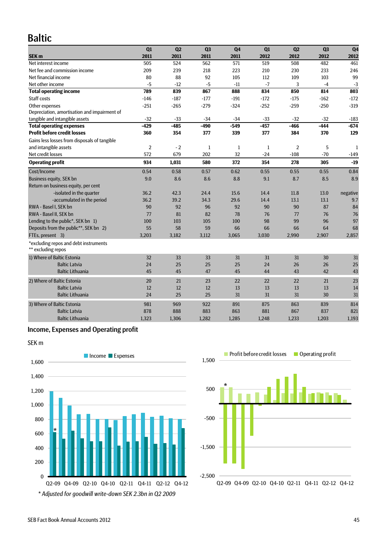# Baltic

|                                                             | Q1             | Q <sub>2</sub> | Q <sub>3</sub> | Q <sub>4</sub> | Q1           | Q <sub>2</sub> | Q <sub>3</sub> | Q <sub>4</sub> |
|-------------------------------------------------------------|----------------|----------------|----------------|----------------|--------------|----------------|----------------|----------------|
| SEK <sub>m</sub>                                            | 2011           | 2011           | 2011           | 2011           | 2012         | 2012           | 2012           | 2012           |
| Net interest income                                         | 505            | 524            | 562            | 571            | 519          | 508            | 482            | 461            |
| Net fee and commission income                               | 209            | 239            | 218            | 223            | 210          | 230            | 233            | 246            |
| Net financial income                                        | 80             | 88             | 92             | 105            | 112          | 109            | 103            | 99             |
| Net other income                                            | $-5$           | $-12$          | $-5$           | $-11$          | $-7$         | 3              | $-4$           | $-3$           |
| <b>Total operating income</b>                               | 789            | 839            | 867            | 888            | 834          | 850            | 814            | 803            |
| Staff costs                                                 | $-146$         | $-187$         | $-177$         | $-191$         | $-172$       | $-175$         | $-162$         | $-172$         |
| Other expenses                                              | $-251$         | $-265$         | $-279$         | $-324$         | $-252$       | $-259$         | $-250$         | $-319$         |
| Depreciation, amortisation and impairment of                |                |                |                |                |              |                |                |                |
| tangible and intangible assets                              | $-32$          | $-33$          | $-34$          | $-34$          | $-33$        | $-32$          | $-32$          | $-183$         |
| <b>Total operating expenses</b>                             | $-429$         | $-485$         | $-490$         | $-549$         | $-457$       | $-466$         | $-444$         | $-674$         |
| <b>Profit before credit losses</b>                          | 360            | 354            | 377            | 339            | 377          | 384            | 370            | 129            |
| Gains less losses from disposals of tangible                |                |                |                |                |              |                |                |                |
| and intangible assets                                       | $\overline{2}$ | $-2$           | $\mathbf{1}$   | $\mathbf{1}$   | $\mathbf{1}$ | $\overline{2}$ | 5              | $\mathbf{1}$   |
| Net credit losses                                           | 572            | 679            | 202            | 32             | $-24$        | $-108$         | $-70$          | $-149$         |
| <b>Operating profit</b>                                     | 934            | 1,031          | 580            | 372            | 354          | 278            | 305            | $-19$          |
| Cost/Income                                                 | 0.54           | 0.58           | 0.57           | 0.62           | 0.55         | 0.55           | 0.55           | 0.84           |
| <b>Business equity, SEK bn</b>                              | 9.0            | 8.6            | 8.6            | 8.8            | 9.1          | 8.7            | 8.5            | 8.9            |
| Return on business equity, per cent                         |                |                |                |                |              |                |                |                |
| -isolated in the quarter                                    | 36.2           | 42.3           | 24.4           | 15.6           | 14.4         | 11.8           | 13.0           | negative       |
| -accumulated in the period                                  | 36.2           | 39.2           | 34.3           | 29.6           | 14.4         | 13.1           | 13.1           | 9.7            |
| RWA - Basel I, SEK bn                                       | 90             | 92             | 96             | 92             | 90           | 90             | 87             | 84             |
| RWA - Basel II. SEK bn                                      | 77             | 81             | 82             | 78             | 76           | 77             | 76             | 76             |
| Lending to the public*, SEK bn 1)                           | 100            | 103            | 105            | 100            | 98           | 99             | 96             | 97             |
| Deposits from the public**, SEK bn 2)                       | 55             | 58             | 59             | 66             | 66           | 66             | 64             | 68             |
| FTEs, present 3)                                            | 3,203          | 3,182          | 3,112          | 3,065          | 3,030        | 2,990          | 2,907          | 2,857          |
| *excluding repos and debt instruments<br>** excluding repos |                |                |                |                |              |                |                |                |
| 1) Where of Baltic Estonia                                  | 32             | 33             | 33             | 31             | 31           | 31             | 30             | 31             |
| <b>Baltic Latvia</b>                                        | 24             | 25             | 25             | 25             | 24           | 26             | 26             | 25             |
| <b>Baltic Lithuania</b>                                     | 45             | 45             | 47             | 45             | 44           | 43             | 42             | 43             |
| 2) Where of Baltic Estonia                                  | 20             | 21             | 23             | 22             | 22           | 22             | 21             | 23             |
| <b>Baltic Latvia</b>                                        | 12             | 12             | 12             | 13             | 13           | 13             | 13             | 14             |
| <b>Baltic Lithuania</b>                                     | 24             | 25             | 25             | 31             | 31           | 31             | 30             | 31             |
| 3) Where of Baltic Estonia                                  | 981            | 969            | 922            | 891            | 875          | 863            | 839            | 814            |
| <b>Baltic Latvia</b>                                        | 878            | 888            | 883            | 863            | 881          | 867            | 837            | 821            |
| <b>Baltic Lithuania</b>                                     | 1,323          | 1,306          | 1,282          | 1,285          | 1,248        | 1,233          | 1,203          | 1,193          |
|                                                             |                |                |                |                |              |                |                |                |

## Income, Expenses and Operating profit



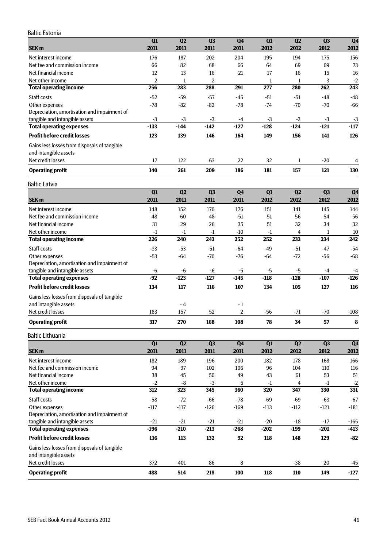#### Baltic Estonia

|                                                       | Q1                      | Q2             | Q <sub>3</sub> | Q <sub>4</sub>         | Q1             | Q2             | Q <sub>3</sub> | Q <sub>4</sub>         |
|-------------------------------------------------------|-------------------------|----------------|----------------|------------------------|----------------|----------------|----------------|------------------------|
| SEK <sub>m</sub>                                      | 2011                    | 2011           | 2011           | 2011                   | 2012           | 2012           | 2012           | 2012                   |
| Net interest income                                   | 176                     | 187            | 202            | 204                    | 195            | 194            | 175            | 156                    |
| Net fee and commission income<br>Net financial income | 66<br>12                | 82<br>13       | 68<br>16       | 66<br>21               | 64<br>17       | 69<br>16       | 69<br>15       | 73<br>16               |
| Net other income                                      | 2                       | $\mathbf 1$    | $\overline{2}$ |                        | 1              | $\mathbf{1}$   | 3              | $-2$                   |
| <b>Total operating income</b>                         | 256                     | 283            | 288            | 291                    | 277            | 280            | 262            | 243                    |
| Staff costs                                           | $-52$                   | $-59$          | $-57$          | $-45$                  | $-51$          | $-51$          | $-48$          | $-48$                  |
| Other expenses                                        | $-78$                   | $-82$          | $-82$          | $-78$                  | $-74$          | $-70$          | $-70$          | $-66$                  |
| Depreciation, amortisation and impairment of          |                         |                |                |                        |                |                |                |                        |
| tangible and intangible assets                        | $-3$                    | -3             | $-3$           | $-4$                   | $-3$           | -3             | $-3$           | $-3$                   |
| <b>Total operating expenses</b>                       | -133                    | $-144$         | -142           | $-127$                 | $-128$         | -124           | -121           | $-117$                 |
| <b>Profit before credit losses</b>                    | 123                     | 139            | 146            | 164                    | 149            | 156            | 141            | 126                    |
| Gains less losses from disposals of tangible          |                         |                |                |                        |                |                |                |                        |
| and intangible assets                                 |                         |                |                |                        |                |                |                |                        |
| Net credit losses                                     | 17                      | 122            | 63             | 22                     | 32             | 1              | $-20$          | 4                      |
| <b>Operating profit</b>                               | 140                     | 261            | 209            | 186                    | 181            | 157            | 121            | 130                    |
| <b>Baltic Latvia</b>                                  |                         |                |                |                        |                |                |                |                        |
|                                                       | Q1                      | Q <sub>2</sub> | Q <sub>3</sub> | Q <sub>4</sub>         | Q1             | Q <sub>2</sub> | Q <sub>3</sub> | Q <sub>4</sub>         |
| SEK <sub>m</sub>                                      | 2011                    | 2011           | 2011           | 2011                   | 2012           | 2012           | 2012           | 2012                   |
| Net interest income                                   | 148                     | 152            | 170            | 176                    | 151            | 141            | 145            | 144                    |
| Net fee and commission income                         | 48                      | 60             | 48             | 51                     | 51             | 56             | 54             | 56                     |
| Net financial income                                  | 31                      | 29             | 26             | 35                     | 51             | 32             | 34             | 32                     |
| Net other income                                      | $-1$                    | $-1$           | $-1$           | $-10$                  | $-1$           | 4              | 1              | 10                     |
| <b>Total operating income</b>                         | 226                     | 240            | 243            | 252                    | 252            | 233            | 234            | 242                    |
| Staff costs                                           | $-33$                   | $-53$          | $-51$          | $-64$                  | $-49$          | $-51$          | $-47$          | $-54$                  |
| Other expenses                                        | $-53$                   | $-64$          | $-70$          | $-76$                  | $-64$          | $-72$          | $-56$          | $-68$                  |
| Depreciation, amortisation and impairment of          |                         |                |                |                        |                |                |                |                        |
| tangible and intangible assets                        | -6<br>-92               | -6<br>$-123$   | -6<br>$-127$   | $-5$<br>$-145$         | $-5$<br>$-118$ | -5<br>$-128$   | $-4$<br>$-107$ | -4<br>$-126$           |
| <b>Total operating expenses</b>                       |                         |                |                |                        |                |                |                |                        |
| <b>Profit before credit losses</b>                    | 134                     | 117            | 116            | 107                    | 134            | 105            | 127            | 116                    |
| Gains less losses from disposals of tangible          |                         |                |                |                        |                |                |                |                        |
| and intangible assets                                 |                         | - 4            |                | - 1                    |                |                |                |                        |
| Net credit losses                                     | 183                     | 157            | 52             | $\overline{2}$         | $-56$          | $-71$          | $-70$          | $-108$                 |
| <b>Operating profit</b>                               | 317                     | 270            | 168            | 108                    | 78             | 34             | 57             | 8                      |
| <b>Baltic Lithuania</b>                               |                         |                |                |                        |                |                |                |                        |
| SEK <sub>m</sub>                                      | $\overline{Q1}$<br>2011 | Q2<br>2011     | Q3<br>2011     | Q <sub>4</sub><br>2011 | Q1<br>2012     | Q2<br>2012     | Q3<br>2012     | Q <sub>4</sub><br>2012 |
| Net interest income                                   | 182                     | 189            | 196            | 200                    | 182            | 178            | 168            | 166                    |
| Net fee and commission income                         | 94                      | 97             | 102            | 106                    | 96             | 104            | 110            | 116                    |
| Net financial income                                  | 38                      | 45             | 50             | 49                     | 43             | 61             | 53             | 51                     |
| Net other income                                      | $-2$                    | -8             | $-3$           | 5                      | $-1$           | 4              | $-1$           | $-2$                   |
| <b>Total operating income</b>                         | 312                     | 323            | 345            | 360                    | 320            | 347            | 330            | 331                    |
| Staff costs                                           | $-58$                   | $-72$          | $-66$          | $-78$                  | $-69$          | $-69$          | $-63$          | $-67$                  |
| Other expenses                                        | $-117$                  | $-117$         | $-126$         | $-169$                 | $-113$         | $-112$         | $-121$         | $-181$                 |
| Depreciation, amortisation and impairment of          |                         |                |                |                        |                |                |                |                        |
| tangible and intangible assets                        | $-21$                   | $-21$          | $-21$          | $-21$                  | $-20$          | $-18$          | $-17$          | $-165$                 |
| <b>Total operating expenses</b>                       | $-196$                  | $-210$         | $-213$         | $-268$                 | $-202$         | $-199$         | $-201$         | $-413$                 |
| <b>Profit before credit losses</b>                    | 116                     | 113            | 132            | 92                     | 118            | 148            | 129            | $-82$                  |
| Gains less losses from disposals of tangible          |                         |                |                |                        |                |                |                |                        |
| and intangible assets                                 |                         |                |                |                        |                |                |                |                        |
| Net credit losses                                     | 372                     | 401            | 86             | 8                      |                | $-38$          | 20             | $-45$                  |
| <b>Operating profit</b>                               | 488                     | 514            | 218            | 100                    | 118            | 110            | 149            | $-127$                 |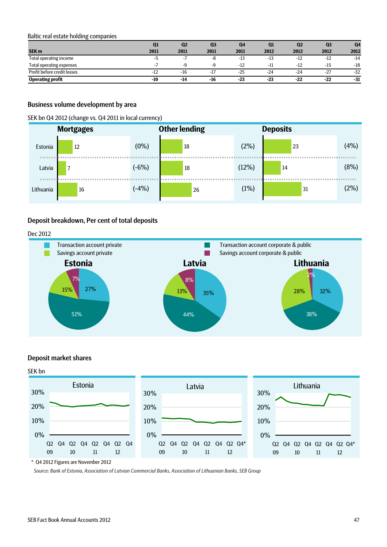#### Baltic real estate holding companies

|                                 | Q1    | Q <sub>2</sub> | Q <sub>3</sub> | Q <sub>4</sub> | Q1    | Q <sub>2</sub> | Q <sub>3</sub> | Q <sub>4</sub> |
|---------------------------------|-------|----------------|----------------|----------------|-------|----------------|----------------|----------------|
| <b>SEK m</b>                    | 2011  | 2011           | 2011           | 2011           | 2012  | 2012           | 2012           | 2012           |
| Total operating income          | -0    | . .            | -ŏ             | $-13$          | $-13$ | $-12$          | $-12$          | $-14$          |
| <b>Total operating expenses</b> | - 1   | -q             | -9             | $-12$          | -11   | $-12$          | $-15$          | $-18$          |
| Profit before credit losses     | $-12$ | $-16$          | $-17$          | $-25$          | $-24$ | -24            | $-27$          | $-32$          |
| <b>Operating profit</b>         | $-10$ | -14            | -16            | $-23$          | $-23$ | $-22$          | $-22$          | -31            |

### Business volume development by area

#### SEK bn Q4 2012 (change vs. Q4 2011 in local currency)

|           | <b>Mortgages</b>         |         | <b>Other lending</b> | <b>Deposits</b> |    |      |
|-----------|--------------------------|---------|----------------------|-----------------|----|------|
| Estonia   | 12                       | (0%)    | <sup>18</sup>        | (2%)            | 23 | (4%) |
| Latvia    | $\overline{\phantom{a}}$ | $(-6%)$ | 18                   | (12%)           | 14 | (8%) |
| Lithuania | 16                       | $(-4%)$ | 26                   | (1%)            | 31 | (2%) |

#### Deposit breakdown, Per cent of total deposits



#### Deposit market shares



\* Q4 2012 Figures are November 2012

*Source: Bank of Estonia, Association of Latvian Commercial Banks, Association of Lithuanian Banks, SEB Group*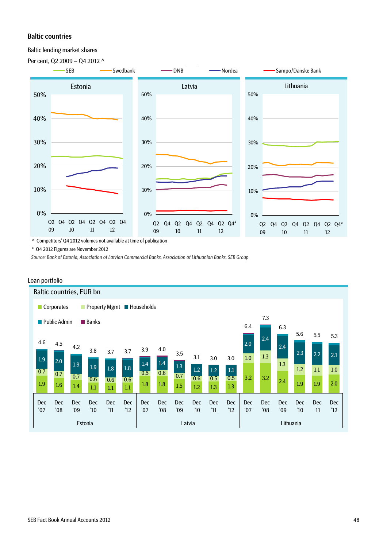#### Baltic countries

Baltic lending market shares



^ Competitors' Q4 2012 volumes not available at time of publication

\* Q4 2012 Figures are November 2012

*Source: Bank of Estonia, Association of Latvian Commercial Banks, Association of Lithuanian Banks, SEB Group*



#### Loan portfolio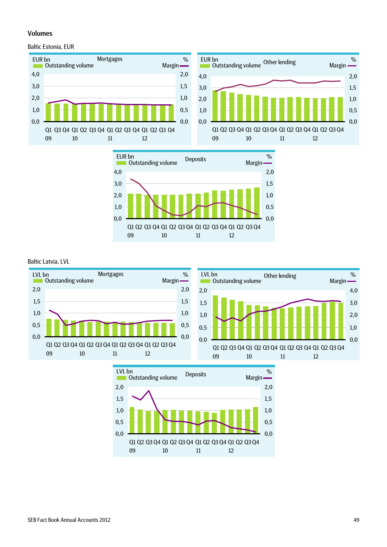#### Volumes

#### Baltic Estonia, EUR







#### Baltic Latvia, LVL



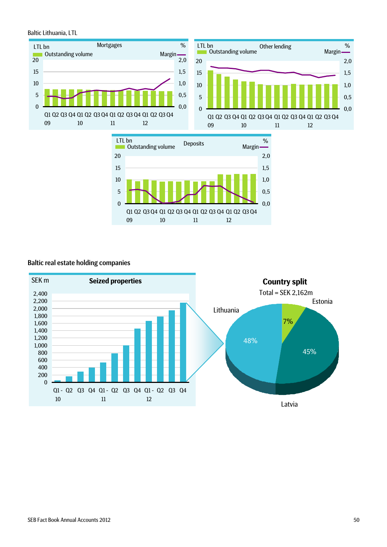#### Baltic Lithuania, LTL







#### Baltic real estate holding companies

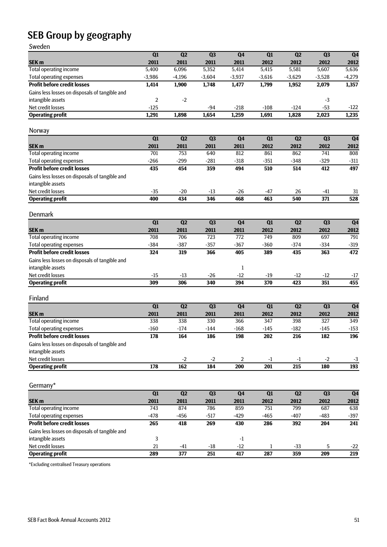# SEB Group by geography

Sweden

| ,,,,,,,                                        |                  |                  |          |                  |                  |                  |                |                  |
|------------------------------------------------|------------------|------------------|----------|------------------|------------------|------------------|----------------|------------------|
|                                                | $\overline{Q1}$  | Q2               | Q3       | Q <sub>4</sub>   | $\overline{Q1}$  | Q2               | Q3             | Q <sub>4</sub>   |
| SEK <sub>m</sub>                               | 2011             | 2011             | 2011     | 2011             | 2012             | 2012             | 2012           | 2012             |
| <b>Total operating income</b>                  | 5,400            | 6,096            | 5,352    | 5,414            | 5,415            | 5,581            | 5,607          | 5,636            |
| <b>Total operating expenses</b>                | $-3,986$         | $-4,196$         | $-3,604$ | $-3,937$         | $-3,616$         | $-3,629$         | $-3,528$       | $-4,279$         |
| <b>Profit before credit losses</b>             | 1,414            | 1,900            | 1,748    | 1,477            | 1,799            | 1,952            | 2,079          | 1,357            |
| Gains less losses on disposals of tangible and |                  |                  |          |                  |                  |                  |                |                  |
| intangible assets                              | $\overline{2}$   | $-2$             |          |                  |                  |                  | $-3$           |                  |
| Net credit losses                              | $-125$           |                  | $-94$    | $-218$           | $-108$           | $-124$           | $-53$          | $-122$           |
| <b>Operating profit</b>                        | 1,291            | 1,898            | 1,654    | 1,259            | 1,691            | 1,828            | 2,023          | 1,235            |
|                                                |                  |                  |          |                  |                  |                  |                |                  |
| Norway                                         |                  |                  |          |                  |                  |                  |                |                  |
|                                                | $\overline{Q1}$  | Q2               | Q3       | Q <sub>4</sub>   | Q1               | Q2               | Q <sub>3</sub> | Q <sub>4</sub>   |
| SEK <sub>m</sub>                               | 2011             | 2011             | 2011     | 2011             | 2012             | 2012             | 2012           | 2012             |
| Total operating income                         | 701              | 753              | 640      | 812              | 861              | 862              | 741            | 808              |
| <b>Total operating expenses</b>                | $-266$           | $-299$           | $-281$   | $-318$           | $-351$           | $-348$           | $-329$         | $-311$           |
| <b>Profit before credit losses</b>             | 435              | 454              | 359      | 494              | 510              | 514              | 412            | 497              |
| Gains less losses on disposals of tangible and |                  |                  |          |                  |                  |                  |                |                  |
| intangible assets                              |                  |                  |          |                  |                  |                  |                |                  |
| Net credit losses                              | $-35$            | $-20$            | $-13$    | $-26$            | $-47$            | 26               | $-41$          | 31               |
| <b>Operating profit</b>                        | 400              | 434              | 346      | 468              | 463              | 540              | 371            | $\overline{528}$ |
|                                                |                  |                  |          |                  |                  |                  |                |                  |
| Denmark                                        |                  |                  |          |                  |                  |                  |                |                  |
|                                                | $\overline{Q1}$  | Q2               | Q3       | Q <sub>4</sub>   | $\overline{Q1}$  | Q2               | Q3             | Q <sub>4</sub>   |
| SEK <sub>m</sub>                               | 2011             | 2011             | 2011     | 2011             | 2012             | 2012             | 2012           | 2012             |
| <b>Total operating income</b>                  | 708              | 706              | 723      | 772              | 749              | 809              | 697            | 791              |
| <b>Total operating expenses</b>                | $-384$           | $-387$           | $-357$   | $-367$           | $-360$           | $-374$           | $-334$         | $-319$           |
| <b>Profit before credit losses</b>             | 324              | 319              | 366      | 405              | 389              | 435              | 363            | 472              |
| Gains less losses on disposals of tangible and |                  |                  |          |                  |                  |                  |                |                  |
| intangible assets                              |                  |                  |          | 1                |                  |                  |                |                  |
| Net credit losses                              | $-15$            | $-13$            | $-26$    | $-12$            | $-19$            | $-12$            | $-12$          | $-17$            |
| <b>Operating profit</b>                        | 309              | 306              | 340      | 394              | 370              | 423              | 351            | 455              |
|                                                |                  |                  |          |                  |                  |                  |                |                  |
| Finland                                        |                  |                  |          |                  |                  |                  |                |                  |
|                                                | $\overline{Q1}$  | Q2               | Q3       | Q <sub>4</sub>   | Q1               | Q2               | Q <sub>3</sub> | Q <sub>4</sub>   |
| SEK <sub>m</sub>                               | 2011             | 2011             | 2011     | 2011             | 2012             | 2012             | 2012           | 2012             |
| <b>Total operating income</b>                  | 338              | 338              | 330      | 366              | 347              | 398              | 327            | 349              |
| <b>Total operating expenses</b>                |                  |                  | $-144$   | $-168$           |                  |                  |                |                  |
| <b>Profit before credit losses</b>             | $-160$<br>178    | $-174$<br>164    | 186      | 198              | $-145$<br>202    | $-182$<br>216    | $-145$<br>182  | $-153$<br>196    |
|                                                |                  |                  |          |                  |                  |                  |                |                  |
| Gains less losses on disposals of tangible and |                  |                  |          |                  |                  |                  |                |                  |
| intangible assets                              |                  |                  |          |                  |                  |                  |                |                  |
| Net credit losses                              |                  | $-2$             | $-2$     | $\sqrt{2}$       | $-1$             | $-1$             | $-2$           | $-3$             |
| <b>Operating profit</b>                        | $\overline{178}$ | 162              | 184      | $\overline{200}$ | $\overline{201}$ | $\overline{215}$ | 180            | $\overline{193}$ |
|                                                |                  |                  |          |                  |                  |                  |                |                  |
| Germany*                                       |                  |                  |          |                  |                  |                  |                |                  |
|                                                | $\overline{Q1}$  | Q2               | Q3       | Q4               | Q1               | Q2               | Q3             | Q <sub>4</sub>   |
| SEK <sub>m</sub>                               | 2011             | 2011             | 2011     | 2011             | 2012             | 2012             | 2012           | 2012             |
| <b>Total operating income</b>                  | 743              | 874              | 786      | 859              | 751              | 799              | 687            | 638              |
| <b>Total operating expenses</b>                | $-478$           | $-456$           | $-517$   | $-429$           | $-465$           | $-407$           | $-483$         | $-397$           |
| <b>Profit before credit losses</b>             | 265              | 418              | 269      | 430              | 286              | 392              | 204            | 241              |
| Gains less losses on disposals of tangible and |                  |                  |          |                  |                  |                  |                |                  |
| intangible assets                              | 3                |                  |          | $-1$             |                  |                  |                |                  |
| Net credit losses                              | 21               | $-41$            | $-18$    | $-12$            | 1                | $-33$            | 5              | $-22$            |
| <b>Operating profit</b>                        | 289              | $\overline{377}$ | 251      | 417              | 287              | 359              | 209            | 219              |
|                                                |                  |                  |          |                  |                  |                  |                |                  |

\*Excluding centralised Treasury operations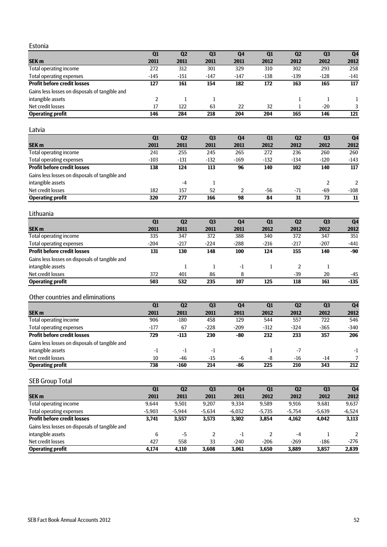Estonia

| Estonia                                        |          |              |                  |                |                  |                |                |                  |
|------------------------------------------------|----------|--------------|------------------|----------------|------------------|----------------|----------------|------------------|
|                                                | Q1       | Q2           | Q3               | Q <sub>4</sub> | Q1               | Q2             | Q <sub>3</sub> | Q <sub>4</sub>   |
| SEK <sub>m</sub>                               | 2011     | 2011         | 2011             | 2011           | 2012             | 2012           | 2012           | 2012             |
| Total operating income                         | 272      | 312          | 301              | 329            | 310              | 302            | 293            | 258              |
| <b>Total operating expenses</b>                | $-145$   | $-151$       | $-147$           | $-147$         | $-138$           | $-139$         | $-128$         | $-141$           |
| <b>Profit before credit losses</b>             | 127      | 161          | 154              | 182            | 172              | 163            | 165            | 117              |
| Gains less losses on disposals of tangible and |          |              |                  |                |                  |                |                |                  |
| intangible assets                              | 2        | $\mathbf{1}$ | 1                |                |                  | $\mathbf{1}$   | $\mathbf{1}$   | 1                |
| Net credit losses                              | 17       | 122          | 63               | 22             | 32               | $\mathbf{1}$   | $-20$          | 3                |
| <b>Operating profit</b>                        | 146      | 284          | 218              | 204            | 204              | 165            | 146            | $\overline{121}$ |
|                                                |          |              |                  |                |                  |                |                |                  |
| Latvia                                         |          |              |                  |                |                  |                |                |                  |
|                                                | Q1       | Q2           | Q3               | Q <sub>4</sub> | Q1               | Q2             | Q <sub>3</sub> | Q <sub>4</sub>   |
| SEK <sub>m</sub>                               | 2011     | 2011         | 2011             | 2011           | 2012             | 2012           | 2012           | 2012             |
| Total operating income                         | 241      | 255          | 245              | 265            | 272              | 236            | 260            | 260              |
| <b>Total operating expenses</b>                | $-103$   | $-131$       | $-132$           | $-169$         | $-132$           | $-134$         | $-120$         | $-143$           |
| <b>Profit before credit losses</b>             | 138      | 124          | 113              | 96             | 140              | 102            | 140            | 117              |
| Gains less losses on disposals of tangible and |          |              |                  |                |                  |                |                |                  |
| intangible assets                              |          | -4           | 1                |                |                  |                | $\overline{2}$ | 2                |
| Net credit losses                              | 182      | 157          | 52               | 2              | $-56$            | $-71$          | $-69$          | $-108$           |
| <b>Operating profit</b>                        | 320      | 277          | 166              | 98             | 84               | 31             | 73             | 11               |
| Lithuania                                      |          |              |                  |                |                  |                |                |                  |
|                                                | Q1       | Q2           | Q3               | Q <sub>4</sub> | Q1               | Q2             | Q3             | Q <sub>4</sub>   |
| SEK <sub>m</sub>                               | 2011     | 2011         | 2011             | 2011           | 2012             | 2012           | 2012           | 2012             |
| Total operating income                         | 335      | 347          | 372              | 388            | 340              | 372            | 347            | 351              |
| <b>Total operating expenses</b>                | $-204$   | $-217$       | $-224$           | $-288$         | $-216$           | $-217$         | $-207$         | $-441$           |
| <b>Profit before credit losses</b>             | 131      | 130          | 148              | 100            | 124              | 155            | 140            | $-90$            |
| Gains less losses on disposals of tangible and |          |              |                  |                |                  |                |                |                  |
| intangible assets                              |          | $\mathbf{1}$ | 1                | $-1$           | $\mathbf{1}$     | $\overline{2}$ | $\mathbf{1}$   |                  |
| Net credit losses                              | 372      | 401          | 86               | 8              |                  | $-39$          | 20             | -45              |
| <b>Operating profit</b>                        | 503      | 532          | 235              | 107            | 125              | 118            | 161            | $-135$           |
|                                                |          |              |                  |                |                  |                |                |                  |
| Other countries and eliminations               |          |              |                  |                |                  |                |                |                  |
|                                                | Q1       | Q2           | Q3               | Q <sub>4</sub> | Q1               | Q2             | Q <sub>3</sub> | Q <sub>4</sub>   |
| SEK <sub>m</sub>                               | 2011     | 2011         | 2011             | 2011           | 2012             | 2012           | 2012           | 2012             |
| Total operating income                         | 906      | $-180$       | 458              | 129            | 544              | 557            | 722            | 546              |
| <b>Total operating expenses</b>                | $-177$   | 67           | $-228$           | $-209$         | $-312$           | $-324$         | $-365$         | $-340$           |
| <b>Profit before credit losses</b>             | 729      | $-113$       | 230              | $-80$          | 232              | 233            | 357            | 206              |
| Gains less losses on disposals of tangible and |          |              |                  |                |                  |                |                |                  |
| intangible assets                              | $-1$     | $-1$         | $-1$             |                | 1                | $-7$           |                | -1               |
| Net credit losses                              | 10       | $-46$        | $-15$            | $\mbox{-}6$    | $\mbox{-}8$      | $-16$          | $-14$          | 7                |
| <b>Operating profit</b>                        | 738      | $-160$       | $\overline{214}$ | $-86$          | $\overline{225}$ | 210            | 343            | $\overline{212}$ |
| <b>SEB Group Total</b>                         |          |              |                  |                |                  |                |                |                  |
|                                                | Q1       | Q2           | Q3               | Q <sub>4</sub> | Q1               | Q2             | Q3             | Q <sub>4</sub>   |
| SEK <sub>m</sub>                               | 2011     | 2011         | 2011             | 2011           | 2012             | 2012           | 2012           | 2012             |
| Total operating income                         | 9,644    | 9,501        | 9,207            | 9,334          | 9,589            | 9,916          | 9,681          | 9,637            |
| <b>Total operating expenses</b>                | $-5,903$ | $-5,944$     | $-5,634$         | $-6,032$       | $-5,735$         | $-5,754$       | $-5,639$       | $-6,524$         |
| <b>Profit before credit losses</b>             | 3,741    | 3,557        | 3,573            | 3,302          | 3,854            | 4,162          | 4,042          | 3,113            |
| Gains less losses on disposals of tangible and |          |              |                  |                |                  |                |                |                  |
| intangible assets                              | 6        | $-5$         | $\sqrt{2}$       | $-1$           | $\overline{c}$   | $-4$           | $\mathbf{1}$   | $\overline{2}$   |
| Net credit losses                              | 427      | 558          | 33               | $-240$         | $-206$           | $-269$         | $-186$         | $-276$           |
| <b>Operating profit</b>                        | 4,174    | 4,110        | 3,608            | 3,061          | 3,650            | 3,889          | 3,857          | 2,839            |
|                                                |          |              |                  |                |                  |                |                |                  |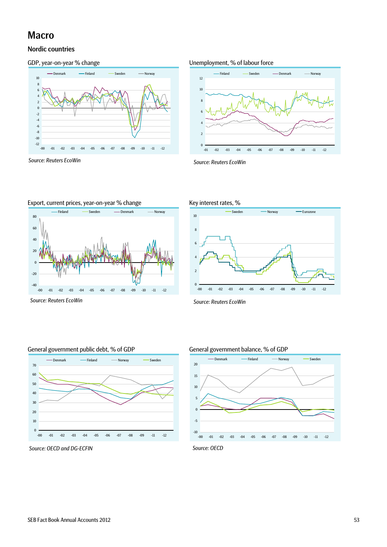# Macro

## Nordic countries



*Source: Reuters EcoWin Source: Reuters EcoWin* 

-40 -20

#### GDP, year-on-year % change exactled the Unemployment, % of labour force





-00 -01 -02 -03 -04 -05 -06 -07 -08 -09 -10 -11 -12



*Source: Reuters EcoWin Source: Reuters EcoWin* 





*Source: OECD and DG-ECFIN Source: OECD*

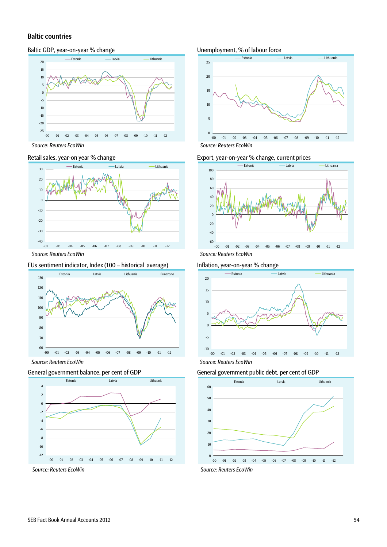#### Baltic countries

#### Baltic GDP, year-on-year % change Unemployment, % of labour force



*Source: Reuters EcoWin Source: Reuters EcoWin* 



#### EUs sentiment indicator, Index (100 = historical average) Inflation, year-on-year % change



*Source: Reuters EcoWin Source: Reuters EcoWin* 

#### General government balance, per cent of GDP General government public debt, per cent of GDP





#### Retail sales, year-on year % change Export, year-on-year % change, current prices







*Source: Reuters EcoWin Source: Reuters EcoWin*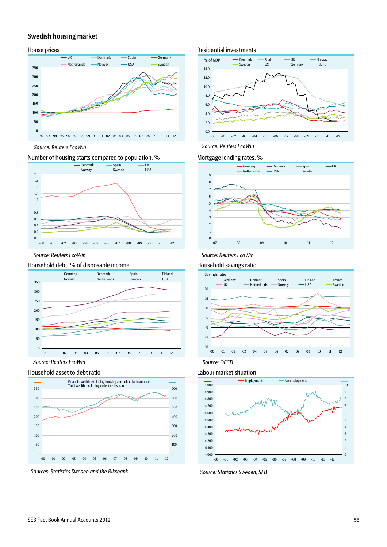#### Swedish housing market



*Source: Reuters EcoWin Source: Reuters EcoWin* 

#### Number of housing starts compared to population, % Mortgage lending rates, %



*Source: Reuters EcoWin Source: Reuters EcoWin* 

#### Household debt, % of disposable income Household savings ratio



*Source: Reuters EcoWin* 

#### Household asset to debt ratio decomposition of the Labour market situation



Sources: Statistics Sweden and the Riksbank Source: Statistics Sweden, SEB

#### House prices **Residential investments** Residential investments







*Source: OECD* 

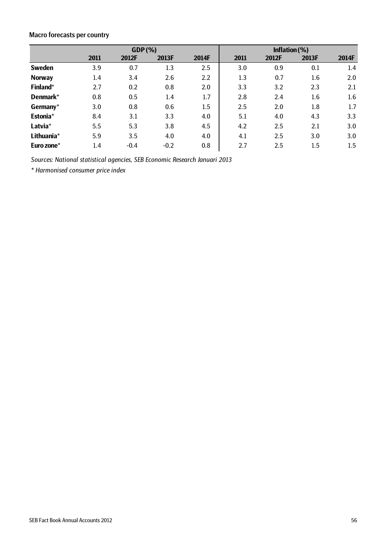# Macro forecasts per country

|               |                  | GDP(%) | Inflation $(%)$ |       |      |       |         |       |
|---------------|------------------|--------|-----------------|-------|------|-------|---------|-------|
|               | 2011             | 2012F  | 2013F           | 2014F | 2011 | 2012F | 2013F   | 2014F |
| <b>Sweden</b> | 3.9              | 0.7    | 1.3             | 2.5   | 3.0  | 0.9   | 0.1     | 1.4   |
| <b>Norway</b> | $1.4\phantom{0}$ | 3.4    | 2.6             | 2.2   | 1.3  | 0.7   | 1.6     | 2.0   |
| Finland*      | 2.7              | 0.2    | 0.8             | 2.0   | 3.3  | 3.2   | 2.3     | 2.1   |
| Denmark*      | 0.8              | 0.5    | 1.4             | 1.7   | 2.8  | 2.4   | 1.6     | 1.6   |
| Germany*      | 3.0              | 0.8    | 0.6             | 1.5   | 2.5  | 2.0   | $1.8\,$ | 1.7   |
| Estonia*      | 8.4              | 3.1    | 3.3             | 4.0   | 5.1  | 4.0   | 4.3     | 3.3   |
| Latvia*       | 5.5              | 5.3    | 3.8             | 4.5   | 4.2  | 2.5   | 2.1     | 3.0   |
| Lithuania*    | 5.9              | 3.5    | 4.0             | 4.0   | 4.1  | 2.5   | 3.0     | 3.0   |
| Euro zone*    | 1.4              | $-0.4$ | $-0.2$          | 0.8   | 2.7  | 2.5   | 1.5     | 1.5   |

*Sources: National statistical agencies, SEB Economic Research Januari 2013*

*\* Harmonised consumer price index*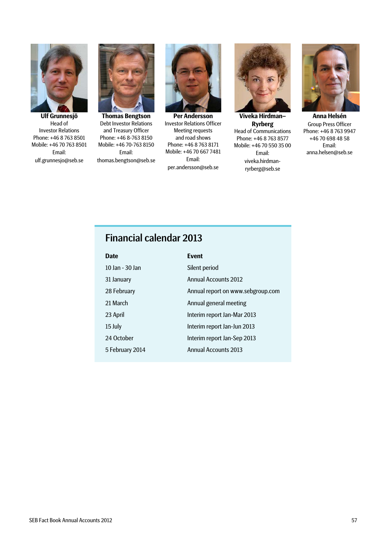

**Ulf Grunnesjö**  Head of Investor Relations Phone: +46 8 763 8501 Mobile: +46 70 763 8501 Email: ulf.grunnesjo@seb.se



**Thomas Bengtson**  Debt Investor Relations and Treasury Officer Phone: +46 8-763 8150 Mobile: +46 70-763 8150 Email: thomas.bengtson@seb.se



**Per Andersson**  Investor Relations Officer Meeting requests and road shows Phone: +46 8 763 8171 Mobile: +46 70 667 7481 Email: per.andersson@seb.se



**Viveka Hirdman– Ryrberg**  Head of Communications Phone: +46 8 763 8577 Mobile: +46 70 550 35 00 Email: viveka.hirdmanryrberg@seb.se



**Anna Helsén**  Group Press Officer Phone: +46 8 763 9947 +46 70 698 48 58 Email: anna.helsen@seb.se

# Financial calendar 2013

| <b>Date</b>     | <b>Event</b>                      |
|-----------------|-----------------------------------|
| 10 Jan - 30 Jan | Silent period                     |
| 31 January      | <b>Annual Accounts 2012</b>       |
| 28 February     | Annual report on www.sebgroup.com |
| 21 March        | Annual general meeting            |
| 23 April        | Interim report Jan-Mar 2013       |
| 15 July         | Interim report Jan-Jun 2013       |
| 24 October      | Interim report Jan-Sep 2013       |
| 5 February 2014 | <b>Annual Accounts 2013</b>       |